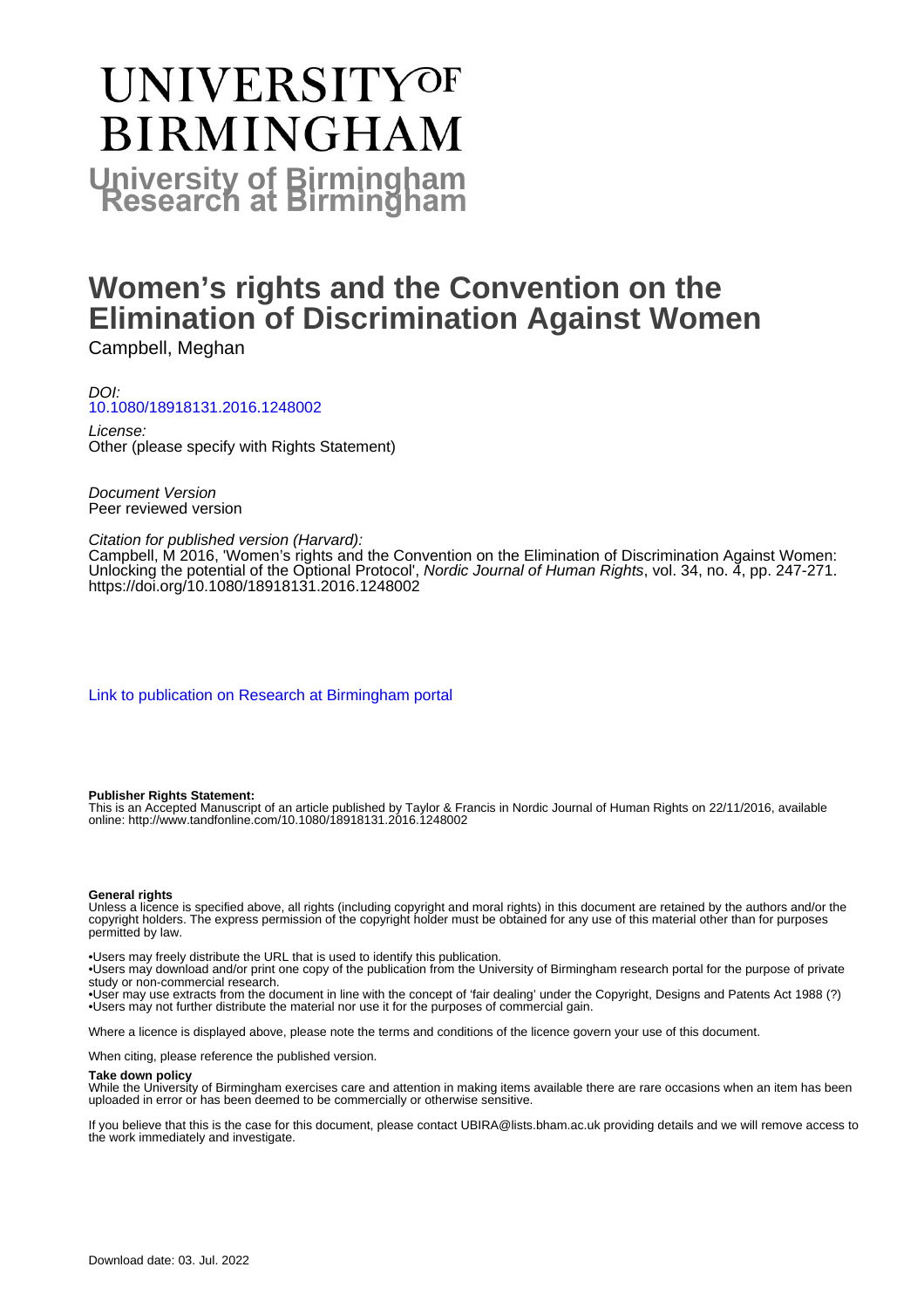# UNIVERSITYOF **BIRMINGHAM University of Birmingham**

# **Women's rights and the Convention on the Elimination of Discrimination Against Women**

Campbell, Meghan

### DOI: [10.1080/18918131.2016.1248002](https://doi.org/10.1080/18918131.2016.1248002)

License: Other (please specify with Rights Statement)

Document Version Peer reviewed version

#### Citation for published version (Harvard):

Campbell, M 2016, 'Women's rights and the Convention on the Elimination of Discrimination Against Women: Unlocking the potential of the Optional Protocol', Nordic Journal of Human Rights, vol. 34, no. 4, pp. 247-271. <https://doi.org/10.1080/18918131.2016.1248002>

[Link to publication on Research at Birmingham portal](https://birmingham.elsevierpure.com/en/publications/10a54c86-7eed-4933-a1cc-4749297178dd)

#### **Publisher Rights Statement:**

This is an Accepted Manuscript of an article published by Taylor & Francis in Nordic Journal of Human Rights on 22/11/2016, available online: http://www.tandfonline.com/10.1080/18918131.2016.1248002

#### **General rights**

Unless a licence is specified above, all rights (including copyright and moral rights) in this document are retained by the authors and/or the copyright holders. The express permission of the copyright holder must be obtained for any use of this material other than for purposes permitted by law.

• Users may freely distribute the URL that is used to identify this publication.

• Users may download and/or print one copy of the publication from the University of Birmingham research portal for the purpose of private study or non-commercial research.

• User may use extracts from the document in line with the concept of 'fair dealing' under the Copyright, Designs and Patents Act 1988 (?) • Users may not further distribute the material nor use it for the purposes of commercial gain.

Where a licence is displayed above, please note the terms and conditions of the licence govern your use of this document.

When citing, please reference the published version.

#### **Take down policy**

While the University of Birmingham exercises care and attention in making items available there are rare occasions when an item has been uploaded in error or has been deemed to be commercially or otherwise sensitive.

If you believe that this is the case for this document, please contact UBIRA@lists.bham.ac.uk providing details and we will remove access to the work immediately and investigate.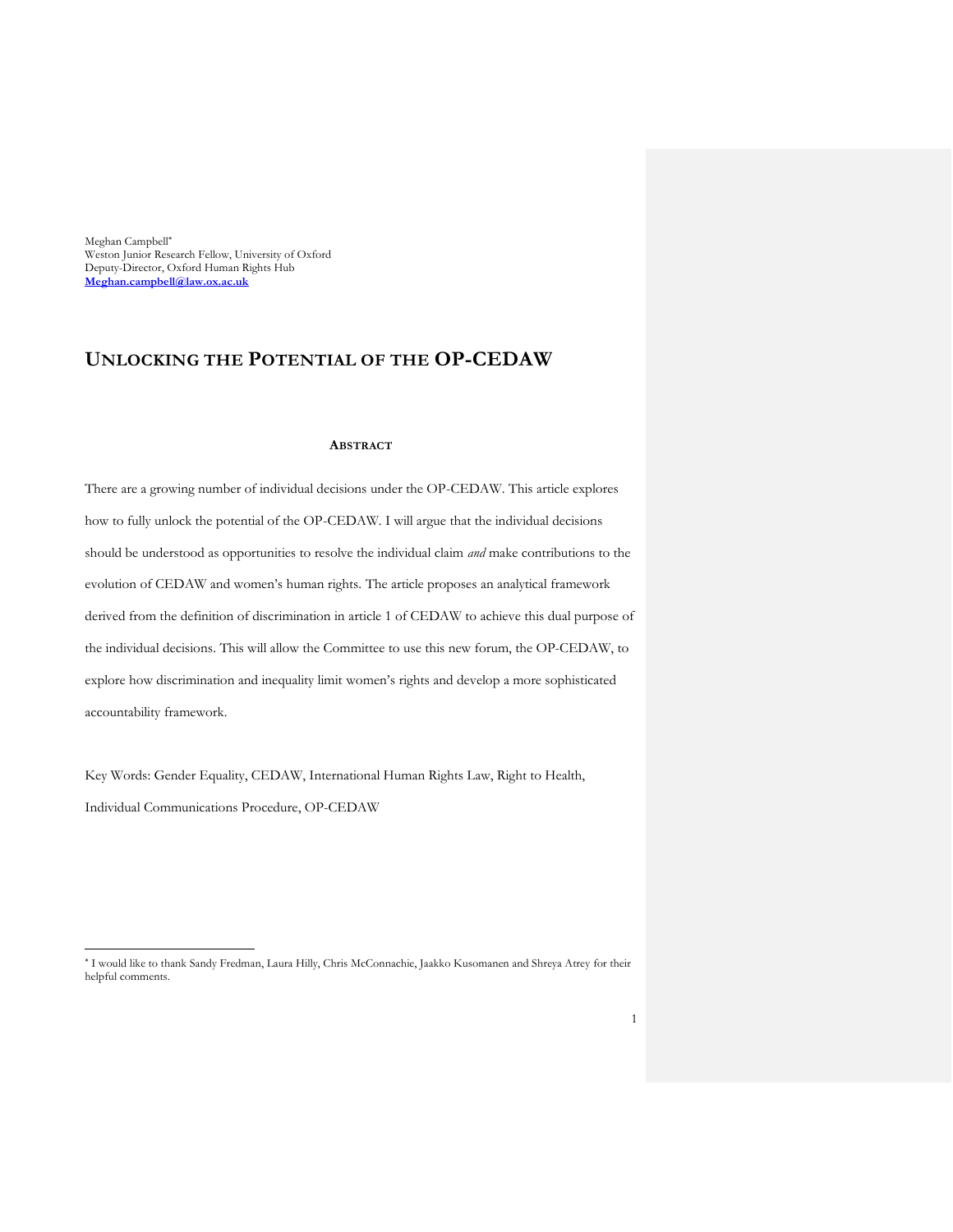Meghan Campbell Weston Junior Research Fellow, University of Oxford Deputy-Director, Oxford Human Rights Hub **[Meghan.campbell@law.ox.ac.uk](mailto:Meghan.campbell@law.ox.ac.uk)**

 $\overline{a}$ 

## **UNLOCKING THE POTENTIAL OF THE OP-CEDAW**

#### **ABSTRACT**

There are a growing number of individual decisions under the OP-CEDAW. This article explores how to fully unlock the potential of the OP-CEDAW. I will argue that the individual decisions should be understood as opportunities to resolve the individual claim *and* make contributions to the evolution of CEDAW and women's human rights. The article proposes an analytical framework derived from the definition of discrimination in article 1 of CEDAW to achieve this dual purpose of the individual decisions. This will allow the Committee to use this new forum, the OP-CEDAW, to explore how discrimination and inequality limit women's rights and develop a more sophisticated accountability framework.

Key Words: Gender Equality, CEDAW, International Human Rights Law, Right to Health, Individual Communications Procedure, OP-CEDAW

I would like to thank Sandy Fredman, Laura Hilly, Chris McConnachie, Jaakko Kusomanen and Shreya Atrey for their helpful comments.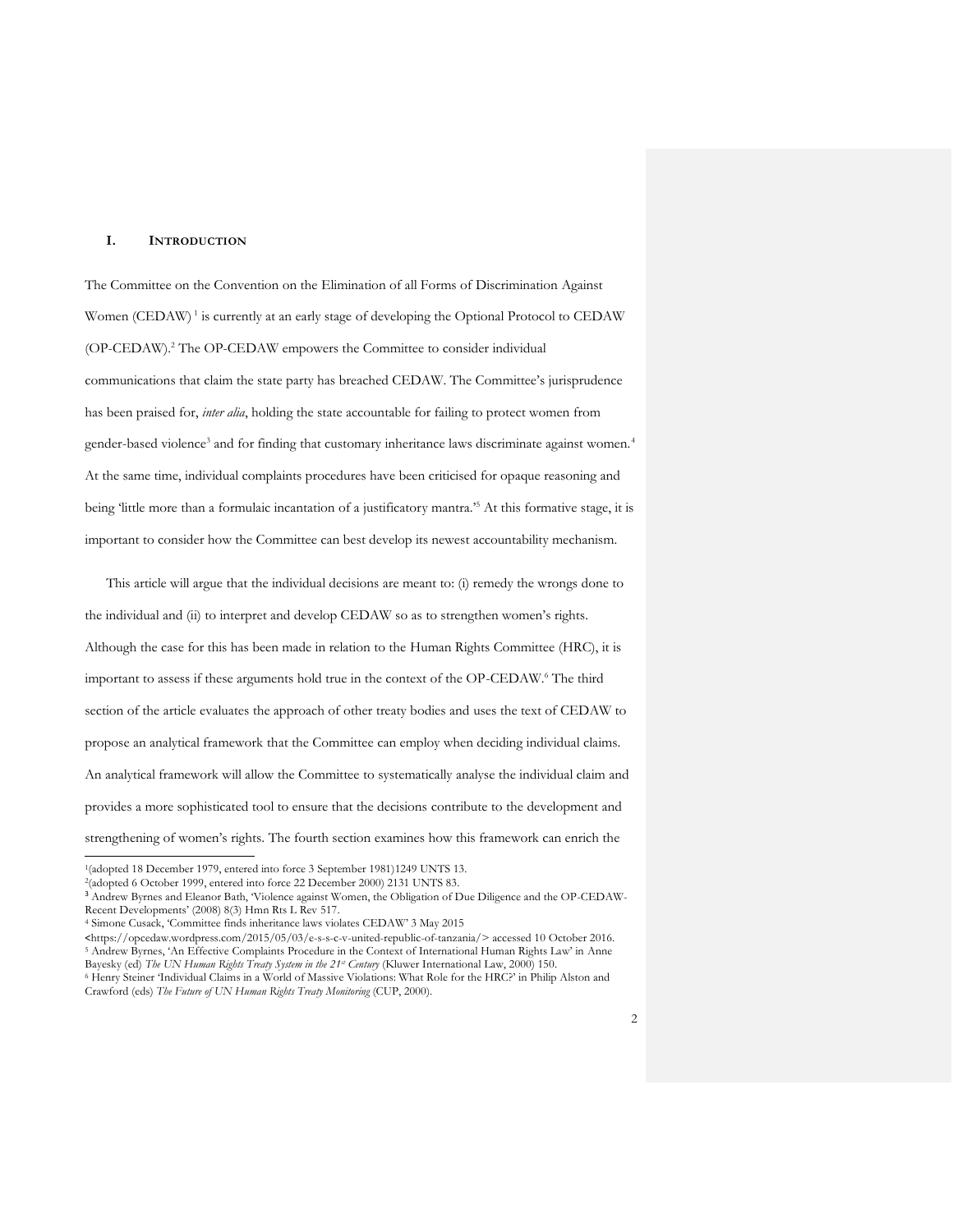#### **I. INTRODUCTION**

The Committee on the Convention on the Elimination of all Forms of Discrimination Against Women (CEDAW)<sup>1</sup> is currently at an early stage of developing the Optional Protocol to CEDAW (OP-CEDAW).<sup>2</sup> The OP-CEDAW empowers the Committee to consider individual communications that claim the state party has breached CEDAW. The Committee's jurisprudence has been praised for, *inter alia*, holding the state accountable for failing to protect women from gender-based violence<sup>3</sup> and for finding that customary inheritance laws discriminate against women.<sup>4</sup> At the same time, individual complaints procedures have been criticised for opaque reasoning and being 'little more than a formulaic incantation of a justificatory mantra.'<sup>5</sup> At this formative stage, it is important to consider how the Committee can best develop its newest accountability mechanism.

This article will argue that the individual decisions are meant to: (i) remedy the wrongs done to the individual and (ii) to interpret and develop CEDAW so as to strengthen women's rights. Although the case for this has been made in relation to the Human Rights Committee (HRC), it is important to assess if these arguments hold true in the context of the OP-CEDAW.<sup>6</sup> The third section of the article evaluates the approach of other treaty bodies and uses the text of CEDAW to propose an analytical framework that the Committee can employ when deciding individual claims. An analytical framework will allow the Committee to systematically analyse the individual claim and provides a more sophisticated tool to ensure that the decisions contribute to the development and strengthening of women's rights. The fourth section examines how this framework can enrich the

<sup>&</sup>lt;sup>1</sup>(adopted 18 December 1979, entered into force 3 September 1981)1249 UNTS 13.

<sup>2</sup> (adopted 6 October 1999, entered into force 22 December 2000) 2131 UNTS 83.

<sup>3</sup> Andrew Byrnes and Eleanor Bath, 'Violence against Women, the Obligation of Due Diligence and the OP-CEDAW-Recent Developments' (2008) 8(3) Hmn Rts L Rev 517.

<sup>4</sup> Simone Cusack, 'Committee finds inheritance laws violates CEDAW' 3 May 2015

<sup>&</sup>lt;https://opcedaw.wordpress.com/2015/05/03/e-s-s-c-v-united-republic-of-tanzania/> accessed 10 October 2016. <sup>5</sup> Andrew Byrnes, 'An Effective Complaints Procedure in the Context of International Human Rights Law' in Anne Bayesky (ed) *The UN Human Rights Treaty System in the 21st Century* (Kluwer International Law, 2000) 150. <sup>6</sup> Henry Steiner 'Individual Claims in a World of Massive Violations: What Role for the HRC?' in Philip Alston and Crawford (eds) *The Future of UN Human Rights Treaty Monitoring* (CUP, 2000).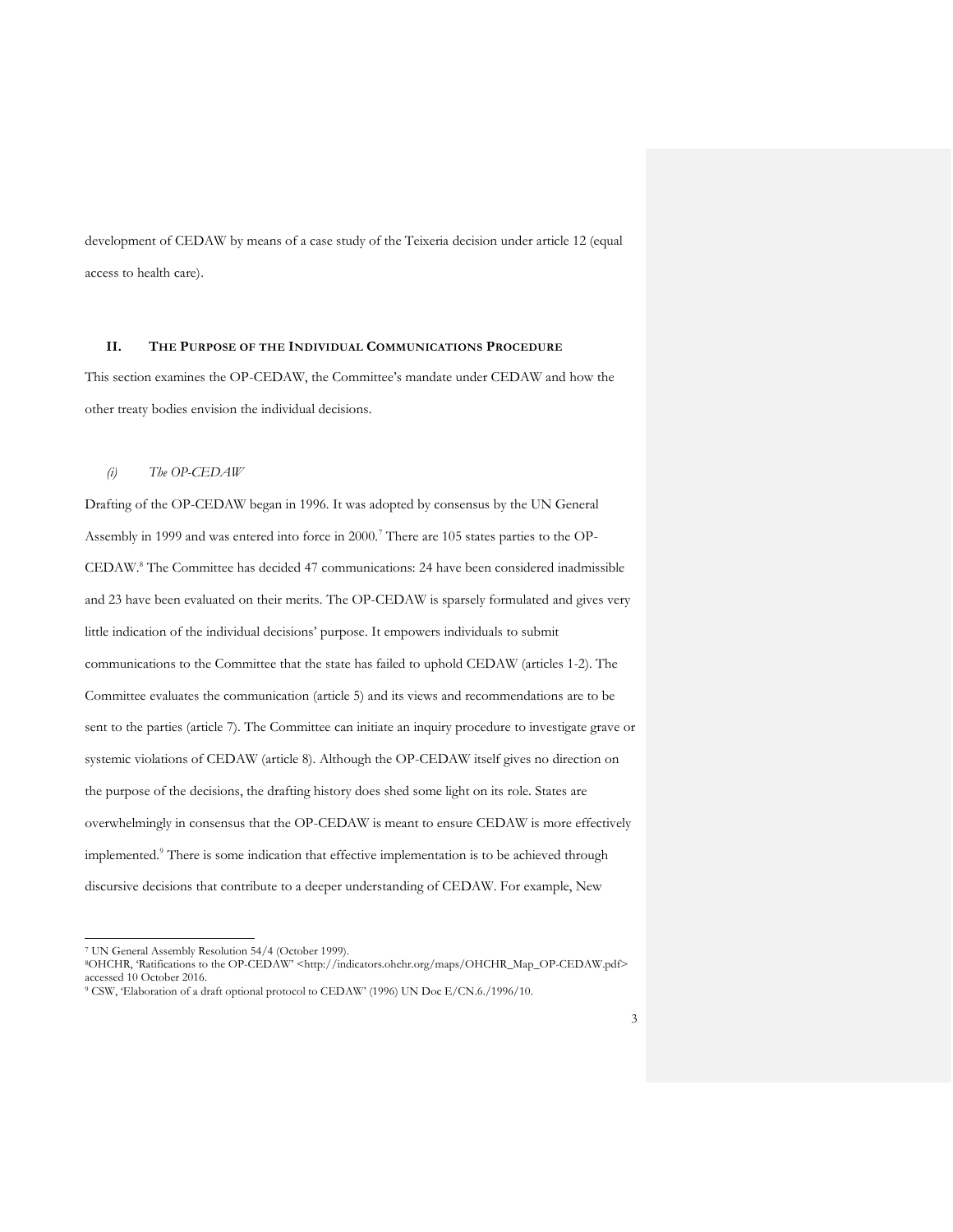development of CEDAW by means of a case study of the Teixeria decision under article 12 (equal access to health care).

#### **II. THE PURPOSE OF THE INDIVIDUAL COMMUNICATIONS PROCEDURE**

This section examines the OP-CEDAW, the Committee's mandate under CEDAW and how the other treaty bodies envision the individual decisions.

#### *(i) The OP-CEDAW*

Drafting of the OP-CEDAW began in 1996. It was adopted by consensus by the UN General Assembly in 1999 and was entered into force in 2000.<sup>7</sup> There are 105 states parties to the OP-CEDAW.<sup>8</sup> The Committee has decided 47 communications: 24 have been considered inadmissible and 23 have been evaluated on their merits. The OP-CEDAW is sparsely formulated and gives very little indication of the individual decisions' purpose. It empowers individuals to submit communications to the Committee that the state has failed to uphold CEDAW (articles 1-2). The Committee evaluates the communication (article 5) and its views and recommendations are to be sent to the parties (article 7). The Committee can initiate an inquiry procedure to investigate grave or systemic violations of CEDAW (article 8). Although the OP-CEDAW itself gives no direction on the purpose of the decisions, the drafting history does shed some light on its role. States are overwhelmingly in consensus that the OP-CEDAW is meant to ensure CEDAW is more effectively implemented.<sup>9</sup> There is some indication that effective implementation is to be achieved through discursive decisions that contribute to a deeper understanding of CEDAW. For example, New

 $\overline{a}$ 

<sup>8</sup>OHCHR, 'Ratifications to the OP-CEDAW' <http://indicators.ohchr.org/maps/OHCHR\_Map\_OP-CEDAW.pdf> accessed 10 October 2016.

<sup>7</sup> UN General Assembly Resolution 54/4 (October 1999).

<sup>9</sup> CSW, 'Elaboration of a draft optional protocol to CEDAW' (1996) UN Doc E/CN.6./1996/10.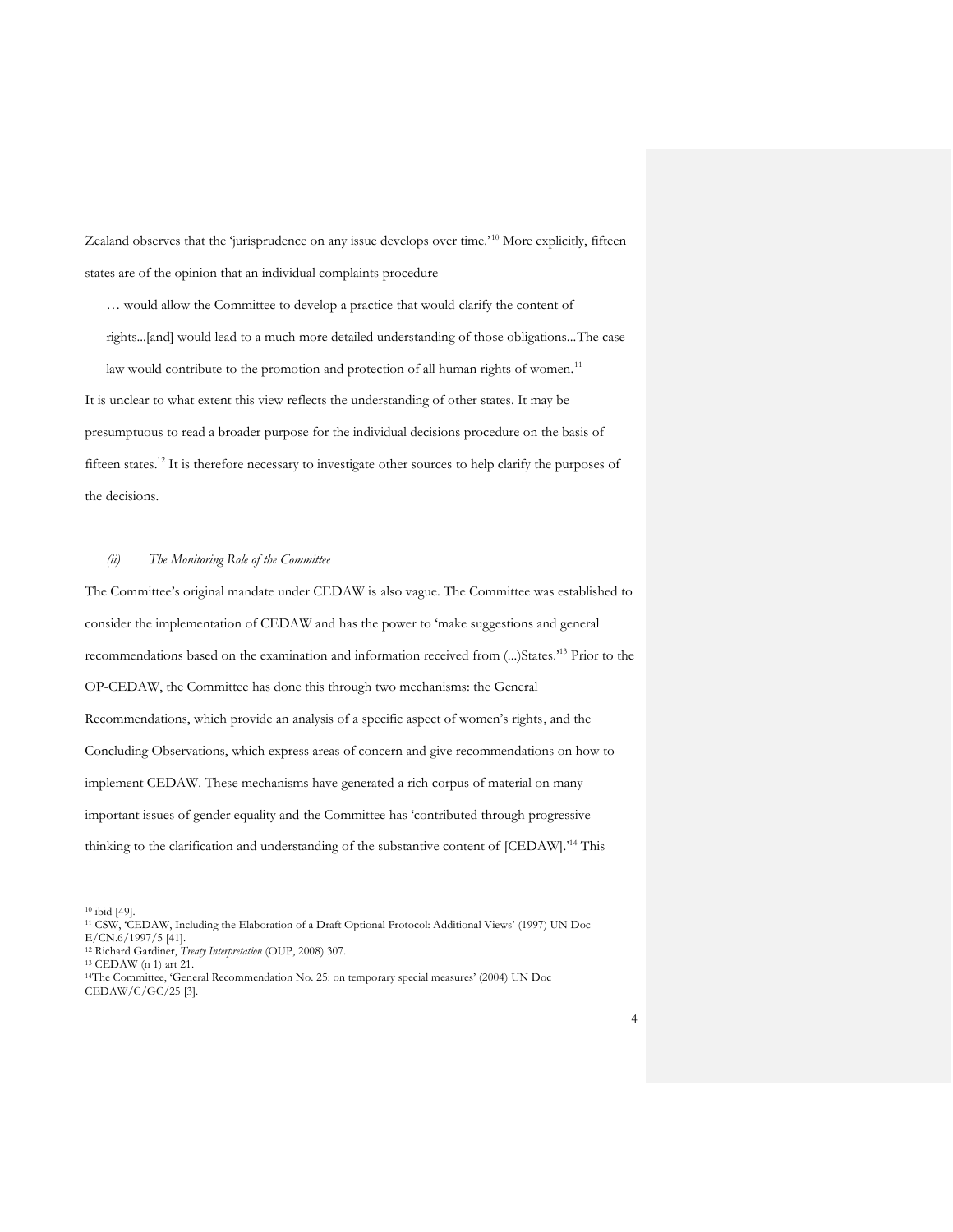Zealand observes that the 'jurisprudence on any issue develops over time.'<sup>10</sup> More explicitly, fifteen states are of the opinion that an individual complaints procedure

… would allow the Committee to develop a practice that would clarify the content of

rights...[and] would lead to a much more detailed understanding of those obligations...The case

law would contribute to the promotion and protection of all human rights of women.<sup>11</sup> It is unclear to what extent this view reflects the understanding of other states. It may be presumptuous to read a broader purpose for the individual decisions procedure on the basis of fifteen states.<sup>12</sup> It is therefore necessary to investigate other sources to help clarify the purposes of the decisions.

#### *(ii) The Monitoring Role of the Committee*

The Committee's original mandate under CEDAW is also vague. The Committee was established to consider the implementation of CEDAW and has the power to 'make suggestions and general recommendations based on the examination and information received from (...)States.'<sup>13</sup> Prior to the OP-CEDAW, the Committee has done this through two mechanisms: the General Recommendations, which provide an analysis of a specific aspect of women's rights, and the Concluding Observations, which express areas of concern and give recommendations on how to implement CEDAW. These mechanisms have generated a rich corpus of material on many important issues of gender equality and the Committee has 'contributed through progressive thinking to the clarification and understanding of the substantive content of [CEDAW].<sup>14</sup> This

<sup>10</sup> ibid [49].

<sup>11</sup> CSW, 'CEDAW, Including the Elaboration of a Draft Optional Protocol: Additional Views' (1997) UN Doc E/CN.6/1997/5 [41].

<sup>12</sup> Richard Gardiner, *Treaty Interpretation* (OUP, 2008) 307.

<sup>13</sup> CEDAW (n 1) art 21.

<sup>14</sup>The Committee, 'General Recommendation No. 25: on temporary special measures' (2004) UN Doc CEDAW/C/GC/25 [3].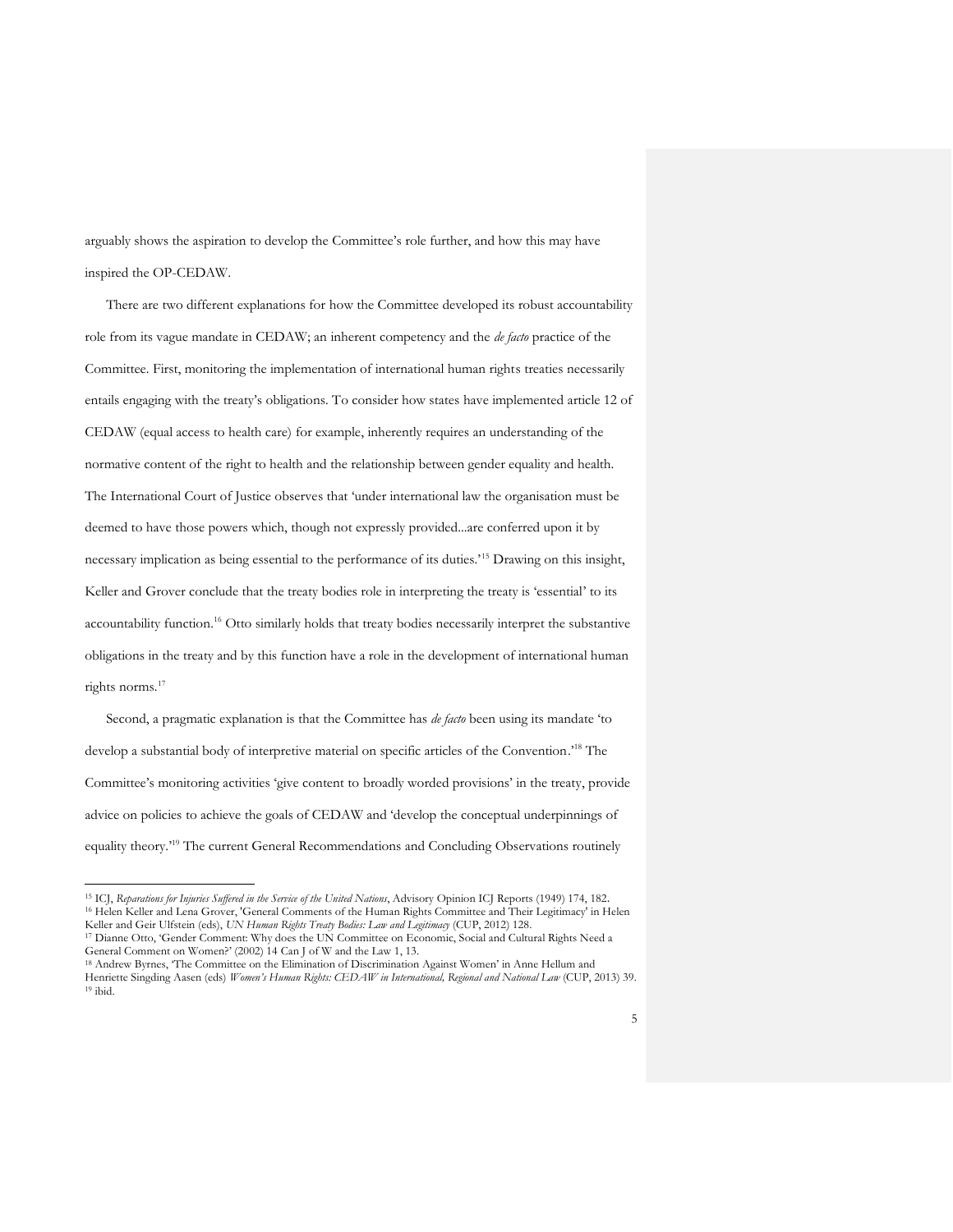arguably shows the aspiration to develop the Committee's role further, and how this may have inspired the OP-CEDAW.

There are two different explanations for how the Committee developed its robust accountability role from its vague mandate in CEDAW; an inherent competency and the *de facto* practice of the Committee. First, monitoring the implementation of international human rights treaties necessarily entails engaging with the treaty's obligations. To consider how states have implemented article 12 of CEDAW (equal access to health care) for example, inherently requires an understanding of the normative content of the right to health and the relationship between gender equality and health. The International Court of Justice observes that 'under international law the organisation must be deemed to have those powers which, though not expressly provided...are conferred upon it by necessary implication as being essential to the performance of its duties.'<sup>15</sup> Drawing on this insight, Keller and Grover conclude that the treaty bodies role in interpreting the treaty is 'essential' to its accountability function.<sup>16</sup> Otto similarly holds that treaty bodies necessarily interpret the substantive obligations in the treaty and by this function have a role in the development of international human rights norms.<sup>17</sup>

Second, a pragmatic explanation is that the Committee has *de facto* been using its mandate 'to develop a substantial body of interpretive material on specific articles of the Convention.' <sup>18</sup> The Committee's monitoring activities 'give content to broadly worded provisions' in the treaty, provide advice on policies to achieve the goals of CEDAW and 'develop the conceptual underpinnings of equality theory.<sup>19</sup> The current General Recommendations and Concluding Observations routinely

<sup>15</sup> ICJ, *Reparations for Injuries Suffered in the Service of the United Nations*, Advisory Opinion ICJ Reports (1949) 174, 182. <sup>16</sup> Helen Keller and Lena Grover, 'General Comments of the Human Rights Committee and Their Legitimacy' in Helen Keller and Geir Ulfstein (eds), *UN Human Rights Treaty Bodies: Law and Legitimacy* (CUP, 2012) 128.

<sup>17</sup> Dianne Otto, 'Gender Comment: Why does the UN Committee on Economic, Social and Cultural Rights Need a General Comment on Women?' (2002) 14 Can J of W and the Law 1, 13.

<sup>18</sup> Andrew Byrnes, 'The Committee on the Elimination of Discrimination Against Women' in Anne Hellum and Henriette Singding Aasen (eds) *Women's Human Rights: CEDAW in International, Regional and National Law* (CUP, 2013) 39. <sup>19</sup> ibid.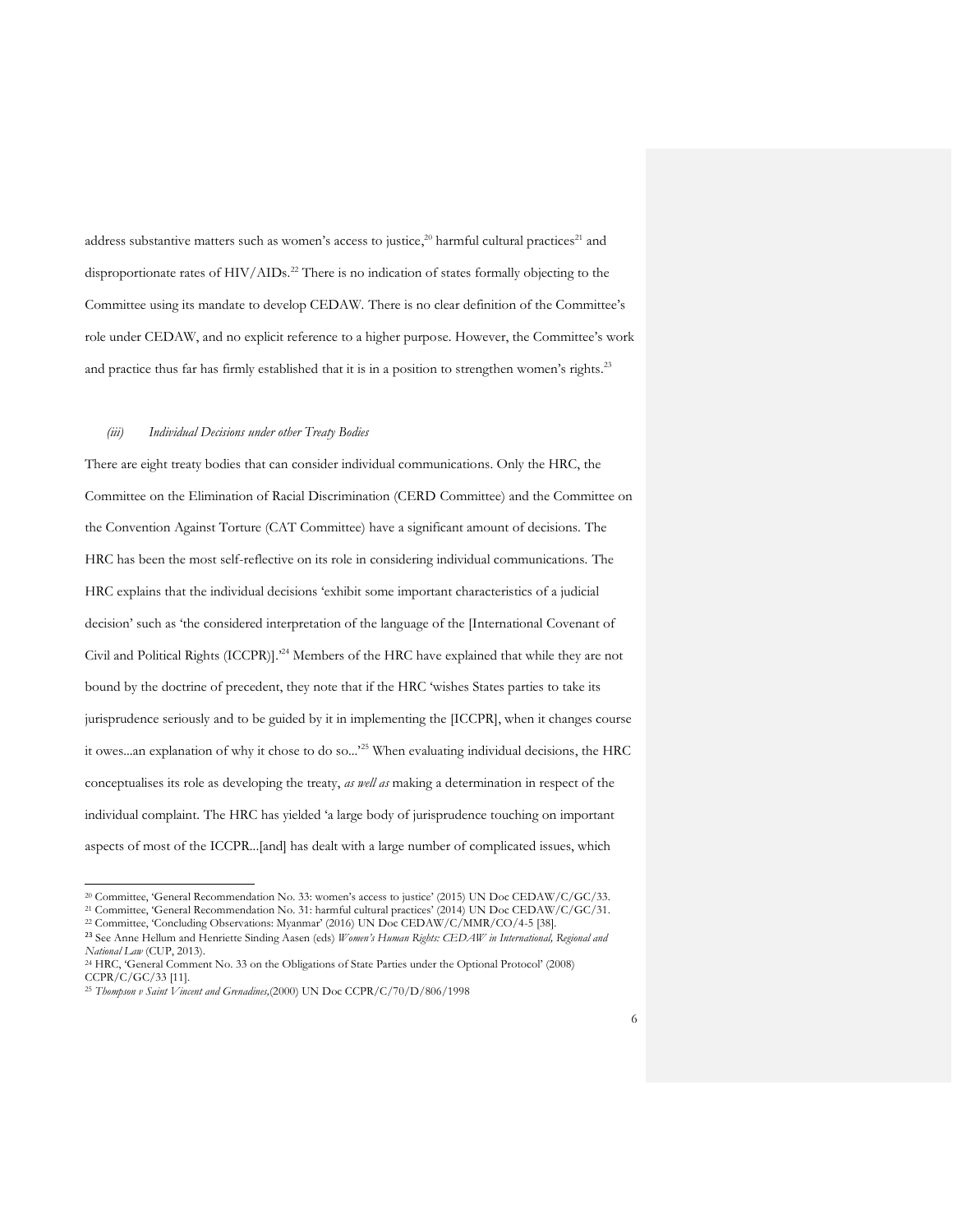address substantive matters such as women's access to justice,<sup>20</sup> harmful cultural practices<sup>21</sup> and disproportionate rates of HIV/AIDs.<sup>22</sup> There is no indication of states formally objecting to the Committee using its mandate to develop CEDAW. There is no clear definition of the Committee's role under CEDAW, and no explicit reference to a higher purpose. However, the Committee's work and practice thus far has firmly established that it is in a position to strengthen women's rights.<sup>23</sup>

#### *(iii) Individual Decisions under other Treaty Bodies*

There are eight treaty bodies that can consider individual communications. Only the HRC, the Committee on the Elimination of Racial Discrimination (CERD Committee) and the Committee on the Convention Against Torture (CAT Committee) have a significant amount of decisions. The HRC has been the most self-reflective on its role in considering individual communications. The HRC explains that the individual decisions 'exhibit some important characteristics of a judicial decision' such as 'the considered interpretation of the language of the [International Covenant of Civil and Political Rights (ICCPR)].'<sup>24</sup> Members of the HRC have explained that while they are not bound by the doctrine of precedent, they note that if the HRC 'wishes States parties to take its jurisprudence seriously and to be guided by it in implementing the [ICCPR], when it changes course it owes...an explanation of why it chose to do so...'<sup>25</sup> When evaluating individual decisions, the HRC conceptualises its role as developing the treaty, *as well as* making a determination in respect of the individual complaint. The HRC has yielded 'a large body of jurisprudence touching on important aspects of most of the ICCPR...[and] has dealt with a large number of complicated issues, which

<sup>20</sup> Committee, 'General Recommendation No. 33: women's access to justice' (2015) UN Doc CEDAW/C/GC/33.

<sup>21</sup> Committee, 'General Recommendation No. 31: harmful cultural practices' (2014) UN Doc CEDAW/C/GC/31.

<sup>22</sup> Committee, 'Concluding Observations: Myanmar' (2016) UN Doc CEDAW/C/MMR/CO/4-5 [38].

<sup>23</sup> See Anne Hellum and Henriette Sinding Aasen (eds) *Women's Human Rights: CEDAW in International, Regional and National Law* (CUP, 2013).

<sup>24</sup> HRC, 'General Comment No. 33 on the Obligations of State Parties under the Optional Protocol' (2008) CCPR/C/GC/33 [11].

<sup>25</sup> *Thompson v Saint Vincent and Grenadines,*(2000) UN Doc CCPR/C/70/D/806/1998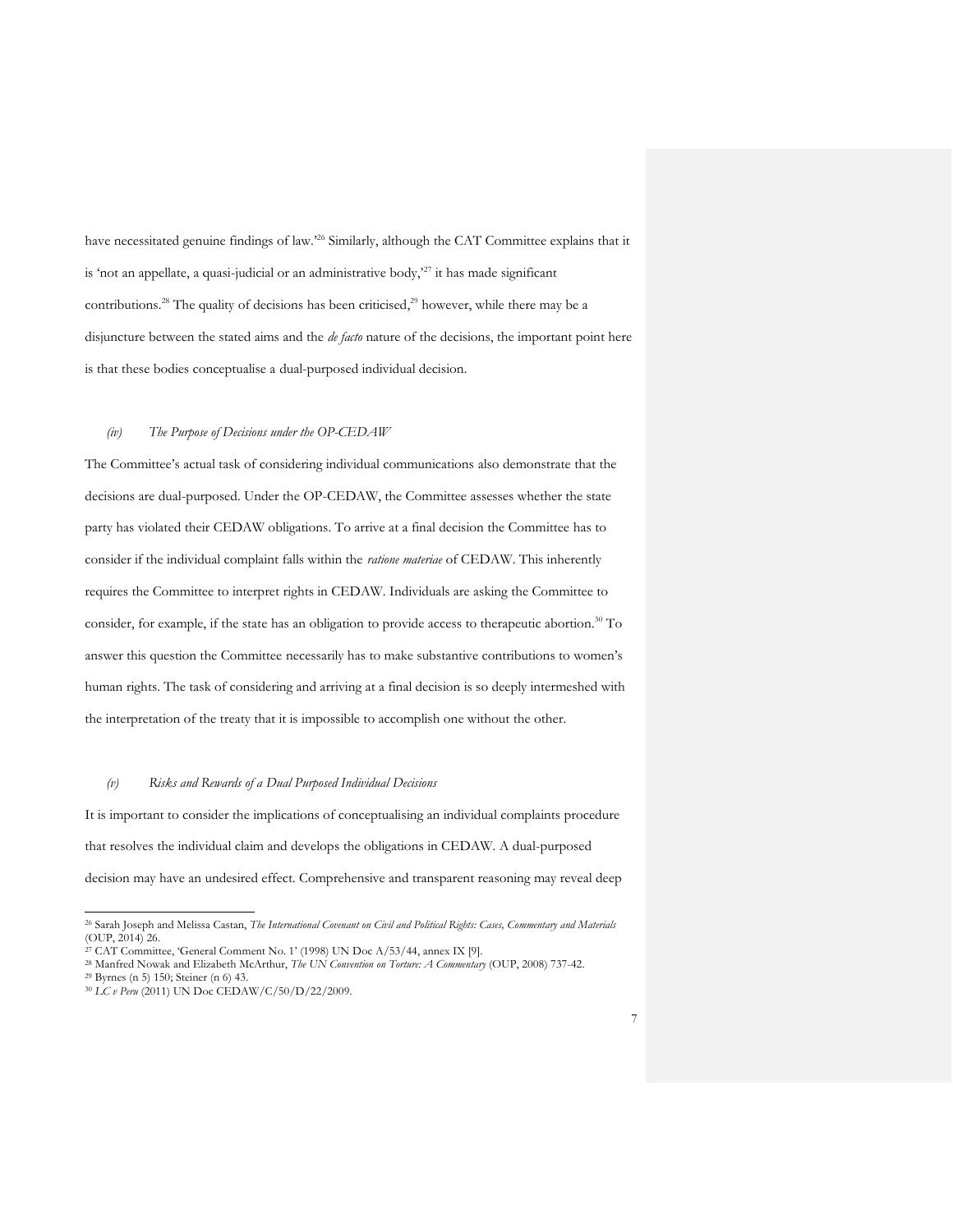have necessitated genuine findings of law.<sup>26</sup> Similarly, although the CAT Committee explains that it is 'not an appellate, a quasi-judicial or an administrative body, $27$  it has made significant contributions.<sup>28</sup> The quality of decisions has been criticised,<sup>29</sup> however, while there may be a disjuncture between the stated aims and the *de facto* nature of the decisions, the important point here is that these bodies conceptualise a dual-purposed individual decision.

#### *(iv) The Purpose of Decisions under the OP-CEDAW*

The Committee's actual task of considering individual communications also demonstrate that the decisions are dual-purposed. Under the OP-CEDAW, the Committee assesses whether the state party has violated their CEDAW obligations. To arrive at a final decision the Committee has to consider if the individual complaint falls within the *ratione materiae* of CEDAW. This inherently requires the Committee to interpret rights in CEDAW. Individuals are asking the Committee to consider, for example, if the state has an obligation to provide access to therapeutic abortion. <sup>30</sup> To answer this question the Committee necessarily has to make substantive contributions to women's human rights. The task of considering and arriving at a final decision is so deeply intermeshed with the interpretation of the treaty that it is impossible to accomplish one without the other.

#### *(v) Risks and Rewards of a Dual Purposed Individual Decisions*

It is important to consider the implications of conceptualising an individual complaints procedure that resolves the individual claim and develops the obligations in CEDAW. A dual-purposed decision may have an undesired effect. Comprehensive and transparent reasoning may reveal deep

<sup>26</sup> Sarah Joseph and Melissa Castan, *The International Covenant on Civil and Political Rights: Cases, Commentary and Materials* (OUP, 2014) 26.

<sup>&</sup>lt;sup>27</sup> CAT Committee, 'General Comment No. 1' (1998) UN Doc A/53/44, annex IX [9].

<sup>28</sup> Manfred Nowak and Elizabeth McArthur, *The UN Convention on Torture: A Commentary* (OUP, 2008) 737-42.

<sup>29</sup> Byrnes (n 5) 150; Steiner (n 6) 43.

<sup>30</sup> *LC v Peru* (2011) UN Doc CEDAW/C/50/D/22/2009.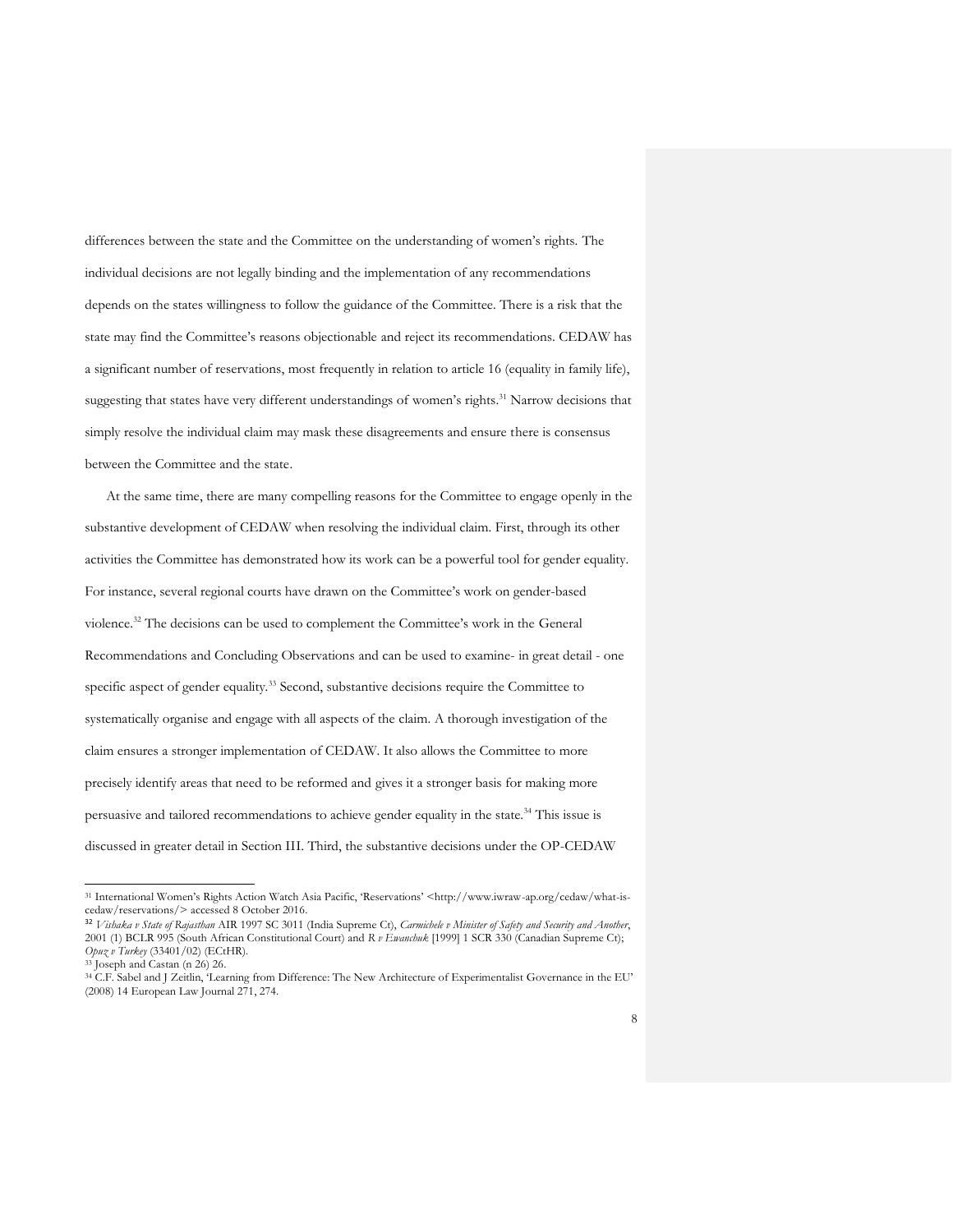differences between the state and the Committee on the understanding of women's rights. The individual decisions are not legally binding and the implementation of any recommendations depends on the states willingness to follow the guidance of the Committee. There is a risk that the state may find the Committee's reasons objectionable and reject its recommendations. CEDAW has a significant number of reservations, most frequently in relation to article 16 (equality in family life), suggesting that states have very different understandings of women's rights.<sup>31</sup> Narrow decisions that simply resolve the individual claim may mask these disagreements and ensure there is consensus between the Committee and the state.

At the same time, there are many compelling reasons for the Committee to engage openly in the substantive development of CEDAW when resolving the individual claim. First, through its other activities the Committee has demonstrated how its work can be a powerful tool for gender equality. For instance, several regional courts have drawn on the Committee's work on gender-based violence.<sup>32</sup> The decisions can be used to complement the Committee's work in the General Recommendations and Concluding Observations and can be used to examine- in great detail - one specific aspect of gender equality.<sup>33</sup> Second, substantive decisions require the Committee to systematically organise and engage with all aspects of the claim. A thorough investigation of the claim ensures a stronger implementation of CEDAW. It also allows the Committee to more precisely identify areas that need to be reformed and gives it a stronger basis for making more persuasive and tailored recommendations to achieve gender equality in the state.<sup>34</sup> This issue is discussed in greater detail in Section III. Third, the substantive decisions under the OP-CEDAW

<sup>31</sup> International Women's Rights Action Watch Asia Pacific, 'Reservations' <http://www.iwraw-ap.org/cedaw/what-iscedaw/reservations/> accessed 8 October 2016.

<sup>32</sup> *Vishaka v State of Rajasthan* AIR 1997 SC 3011 (India Supreme Ct), *Carmichele v Minister of Safety and Security and Another*, 2001 (1) BCLR 995 (South African Constitutional Court) and *R v Ewanchuk* [1999] 1 SCR 330 (Canadian Supreme Ct); *Opuz v Turkey* (33401/02) (ECtHR).

<sup>33</sup> Joseph and Castan (n 26) 26.

<sup>34</sup> C.F. Sabel and J Zeitlin, 'Learning from Difference: The New Architecture of Experimentalist Governance in the EU' (2008) 14 European Law Journal 271, 274.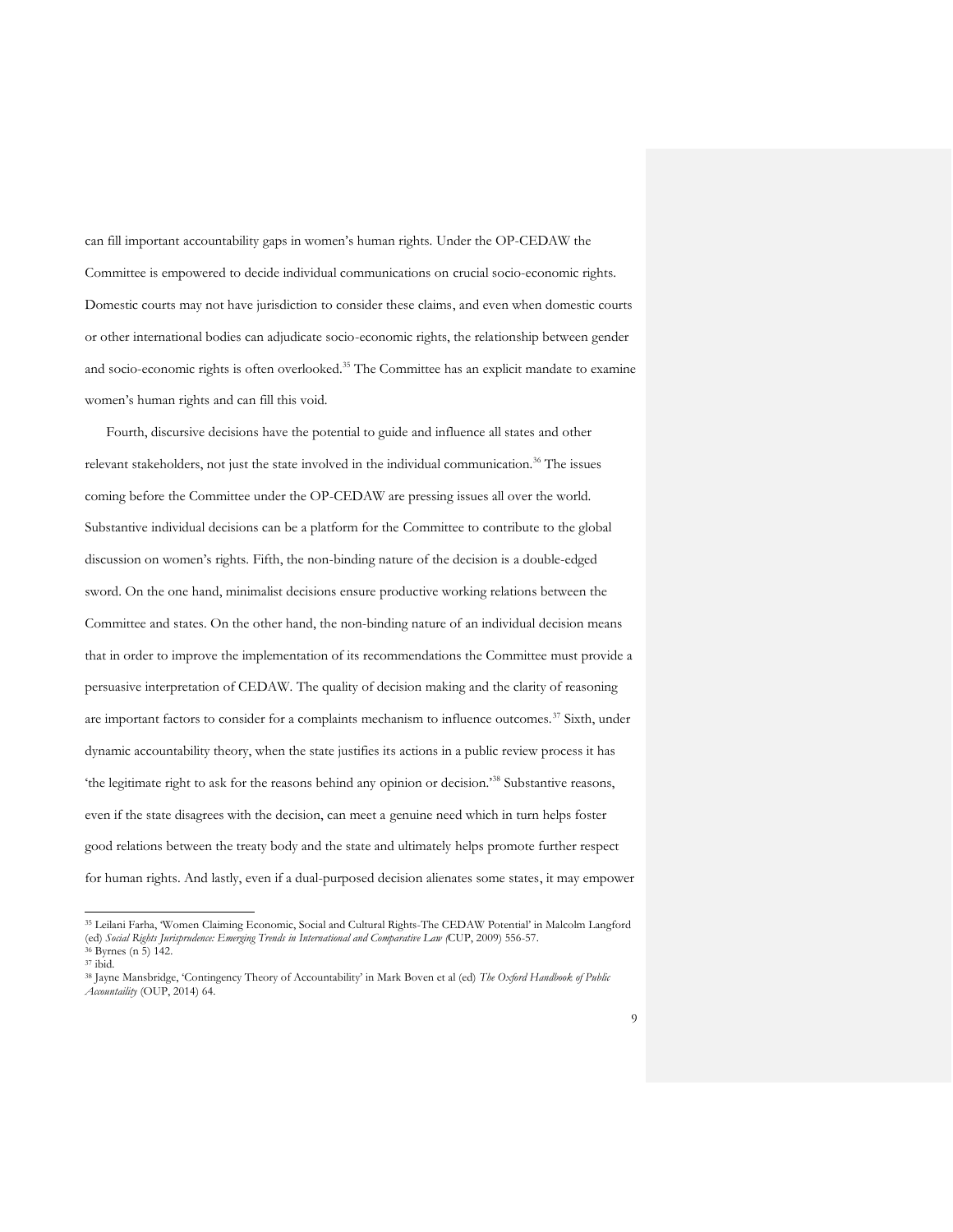can fill important accountability gaps in women's human rights. Under the OP-CEDAW the Committee is empowered to decide individual communications on crucial socio-economic rights. Domestic courts may not have jurisdiction to consider these claims, and even when domestic courts or other international bodies can adjudicate socio-economic rights, the relationship between gender and socio-economic rights is often overlooked. <sup>35</sup> The Committee has an explicit mandate to examine women's human rights and can fill this void.

Fourth, discursive decisions have the potential to guide and influence all states and other relevant stakeholders, not just the state involved in the individual communication.<sup>36</sup> The issues coming before the Committee under the OP-CEDAW are pressing issues all over the world. Substantive individual decisions can be a platform for the Committee to contribute to the global discussion on women's rights. Fifth, the non-binding nature of the decision is a double-edged sword. On the one hand, minimalist decisions ensure productive working relations between the Committee and states. On the other hand, the non-binding nature of an individual decision means that in order to improve the implementation of its recommendations the Committee must provide a persuasive interpretation of CEDAW. The quality of decision making and the clarity of reasoning are important factors to consider for a complaints mechanism to influence outcomes.<sup>37</sup> Sixth, under dynamic accountability theory, when the state justifies its actions in a public review process it has 'the legitimate right to ask for the reasons behind any opinion or decision.'<sup>38</sup> Substantive reasons, even if the state disagrees with the decision, can meet a genuine need which in turn helps foster good relations between the treaty body and the state and ultimately helps promote further respect for human rights. And lastly, even if a dual-purposed decision alienates some states, it may empower

<sup>35</sup> Leilani Farha, 'Women Claiming Economic, Social and Cultural Rights-The CEDAW Potential' in Malcolm Langford (ed) *Social Rights Jurisprudence: Emerging Trends in International and Comparative Law (*CUP, 2009) 556-57.

<sup>36</sup> Byrnes (n 5) 142.

 $^{37}$ ibid.

<sup>38</sup> Jayne Mansbridge, 'Contingency Theory of Accountability' in Mark Boven et al (ed) *The Oxford Handbook of Public Accountaility* (OUP, 2014) 64.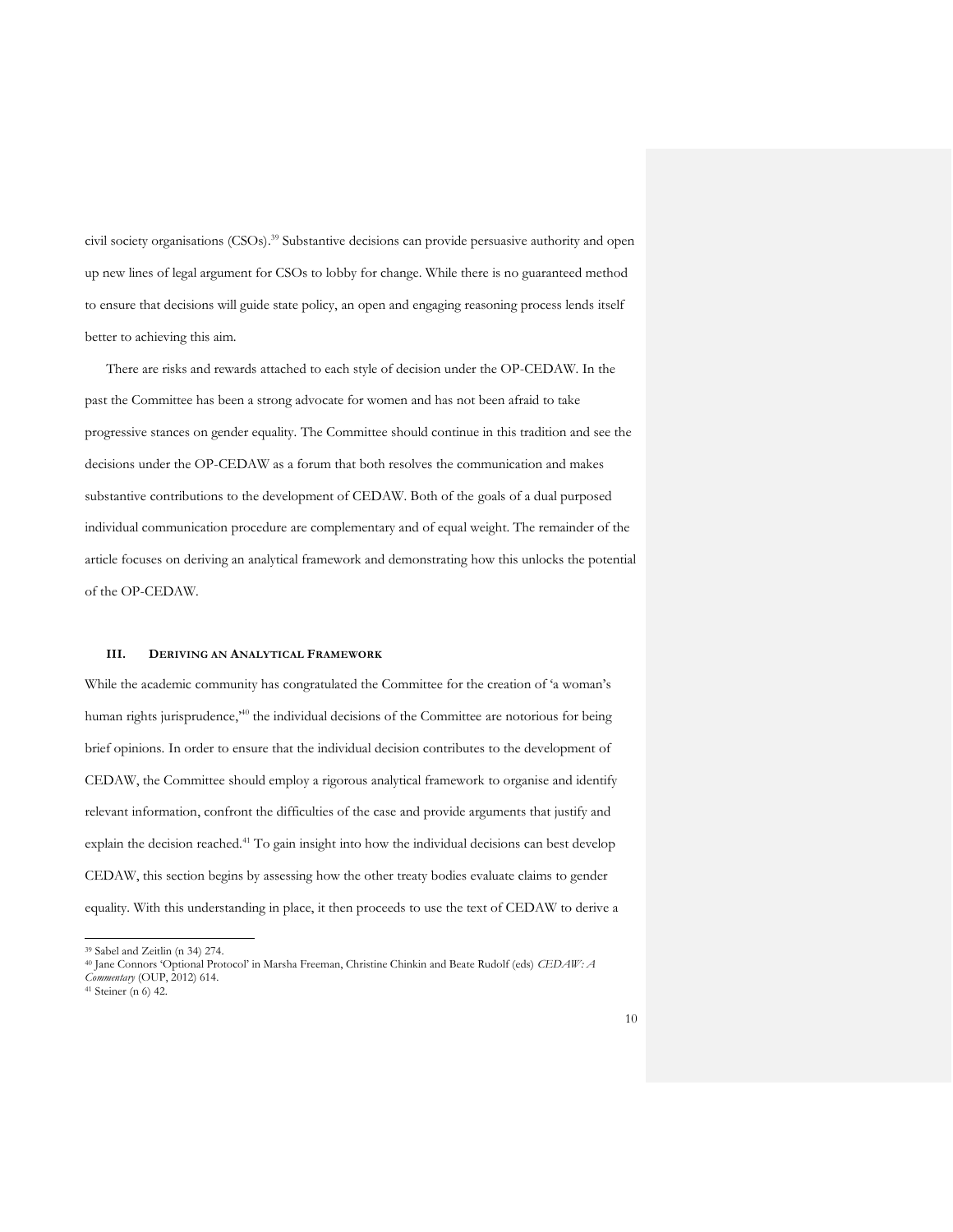civil society organisations (CSOs). <sup>39</sup> Substantive decisions can provide persuasive authority and open up new lines of legal argument for CSOs to lobby for change. While there is no guaranteed method to ensure that decisions will guide state policy, an open and engaging reasoning process lends itself better to achieving this aim.

There are risks and rewards attached to each style of decision under the OP-CEDAW. In the past the Committee has been a strong advocate for women and has not been afraid to take progressive stances on gender equality. The Committee should continue in this tradition and see the decisions under the OP-CEDAW as a forum that both resolves the communication and makes substantive contributions to the development of CEDAW. Both of the goals of a dual purposed individual communication procedure are complementary and of equal weight. The remainder of the article focuses on deriving an analytical framework and demonstrating how this unlocks the potential of the OP-CEDAW.

#### **III. DERIVING AN ANALYTICAL FRAMEWORK**

While the academic community has congratulated the Committee for the creation of 'a woman's human rights jurisprudence,<sup>40</sup> the individual decisions of the Committee are notorious for being brief opinions. In order to ensure that the individual decision contributes to the development of CEDAW, the Committee should employ a rigorous analytical framework to organise and identify relevant information, confront the difficulties of the case and provide arguments that justify and explain the decision reached.<sup>41</sup> To gain insight into how the individual decisions can best develop CEDAW, this section begins by assessing how the other treaty bodies evaluate claims to gender equality. With this understanding in place, it then proceeds to use the text of CEDAW to derive a

<sup>39</sup> Sabel and Zeitlin (n 34) 274.

<sup>40</sup> Jane Connors 'Optional Protocol' in Marsha Freeman, Christine Chinkin and Beate Rudolf (eds) *CEDAW: A* 

*Commentary* (OUP, 2012) 614.

<sup>41</sup> Steiner (n 6) 42.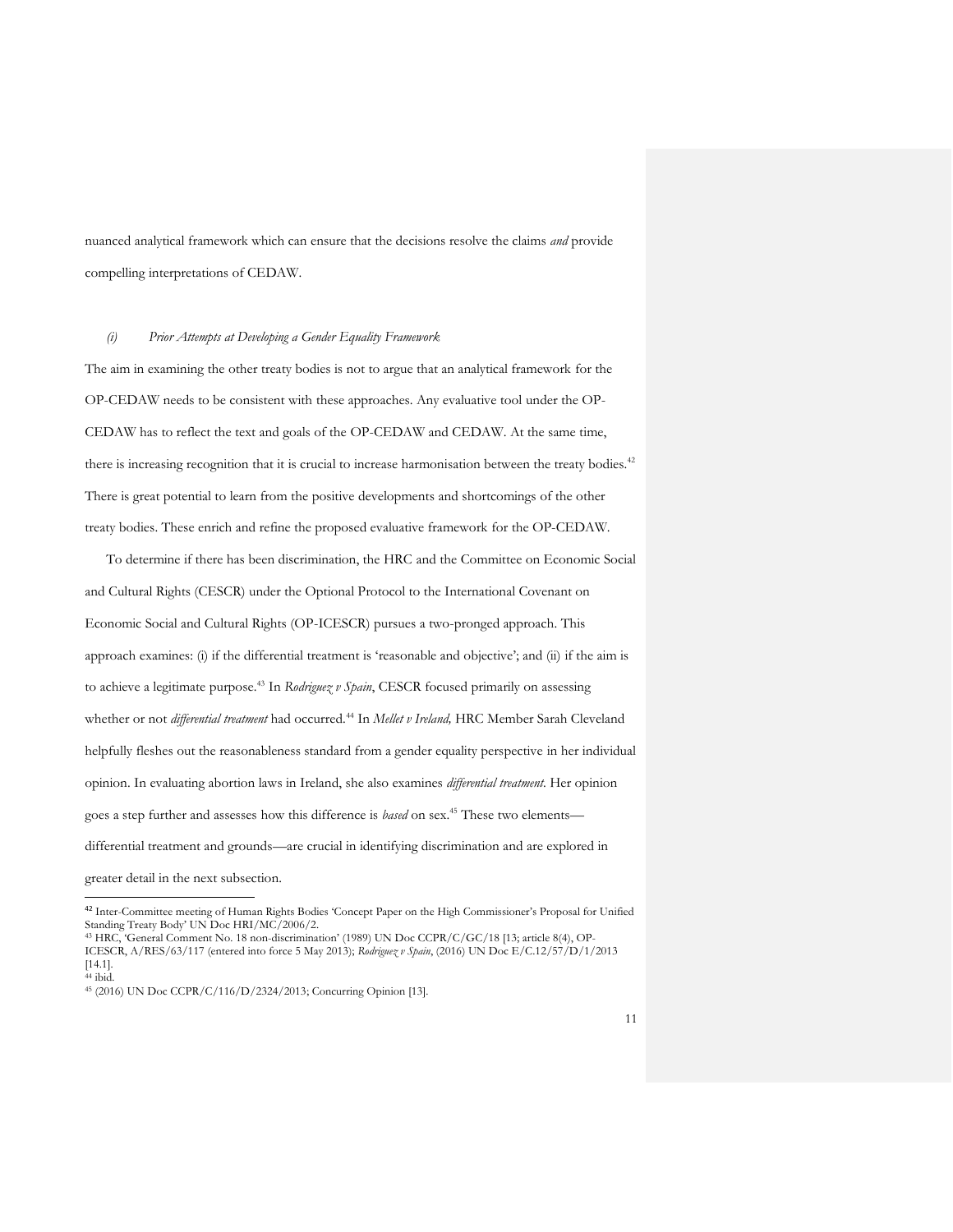nuanced analytical framework which can ensure that the decisions resolve the claims *and* provide compelling interpretations of CEDAW.

#### *(i) Prior Attempts at Developing a Gender Equality Framework*

The aim in examining the other treaty bodies is not to argue that an analytical framework for the OP-CEDAW needs to be consistent with these approaches. Any evaluative tool under the OP-CEDAW has to reflect the text and goals of the OP-CEDAW and CEDAW. At the same time, there is increasing recognition that it is crucial to increase harmonisation between the treaty bodies.<sup>42</sup> There is great potential to learn from the positive developments and shortcomings of the other treaty bodies. These enrich and refine the proposed evaluative framework for the OP-CEDAW.

To determine if there has been discrimination, the HRC and the Committee on Economic Social and Cultural Rights (CESCR) under the Optional Protocol to the International Covenant on Economic Social and Cultural Rights (OP-ICESCR) pursues a two-pronged approach. This approach examines: (i) if the differential treatment is 'reasonable and objective'; and (ii) if the aim is to achieve a legitimate purpose.<sup>43</sup> In *Rodriguez v Spain*, CESCR focused primarily on assessing whether or not *differential treatment* had occurred.<sup>44</sup> In *Mellet v Ireland*, HRC Member Sarah Cleveland helpfully fleshes out the reasonableness standard from a gender equality perspective in her individual opinion. In evaluating abortion laws in Ireland, she also examines *differential treatment*. Her opinion goes a step further and assesses how this difference is *based* on sex.<sup>45</sup> These two elements differential treatment and grounds—are crucial in identifying discrimination and are explored in

greater detail in the next subsection.

<sup>42</sup> Inter-Committee meeting of Human Rights Bodies 'Concept Paper on the High Commissioner's Proposal for Unified Standing Treaty Body' UN Doc HRI/MC/2006/2.

<sup>43</sup> HRC, 'General Comment No. 18 non-discrimination' (1989) UN Doc CCPR/C/GC/18 [13; article 8(4), OP-ICESCR, A/RES/63/117 (entered into force 5 May 2013); *Rodriguez v Spain*, (2016) UN Doc E/C.12/57/D/1/2013 [14.1].  $44$  ibid.

<sup>45</sup> (2016) UN Doc CCPR/C/116/D/2324/2013; Concurring Opinion [13].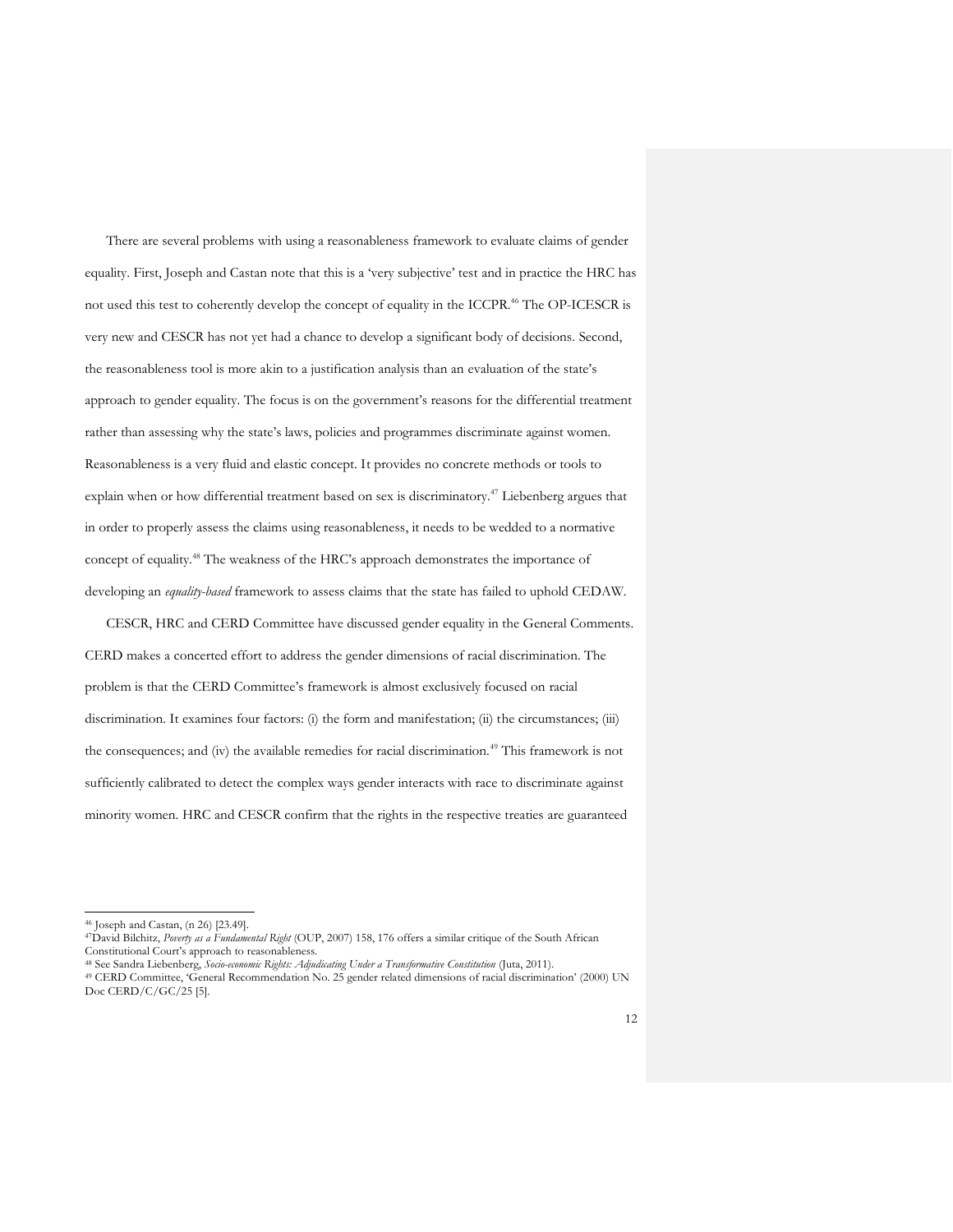There are several problems with using a reasonableness framework to evaluate claims of gender equality. First, Joseph and Castan note that this is a 'very subjective' test and in practice the HRC has not used this test to coherently develop the concept of equality in the ICCPR.<sup>46</sup> The OP-ICESCR is very new and CESCR has not yet had a chance to develop a significant body of decisions. Second, the reasonableness tool is more akin to a justification analysis than an evaluation of the state's approach to gender equality. The focus is on the government's reasons for the differential treatment rather than assessing why the state's laws, policies and programmes discriminate against women. Reasonableness is a very fluid and elastic concept. It provides no concrete methods or tools to explain when or how differential treatment based on sex is discriminatory.<sup>47</sup> Liebenberg argues that in order to properly assess the claims using reasonableness, it needs to be wedded to a normative concept of equality.<sup>48</sup> The weakness of the HRC's approach demonstrates the importance of developing an *equality-based* framework to assess claims that the state has failed to uphold CEDAW.

CESCR, HRC and CERD Committee have discussed gender equality in the General Comments. CERD makes a concerted effort to address the gender dimensions of racial discrimination. The problem is that the CERD Committee's framework is almost exclusively focused on racial discrimination. It examines four factors: (i) the form and manifestation; (ii) the circumstances; (iii) the consequences; and (iv) the available remedies for racial discrimination.<sup>49</sup> This framework is not sufficiently calibrated to detect the complex ways gender interacts with race to discriminate against minority women. HRC and CESCR confirm that the rights in the respective treaties are guaranteed

<sup>46</sup> Joseph and Castan, (n 26) [23.49].

<sup>47</sup>David Bilchitz, *Poverty as a Fundamental Right* (OUP, 2007) 158, 176 offers a similar critique of the South African Constitutional Court's approach to reasonableness.

<sup>48</sup> See Sandra Liebenberg, *Socio-economic Rights: Adjudicating Under a Transformative Constitution* (Juta, 2011).

<sup>49</sup> CERD Committee, 'General Recommendation No. 25 gender related dimensions of racial discrimination' (2000) UN Doc CERD/C/GC/25 [5].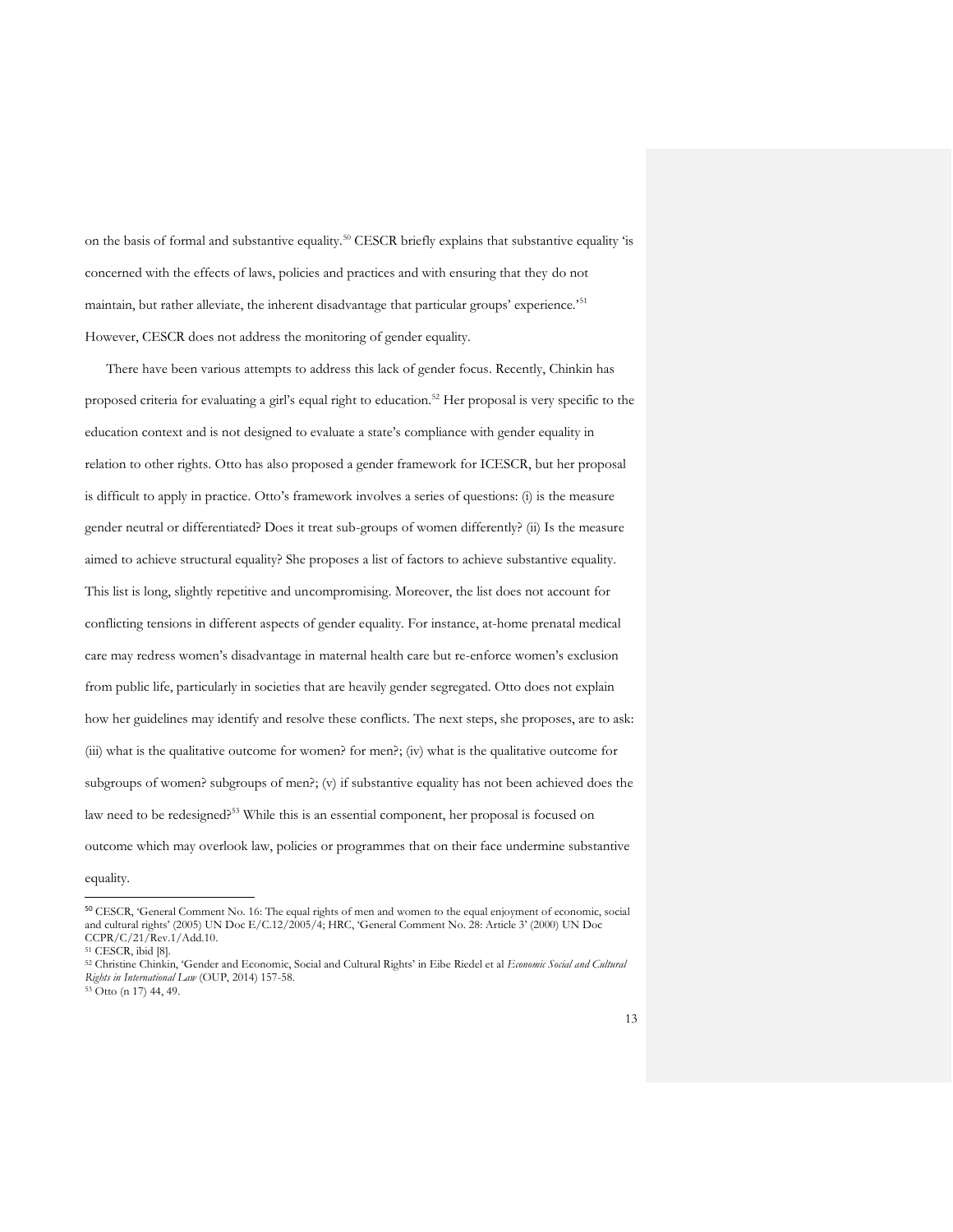on the basis of formal and substantive equality.<sup>50</sup> CESCR briefly explains that substantive equality 'is concerned with the effects of laws, policies and practices and with ensuring that they do not maintain, but rather alleviate, the inherent disadvantage that particular groups' experience.'<sup>51</sup> However, CESCR does not address the monitoring of gender equality.

There have been various attempts to address this lack of gender focus. Recently, Chinkin has proposed criteria for evaluating a girl's equal right to education.<sup>52</sup> Her proposal is very specific to the education context and is not designed to evaluate a state's compliance with gender equality in relation to other rights. Otto has also proposed a gender framework for ICESCR, but her proposal is difficult to apply in practice. Otto's framework involves a series of questions: (i) is the measure gender neutral or differentiated? Does it treat sub-groups of women differently? (ii) Is the measure aimed to achieve structural equality? She proposes a list of factors to achieve substantive equality. This list is long, slightly repetitive and uncompromising. Moreover, the list does not account for conflicting tensions in different aspects of gender equality. For instance, at-home prenatal medical care may redress women's disadvantage in maternal health care but re-enforce women's exclusion from public life, particularly in societies that are heavily gender segregated. Otto does not explain how her guidelines may identify and resolve these conflicts. The next steps, she proposes, are to ask: (iii) what is the qualitative outcome for women? for men?; (iv) what is the qualitative outcome for subgroups of women? subgroups of men?; (v) if substantive equality has not been achieved does the law need to be redesigned?<sup>53</sup> While this is an essential component, her proposal is focused on outcome which may overlook law, policies or programmes that on their face undermine substantive

equality.

<sup>50</sup> CESCR, 'General Comment No. 16: The equal rights of men and women to the equal enjoyment of economic, social and cultural rights' (2005) UN Doc E/C.12/2005/4; HRC, 'General Comment No. 28: Article 3' (2000) UN Doc CCPR/C/21/Rev.1/Add.10.

<sup>51</sup> CESCR, ibid [8].

<sup>52</sup> Christine Chinkin, 'Gender and Economic, Social and Cultural Rights' in Eibe Riedel et al *Economic Social and Cultural Rights in International Law* (OUP, 2014) 157-58.

 $53$  Otto (n 17) 44, 49.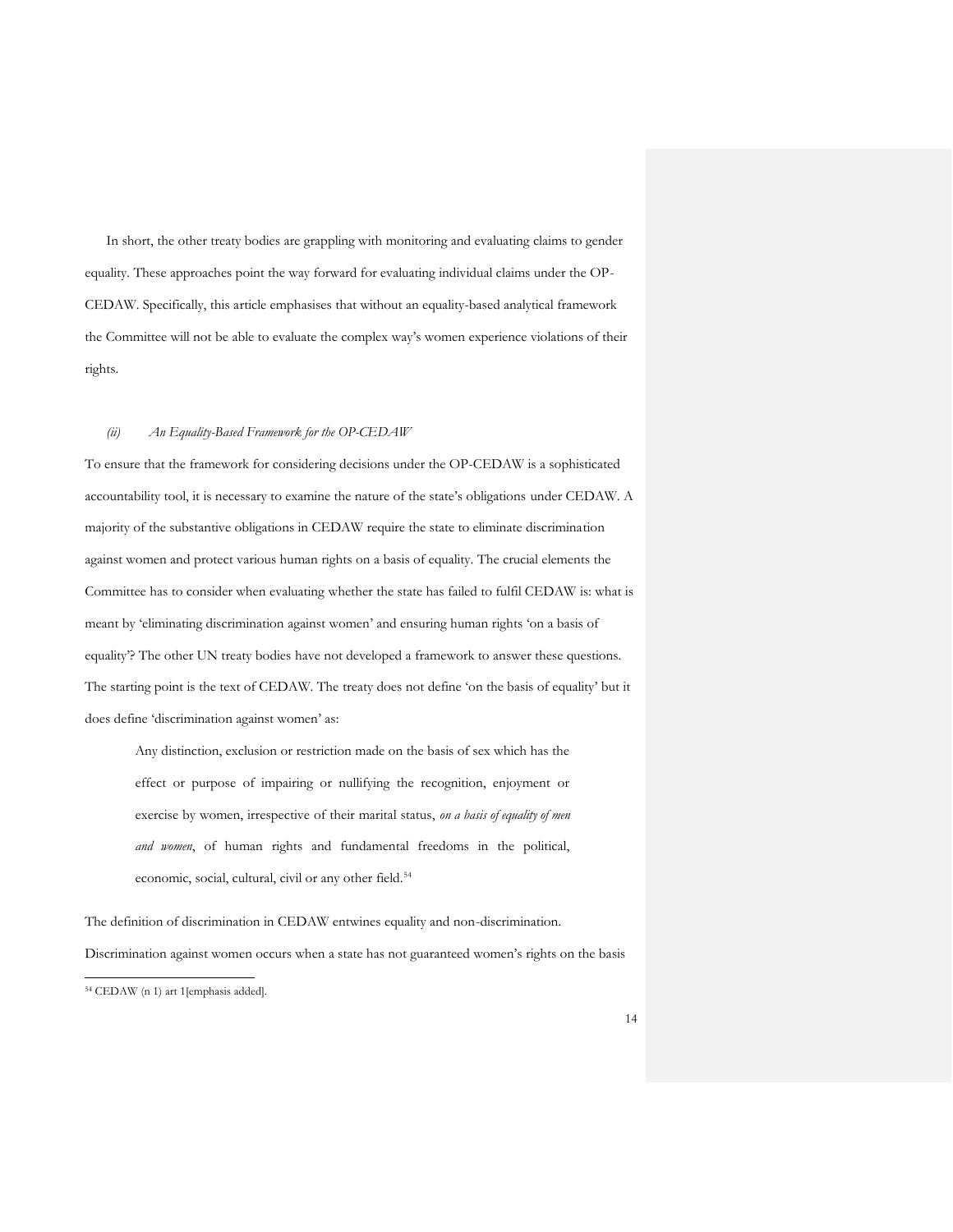In short, the other treaty bodies are grappling with monitoring and evaluating claims to gender equality. These approaches point the way forward for evaluating individual claims under the OP-CEDAW. Specifically, this article emphasises that without an equality-based analytical framework the Committee will not be able to evaluate the complex way's women experience violations of their rights.

#### *(ii) An Equality-Based Framework for the OP-CEDAW*

To ensure that the framework for considering decisions under the OP-CEDAW is a sophisticated accountability tool, it is necessary to examine the nature of the state's obligations under CEDAW. A majority of the substantive obligations in CEDAW require the state to eliminate discrimination against women and protect various human rights on a basis of equality. The crucial elements the Committee has to consider when evaluating whether the state has failed to fulfil CEDAW is: what is meant by 'eliminating discrimination against women' and ensuring human rights 'on a basis of equality'? The other UN treaty bodies have not developed a framework to answer these questions. The starting point is the text of CEDAW. The treaty does not define 'on the basis of equality' but it does define 'discrimination against women' as:

Any distinction, exclusion or restriction made on the basis of sex which has the effect or purpose of impairing or nullifying the recognition, enjoyment or exercise by women, irrespective of their marital status, *on a basis of equality of men and women*, of human rights and fundamental freedoms in the political, economic, social, cultural, civil or any other field.<sup>54</sup>

The definition of discrimination in CEDAW entwines equality and non-discrimination. Discrimination against women occurs when a state has not guaranteed women's rights on the basis

<sup>54</sup> CEDAW (n 1) art 1[emphasis added].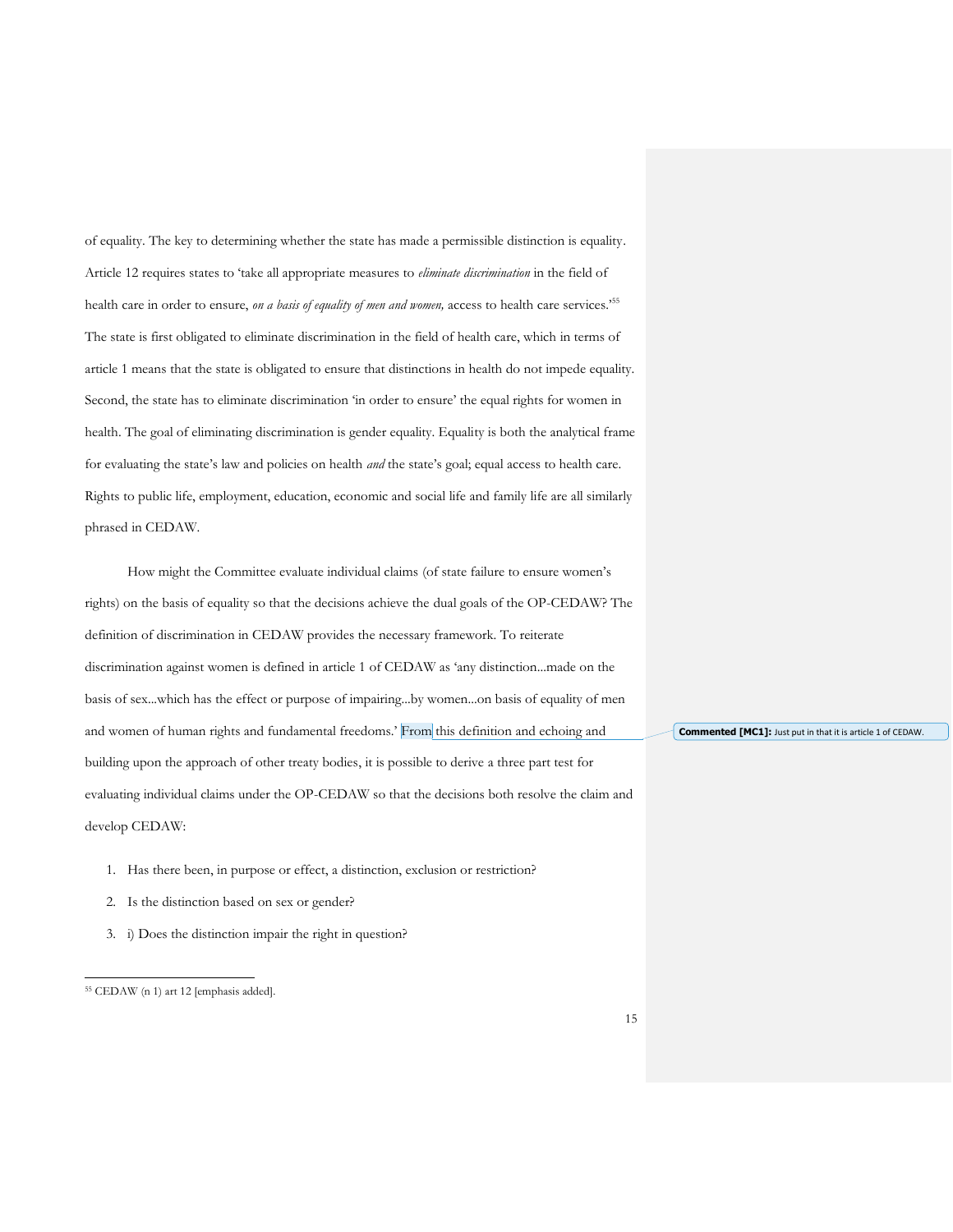of equality. The key to determining whether the state has made a permissible distinction is equality. Article 12 requires states to 'take all appropriate measures to *eliminate discrimination* in the field of health care in order to ensure, *on a basis of equality of men and women,* access to health care services.'<sup>55</sup> The state is first obligated to eliminate discrimination in the field of health care, which in terms of article 1 means that the state is obligated to ensure that distinctions in health do not impede equality. Second, the state has to eliminate discrimination 'in order to ensure' the equal rights for women in health. The goal of eliminating discrimination is gender equality. Equality is both the analytical frame for evaluating the state's law and policies on health *and* the state's goal; equal access to health care. Rights to public life, employment, education, economic and social life and family life are all similarly phrased in CEDAW.

How might the Committee evaluate individual claims (of state failure to ensure women's rights) on the basis of equality so that the decisions achieve the dual goals of the OP-CEDAW? The definition of discrimination in CEDAW provides the necessary framework. To reiterate discrimination against women is defined in article 1 of CEDAW as 'any distinction...made on the basis of sex...which has the effect or purpose of impairing...by women...on basis of equality of men and women of human rights and fundamental freedoms.' From this definition and echoing and building upon the approach of other treaty bodies, it is possible to derive a three part test for evaluating individual claims under the OP-CEDAW so that the decisions both resolve the claim and develop CEDAW:

- 1. Has there been, in purpose or effect, a distinction, exclusion or restriction?
- 2. Is the distinction based on sex or gender?
- 3. i) Does the distinction impair the right in question?

 $\overline{a}$ 

**Commented [MC1]:** Just put in that it is article 1 of CEDAW.

<sup>55</sup> CEDAW (n 1) art 12 [emphasis added].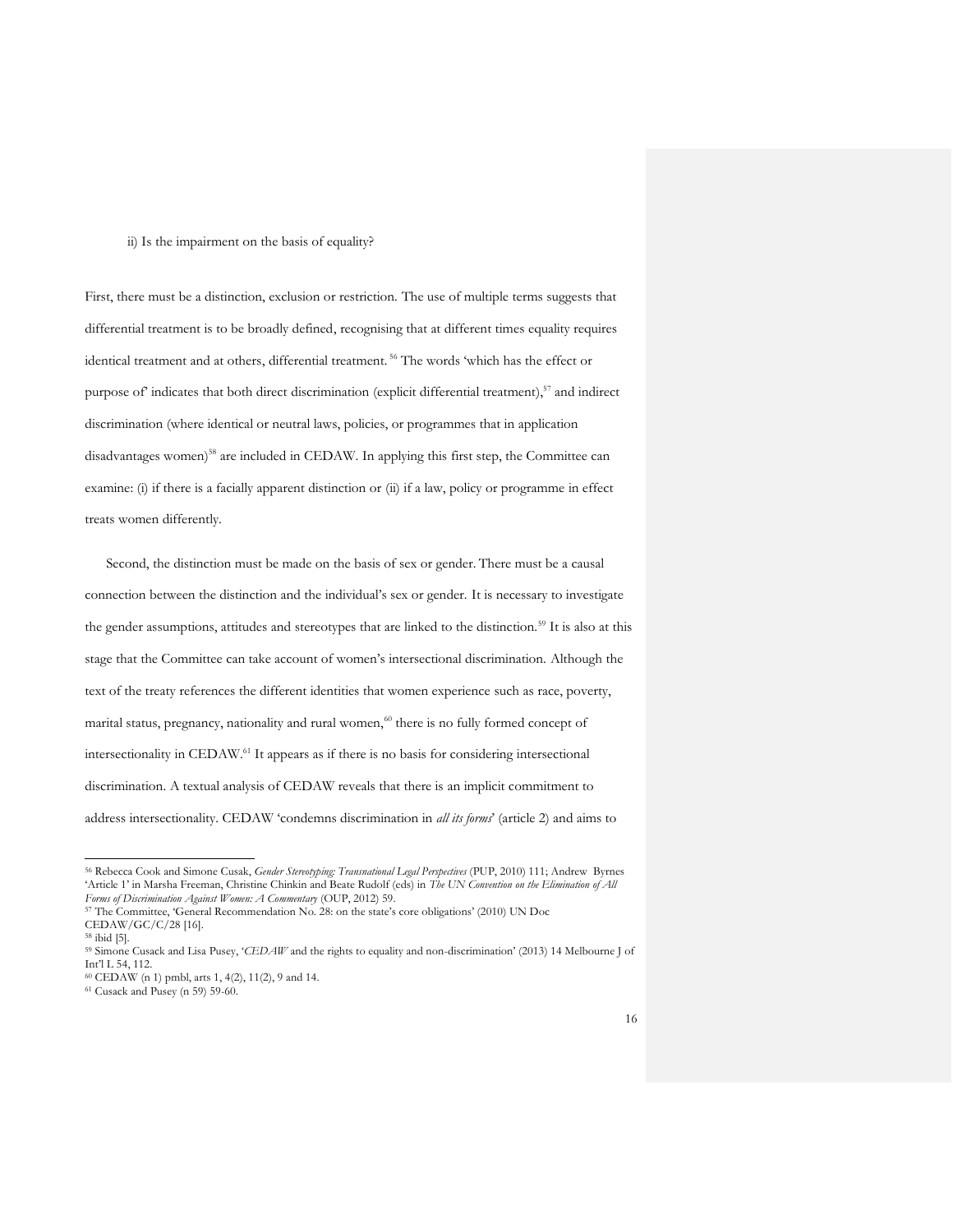#### ii) Is the impairment on the basis of equality?

First, there must be a distinction, exclusion or restriction. The use of multiple terms suggests that differential treatment is to be broadly defined, recognising that at different times equality requires identical treatment and at others, differential treatment. <sup>56</sup> The words 'which has the effect or purpose of indicates that both direct discrimination (explicit differential treatment),<sup>57</sup> and indirect discrimination (where identical or neutral laws, policies, or programmes that in application disadvantages women) <sup>58</sup> are included in CEDAW. In applying this first step, the Committee can examine: (i) if there is a facially apparent distinction or (ii) if a law, policy or programme in effect treats women differently.

Second, the distinction must be made on the basis of sex or gender. There must be a causal connection between the distinction and the individual's sex or gender. It is necessary to investigate the gender assumptions, attitudes and stereotypes that are linked to the distinction.<sup>59</sup> It is also at this stage that the Committee can take account of women's intersectional discrimination. Although the text of the treaty references the different identities that women experience such as race, poverty, marital status, pregnancy, nationality and rural women, $60$  there is no fully formed concept of intersectionality in CEDAW. <sup>61</sup> It appears as if there is no basis for considering intersectional discrimination. A textual analysis of CEDAW reveals that there is an implicit commitment to address intersectionality. CEDAW 'condemns discrimination in *all its forms*' (article 2) and aims to

<sup>56</sup> Rebecca Cook and Simone Cusak, *Gender Stereotyping: Transnational Legal Perspectives* (PUP, 2010) 111; Andrew Byrnes 'Article 1' in Marsha Freeman, Christine Chinkin and Beate Rudolf (eds) in *The UN Convention on the Elimination of All Forms of Discrimination Against Women: A Commentary* (OUP, 2012) 59.

<sup>57</sup> The Committee, 'General Recommendation No. 28: on the state's core obligations' (2010) UN Doc CEDAW/GC/C/28 [16].

<sup>58</sup> ibid [5].

<sup>59</sup> Simone Cusack and Lisa Pusey, '*CEDAW* and the rights to equality and non-discrimination' (2013) 14 Melbourne J of Int'l L 54, 112.

<sup>60</sup> CEDAW (n 1) pmbl, arts 1, 4(2), 11(2), 9 and 14.

<sup>61</sup> Cusack and Pusey (n 59) 59-60.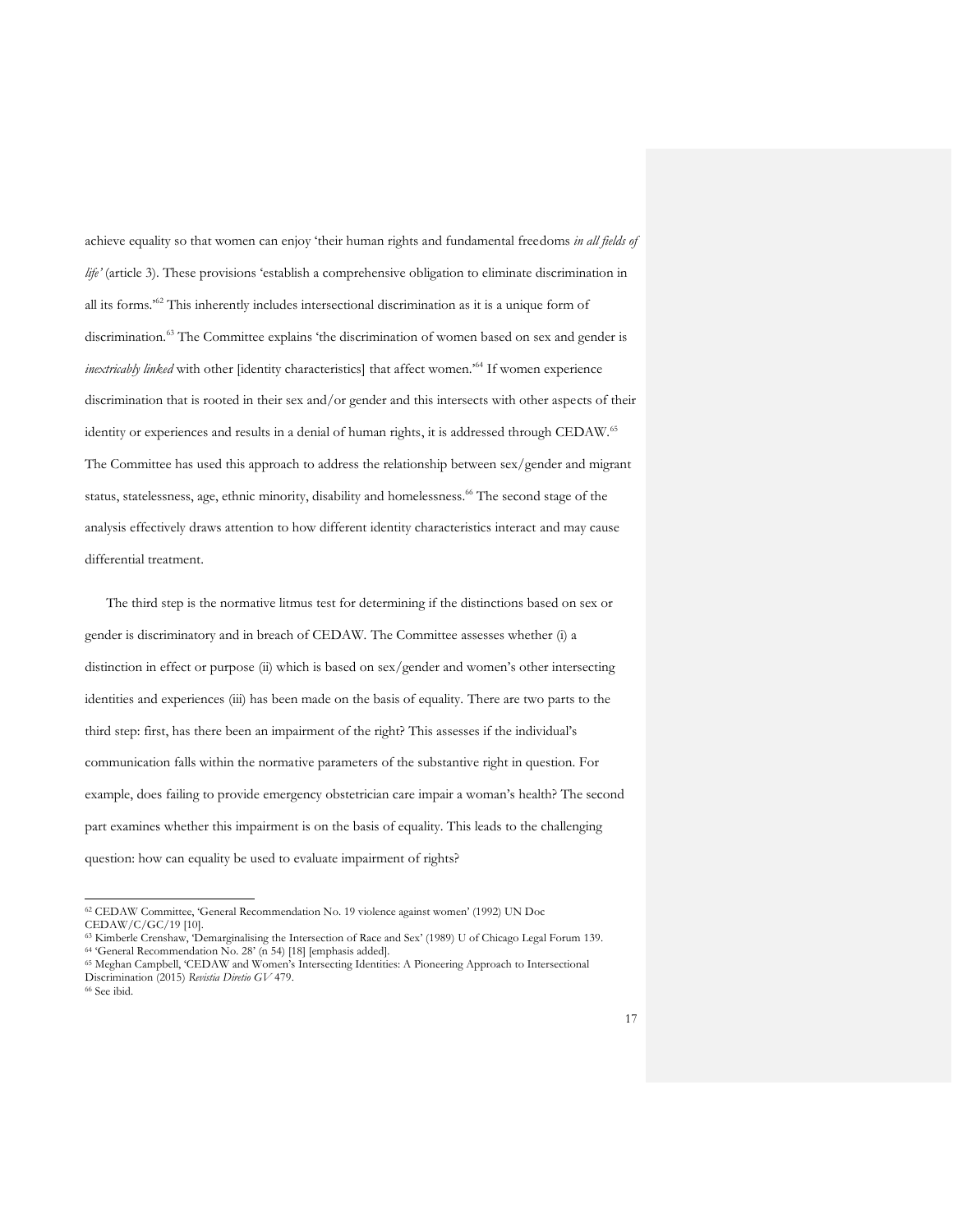achieve equality so that women can enjoy 'their human rights and fundamental freedoms *in all fields of life'* (article 3). These provisions 'establish a comprehensive obligation to eliminate discrimination in all its forms.'<sup>62</sup> This inherently includes intersectional discrimination as it is a unique form of discrimination.<sup>63</sup> The Committee explains 'the discrimination of women based on sex and gender is *inextricably linked* with other [identity characteristics] that affect women.'<sup>64</sup> If women experience discrimination that is rooted in their sex and/or gender and this intersects with other aspects of their identity or experiences and results in a denial of human rights, it is addressed through CEDAW.<sup>65</sup> The Committee has used this approach to address the relationship between sex/gender and migrant status, statelessness, age, ethnic minority, disability and homelessness. <sup>66</sup> The second stage of the analysis effectively draws attention to how different identity characteristics interact and may cause differential treatment.

The third step is the normative litmus test for determining if the distinctions based on sex or gender is discriminatory and in breach of CEDAW. The Committee assesses whether (i) a distinction in effect or purpose (ii) which is based on sex/gender and women's other intersecting identities and experiences (iii) has been made on the basis of equality. There are two parts to the third step: first, has there been an impairment of the right? This assesses if the individual's communication falls within the normative parameters of the substantive right in question. For example, does failing to provide emergency obstetrician care impair a woman's health? The second part examines whether this impairment is on the basis of equality. This leads to the challenging question: how can equality be used to evaluate impairment of rights?

<sup>62</sup> CEDAW Committee, 'General Recommendation No. 19 violence against women' (1992) UN Doc CEDAW/C/GC/19 [10].

<sup>63</sup> Kimberle Crenshaw, 'Demarginalising the Intersection of Race and Sex' (1989) U of Chicago Legal Forum 139. <sup>64</sup> 'General Recommendation No. 28' (n 54) [18] [emphasis added].

<sup>65</sup> Meghan Campbell, 'CEDAW and Women's Intersecting Identities: A Pioneering Approach to Intersectional Discrimination (2015) *Revistia Diretio GV* 479.

<sup>66</sup> See ibid.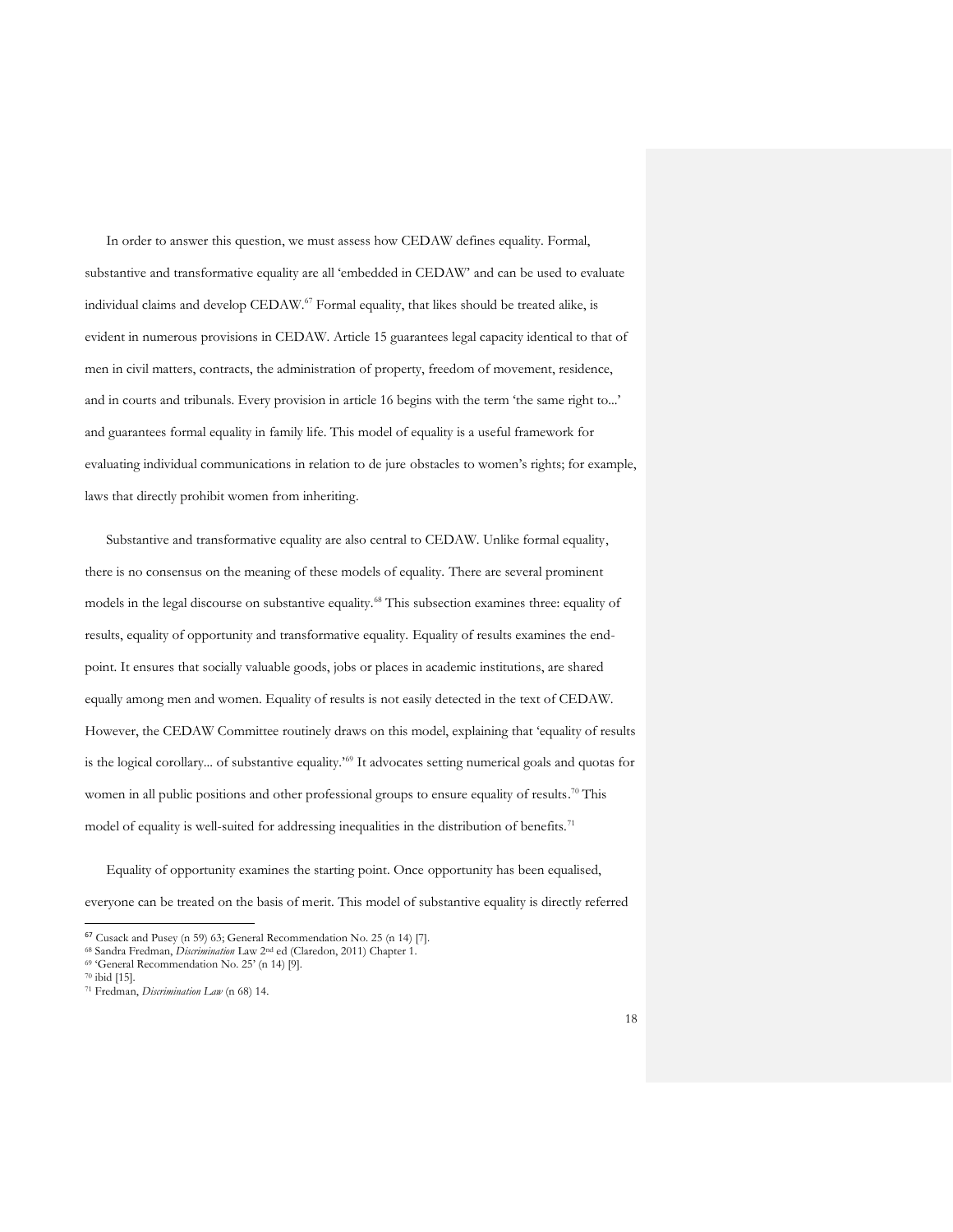In order to answer this question, we must assess how CEDAW defines equality. Formal, substantive and transformative equality are all 'embedded in CEDAW' and can be used to evaluate individual claims and develop CEDAW.<sup>67</sup> Formal equality, that likes should be treated alike, is evident in numerous provisions in CEDAW. Article 15 guarantees legal capacity identical to that of men in civil matters, contracts, the administration of property, freedom of movement, residence, and in courts and tribunals. Every provision in article 16 begins with the term 'the same right to...' and guarantees formal equality in family life. This model of equality is a useful framework for evaluating individual communications in relation to de jure obstacles to women's rights; for example, laws that directly prohibit women from inheriting.

Substantive and transformative equality are also central to CEDAW. Unlike formal equality, there is no consensus on the meaning of these models of equality. There are several prominent models in the legal discourse on substantive equality.<sup>68</sup> This subsection examines three: equality of results, equality of opportunity and transformative equality. Equality of results examines the endpoint. It ensures that socially valuable goods, jobs or places in academic institutions, are shared equally among men and women. Equality of results is not easily detected in the text of CEDAW. However, the CEDAW Committee routinely draws on this model, explaining that 'equality of results is the logical corollary... of substantive equality.<sup>169</sup> It advocates setting numerical goals and quotas for women in all public positions and other professional groups to ensure equality of results.<sup>70</sup> This model of equality is well-suited for addressing inequalities in the distribution of benefits.<sup>71</sup>

Equality of opportunity examines the starting point. Once opportunity has been equalised, everyone can be treated on the basis of merit. This model of substantive equality is directly referred

<sup>69</sup> 'General Recommendation No. 25' (n 14) [9].

<sup>67</sup> Cusack and Pusey (n 59) 63; General Recommendation No. 25 (n 14) [7].

<sup>68</sup> Sandra Fredman, *Discrimination* Law 2nd ed (Claredon, 2011) Chapter 1.

<sup>70</sup> ibid [15].

<sup>71</sup> Fredman, *Discrimination Law* (n 68) 14.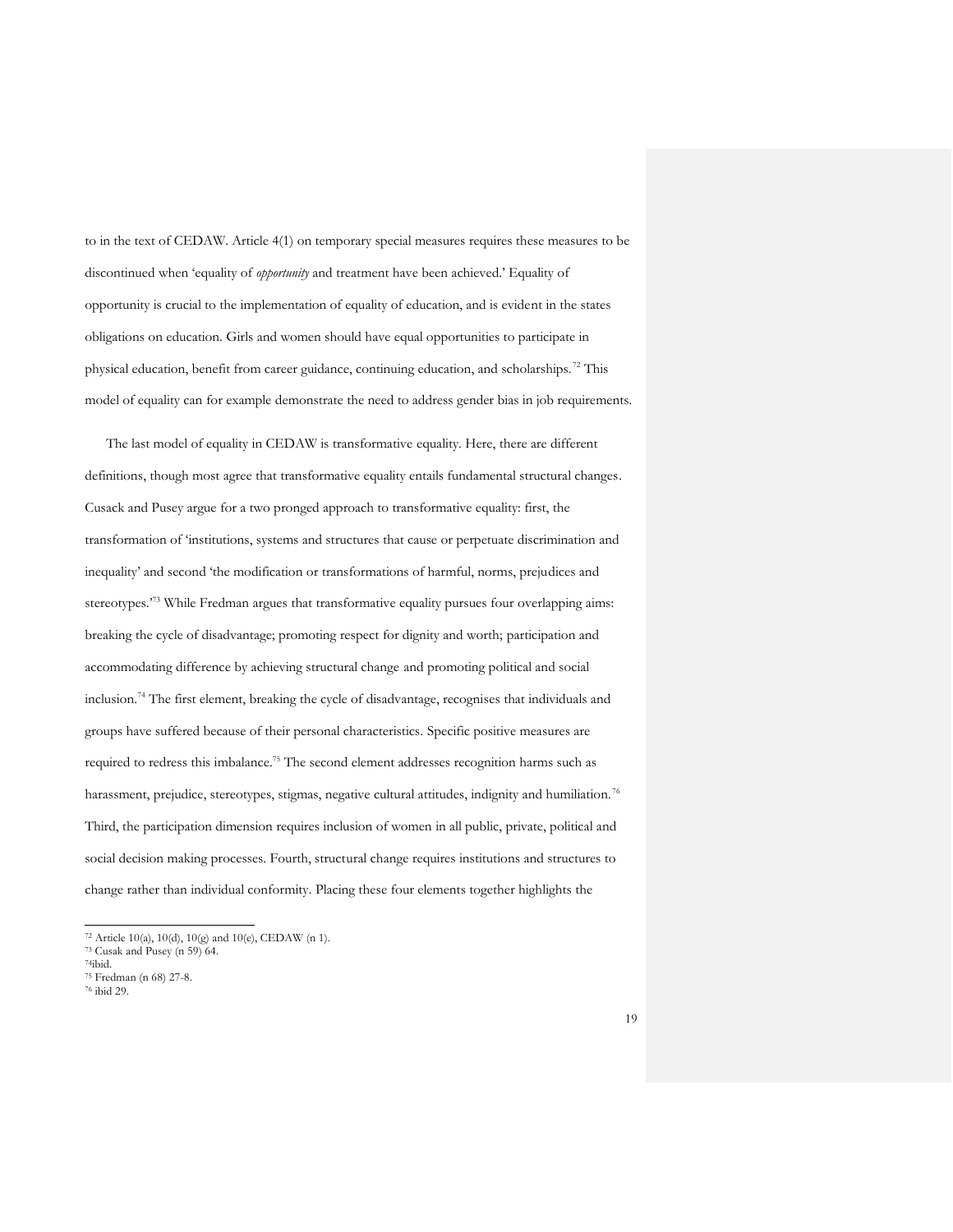to in the text of CEDAW. Article 4(1) on temporary special measures requires these measures to be discontinued when 'equality of *opportunity* and treatment have been achieved.' Equality of opportunity is crucial to the implementation of equality of education, and is evident in the states obligations on education. Girls and women should have equal opportunities to participate in physical education, benefit from career guidance, continuing education, and scholarships.<sup>72</sup> This model of equality can for example demonstrate the need to address gender bias in job requirements.

The last model of equality in CEDAW is transformative equality. Here, there are different definitions, though most agree that transformative equality entails fundamental structural changes. Cusack and Pusey argue for a two pronged approach to transformative equality: first, the transformation of 'institutions, systems and structures that cause or perpetuate discrimination and inequality' and second 'the modification or transformations of harmful, norms, prejudices and stereotypes.'<sup>73</sup> While Fredman argues that transformative equality pursues four overlapping aims: breaking the cycle of disadvantage; promoting respect for dignity and worth; participation and accommodating difference by achieving structural change and promoting political and social inclusion.<sup>74</sup> The first element, breaking the cycle of disadvantage, recognises that individuals and groups have suffered because of their personal characteristics. Specific positive measures are required to redress this imbalance.<sup>75</sup> The second element addresses recognition harms such as harassment, prejudice, stereotypes, stigmas, negative cultural attitudes, indignity and humiliation.<sup>76</sup> Third, the participation dimension requires inclusion of women in all public, private, political and social decision making processes. Fourth, structural change requires institutions and structures to change rather than individual conformity. Placing these four elements together highlights the

<sup>72</sup> Article 10(a), 10(d), 10(g) and 10(e), CEDAW (n 1).

<sup>73</sup> Cusak and Pusey (n 59) 64.

<sup>74</sup>ibid.

<sup>75</sup> Fredman (n 68) 27-8.

<sup>76</sup> ibid 29.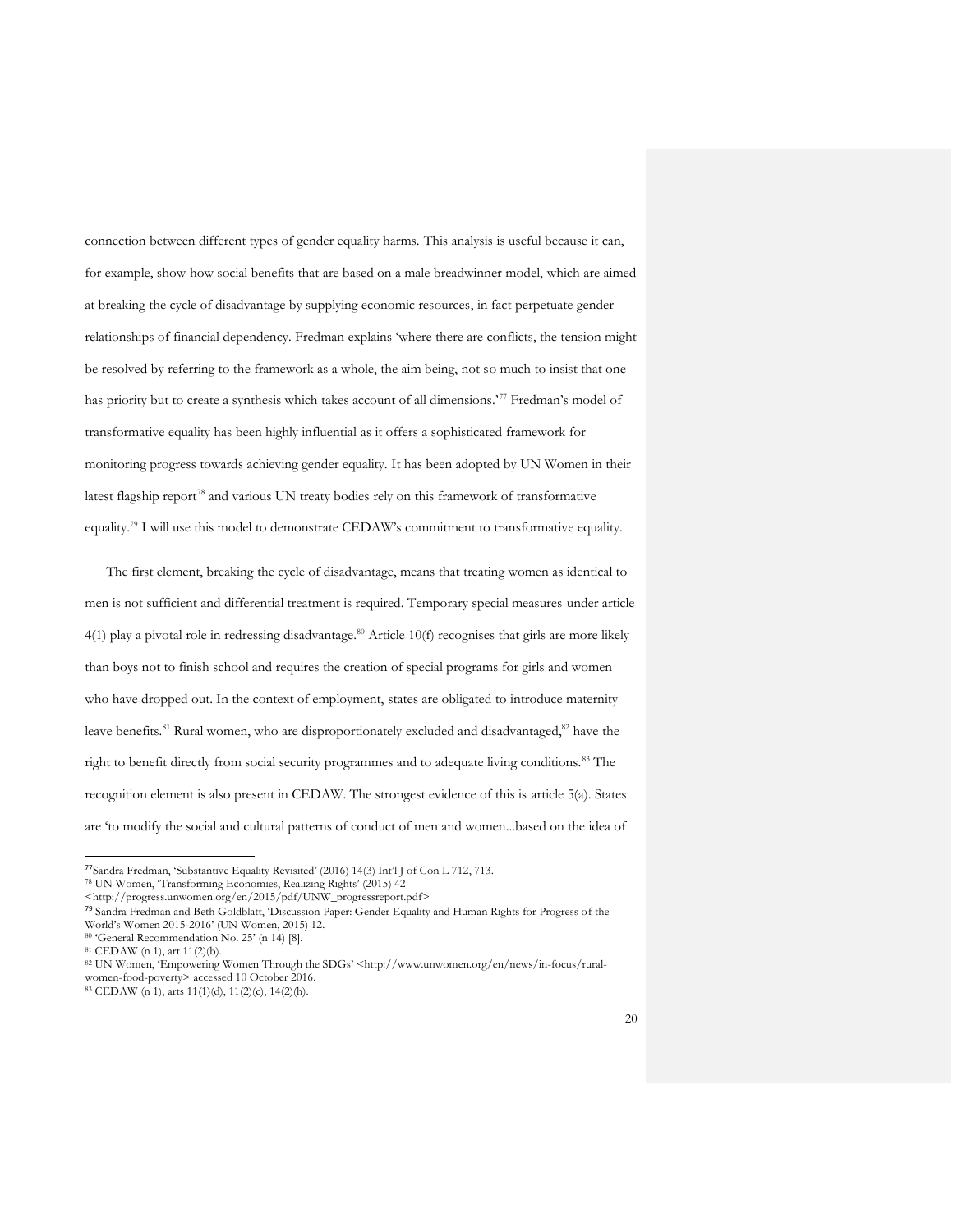connection between different types of gender equality harms. This analysis is useful because it can, for example, show how social benefits that are based on a male breadwinner model, which are aimed at breaking the cycle of disadvantage by supplying economic resources, in fact perpetuate gender relationships of financial dependency. Fredman explains 'where there are conflicts, the tension might be resolved by referring to the framework as a whole, the aim being, not so much to insist that one has priority but to create a synthesis which takes account of all dimensions.<sup>77</sup> Fredman's model of transformative equality has been highly influential as it offers a sophisticated framework for monitoring progress towards achieving gender equality. It has been adopted by UN Women in their latest flagship report<sup>78</sup> and various UN treaty bodies rely on this framework of transformative equality.<sup>79</sup> I will use this model to demonstrate CEDAW's commitment to transformative equality.

The first element, breaking the cycle of disadvantage, means that treating women as identical to men is not sufficient and differential treatment is required. Temporary special measures under article 4(1) play a pivotal role in redressing disadvantage.<sup>80</sup> Article 10(f) recognises that girls are more likely than boys not to finish school and requires the creation of special programs for girls and women who have dropped out. In the context of employment, states are obligated to introduce maternity leave benefits.<sup>81</sup> Rural women, who are disproportionately excluded and disadvantaged,<sup>82</sup> have the right to benefit directly from social security programmes and to adequate living conditions.<sup>83</sup> The recognition element is also present in CEDAW. The strongest evidence of this is article 5(a). States are 'to modify the social and cultural patterns of conduct of men and women...based on the idea of

<sup>77</sup>Sandra Fredman, 'Substantive Equality Revisited' (2016) 14(3) Int'l J of Con L 712, 713.

<sup>78</sup> UN Women, 'Transforming Economies, Realizing Rights' (2015) 42

<sup>&</sup>lt;http://progress.unwomen.org/en/2015/pdf/UNW\_progressreport.pdf>

<sup>79</sup> Sandra Fredman and Beth Goldblatt, 'Discussion Paper: Gender Equality and Human Rights for Progress of the World's Women 2015-2016' (UN Women, 2015) 12.

<sup>80</sup> 'General Recommendation No. 25' (n 14) [8].

<sup>81</sup> CEDAW (n 1), art 11(2)(b).

<sup>82</sup> UN Women, 'Empowering Women Through the SDGs' <http://www.unwomen.org/en/news/in-focus/ruralwomen-food-poverty> accessed 10 October 2016.

<sup>83</sup> CEDAW (n 1), arts 11(1)(d), 11(2)(c), 14(2)(h).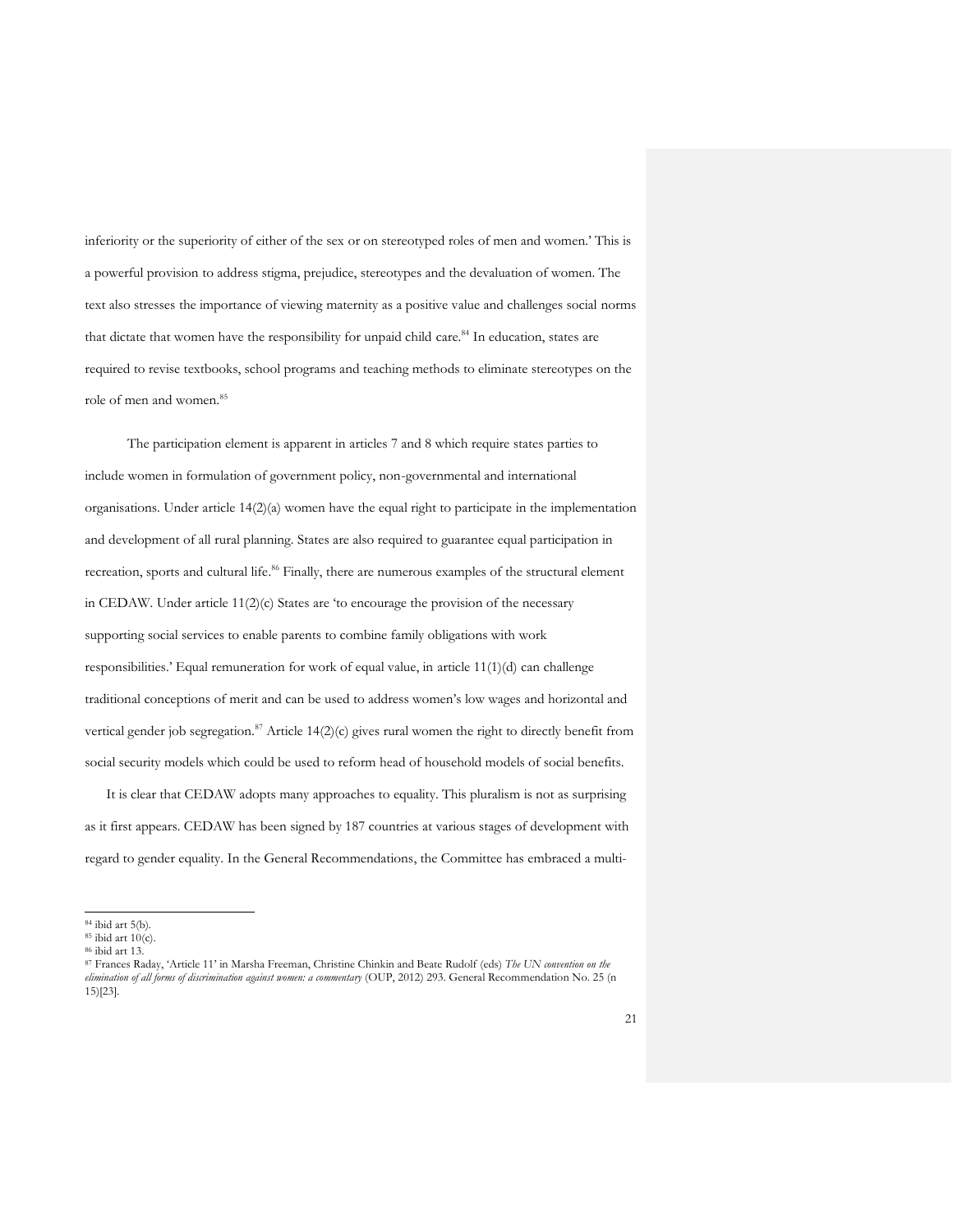inferiority or the superiority of either of the sex or on stereotyped roles of men and women.' This is a powerful provision to address stigma, prejudice, stereotypes and the devaluation of women. The text also stresses the importance of viewing maternity as a positive value and challenges social norms that dictate that women have the responsibility for unpaid child care.<sup>84</sup> In education, states are required to revise textbooks, school programs and teaching methods to eliminate stereotypes on the role of men and women.<sup>85</sup>

The participation element is apparent in articles 7 and 8 which require states parties to include women in formulation of government policy, non-governmental and international organisations. Under article 14(2)(a) women have the equal right to participate in the implementation and development of all rural planning. States are also required to guarantee equal participation in recreation, sports and cultural life. <sup>86</sup> Finally, there are numerous examples of the structural element in CEDAW. Under article 11(2)(c) States are 'to encourage the provision of the necessary supporting social services to enable parents to combine family obligations with work responsibilities.' Equal remuneration for work of equal value, in article 11(1)(d) can challenge traditional conceptions of merit and can be used to address women's low wages and horizontal and vertical gender job segregation.<sup>87</sup> Article  $14(2)(c)$  gives rural women the right to directly benefit from social security models which could be used to reform head of household models of social benefits.

It is clear that CEDAW adopts many approaches to equality. This pluralism is not as surprising as it first appears. CEDAW has been signed by 187 countries at various stages of development with regard to gender equality. In the General Recommendations, the Committee has embraced a multi-

<sup>84</sup> ibid art 5(b).

 $85$  ibid art  $10(c)$ .

<sup>86</sup> ibid art 13.

<sup>87</sup> Frances Raday, 'Article 11' in Marsha Freeman, Christine Chinkin and Beate Rudolf (eds) *The UN convention on the elimination of all forms of discrimination against women: a commentary* (OUP, 2012) 293. General Recommendation No. 25 (n 15)[23].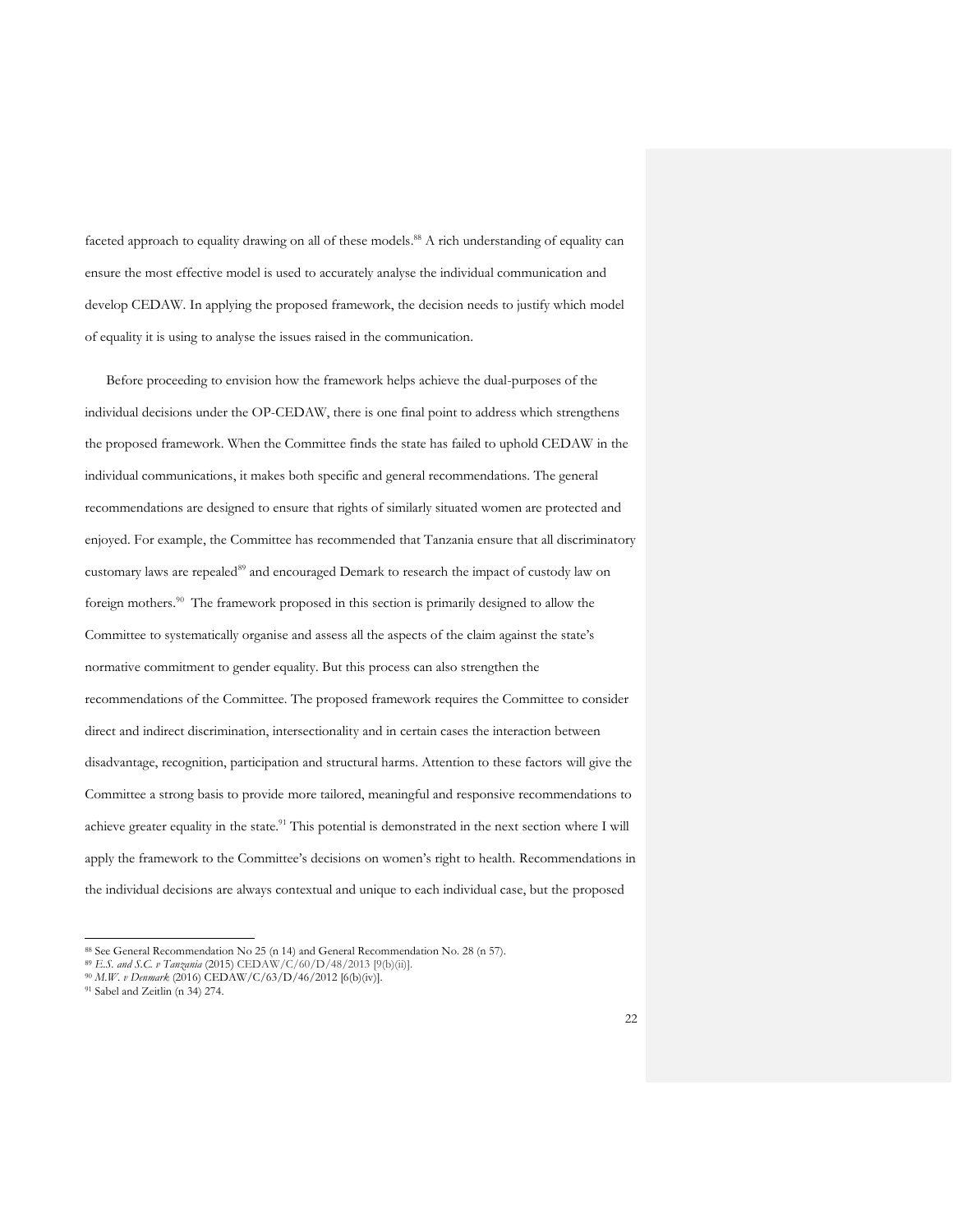faceted approach to equality drawing on all of these models.<sup>88</sup> A rich understanding of equality can ensure the most effective model is used to accurately analyse the individual communication and develop CEDAW. In applying the proposed framework, the decision needs to justify which model of equality it is using to analyse the issues raised in the communication.

Before proceeding to envision how the framework helps achieve the dual-purposes of the individual decisions under the OP-CEDAW, there is one final point to address which strengthens the proposed framework. When the Committee finds the state has failed to uphold CEDAW in the individual communications, it makes both specific and general recommendations. The general recommendations are designed to ensure that rights of similarly situated women are protected and enjoyed. For example, the Committee has recommended that Tanzania ensure that all discriminatory customary laws are repealed<sup>89</sup> and encouraged Demark to research the impact of custody law on foreign mothers. <sup>90</sup> The framework proposed in this section is primarily designed to allow the Committee to systematically organise and assess all the aspects of the claim against the state's normative commitment to gender equality. But this process can also strengthen the recommendations of the Committee. The proposed framework requires the Committee to consider direct and indirect discrimination, intersectionality and in certain cases the interaction between disadvantage, recognition, participation and structural harms. Attention to these factors will give the Committee a strong basis to provide more tailored, meaningful and responsive recommendations to achieve greater equality in the state.<sup>91</sup> This potential is demonstrated in the next section where I will apply the framework to the Committee's decisions on women's right to health. Recommendations in the individual decisions are always contextual and unique to each individual case, but the proposed

<sup>88</sup> See General Recommendation No 25 (n 14) and General Recommendation No. 28 (n 57).

<sup>89</sup> *E.S. and S.C. v Tanzania* (2015) CEDAW/C/60/D/48/2013 [9(b)(ii)].

<sup>90</sup> *M.W. v Denmark* (2016) CEDAW/C/63/D/46/2012 [6(b)(iv)].

<sup>91</sup> Sabel and Zeitlin (n 34) 274.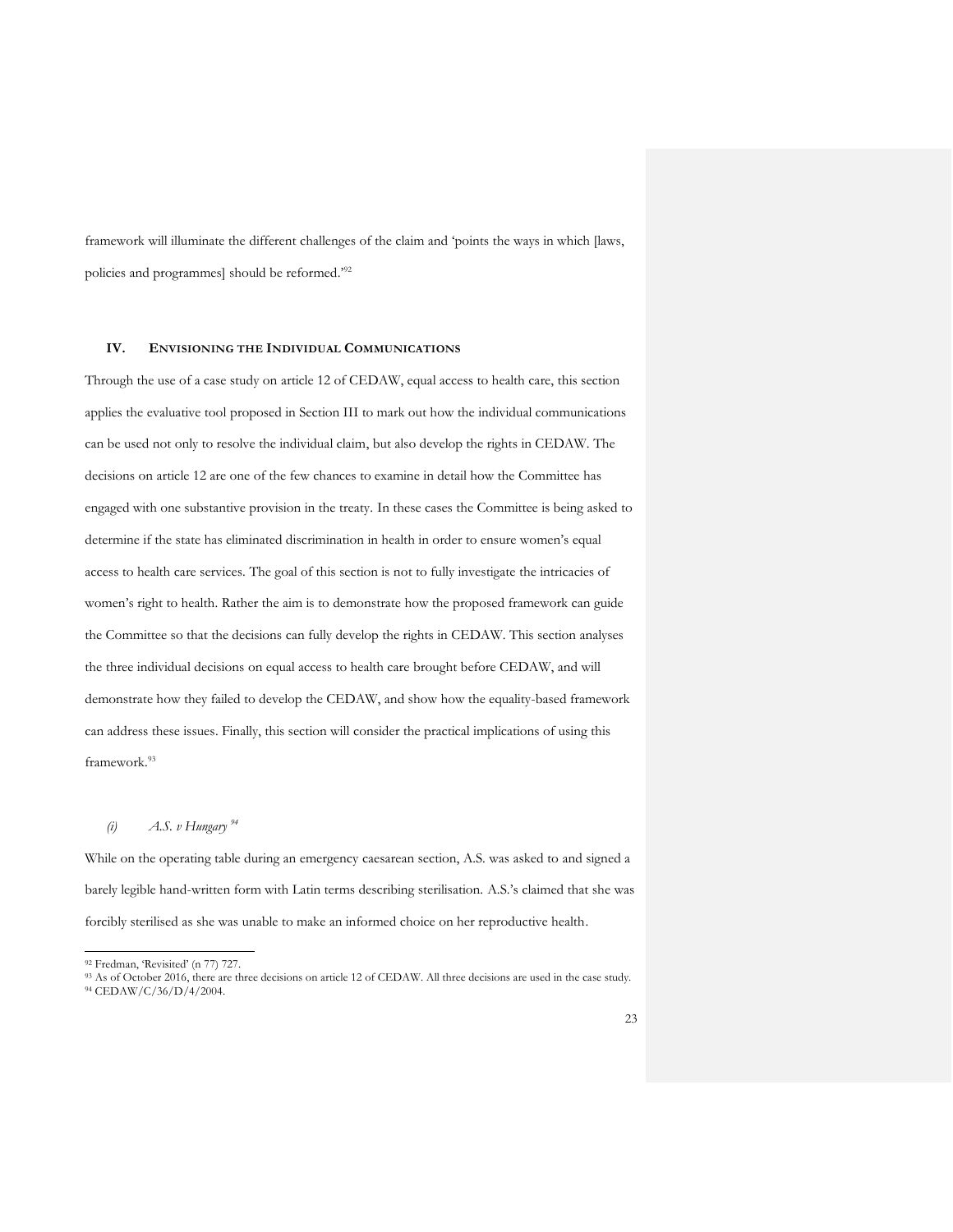framework will illuminate the different challenges of the claim and 'points the ways in which [laws, policies and programmes] should be reformed.<sup>92</sup>

#### **IV. ENVISIONING THE INDIVIDUAL COMMUNICATIONS**

Through the use of a case study on article 12 of CEDAW, equal access to health care, this section applies the evaluative tool proposed in Section III to mark out how the individual communications can be used not only to resolve the individual claim, but also develop the rights in CEDAW. The decisions on article 12 are one of the few chances to examine in detail how the Committee has engaged with one substantive provision in the treaty. In these cases the Committee is being asked to determine if the state has eliminated discrimination in health in order to ensure women's equal access to health care services. The goal of this section is not to fully investigate the intricacies of women's right to health. Rather the aim is to demonstrate how the proposed framework can guide the Committee so that the decisions can fully develop the rights in CEDAW. This section analyses the three individual decisions on equal access to health care brought before CEDAW, and will demonstrate how they failed to develop the CEDAW, and show how the equality-based framework can address these issues. Finally, this section will consider the practical implications of using this framework. 93

#### *(i) A.S. v Hungary <sup>94</sup>*

While on the operating table during an emergency caesarean section, A.S. was asked to and signed a barely legible hand-written form with Latin terms describing sterilisation. A.S.'s claimed that she was forcibly sterilised as she was unable to make an informed choice on her reproductive health.

<sup>92</sup> Fredman, 'Revisited' (n 77) 727.

<sup>93</sup> As of October 2016, there are three decisions on article 12 of CEDAW. All three decisions are used in the case study.

<sup>94</sup> CEDAW/C/36/D/4/2004.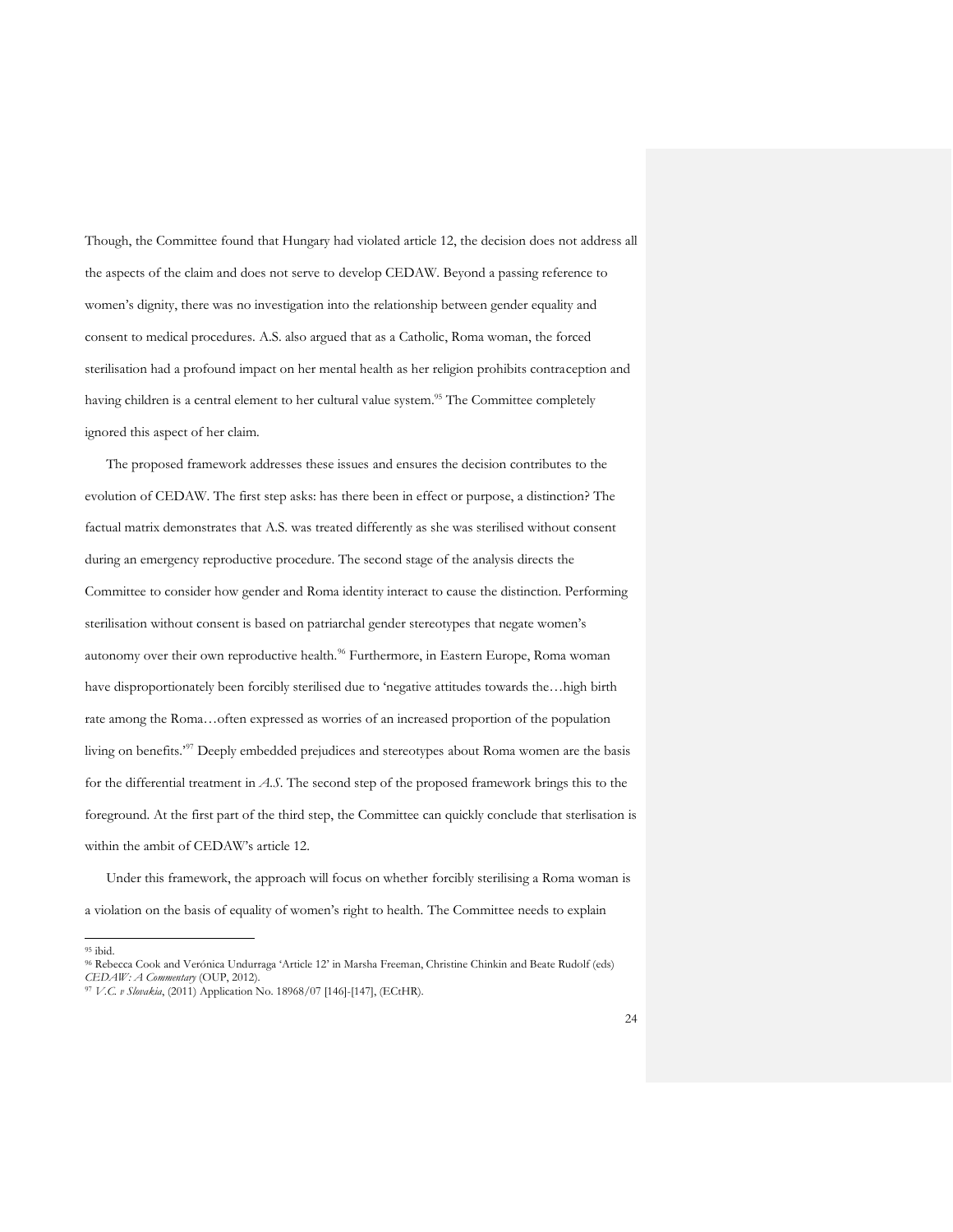Though, the Committee found that Hungary had violated article 12, the decision does not address all the aspects of the claim and does not serve to develop CEDAW. Beyond a passing reference to women's dignity, there was no investigation into the relationship between gender equality and consent to medical procedures. A.S. also argued that as a Catholic, Roma woman, the forced sterilisation had a profound impact on her mental health as her religion prohibits contraception and having children is a central element to her cultural value system.<sup>95</sup> The Committee completely ignored this aspect of her claim.

The proposed framework addresses these issues and ensures the decision contributes to the evolution of CEDAW. The first step asks: has there been in effect or purpose, a distinction? The factual matrix demonstrates that A.S. was treated differently as she was sterilised without consent during an emergency reproductive procedure. The second stage of the analysis directs the Committee to consider how gender and Roma identity interact to cause the distinction. Performing sterilisation without consent is based on patriarchal gender stereotypes that negate women's autonomy over their own reproductive health.<sup>96</sup> Furthermore, in Eastern Europe, Roma woman have disproportionately been forcibly sterilised due to 'negative attitudes towards the…high birth rate among the Roma…often expressed as worries of an increased proportion of the population living on benefits.'<sup>97</sup> Deeply embedded prejudices and stereotypes about Roma women are the basis for the differential treatment in *A.S*. The second step of the proposed framework brings this to the foreground. At the first part of the third step, the Committee can quickly conclude that sterlisation is within the ambit of CEDAW's article 12.

Under this framework, the approach will focus on whether forcibly sterilising a Roma woman is a violation on the basis of equality of women's right to health. The Committee needs to explain

 $\overline{a}$ <sup>95</sup> ibid.

<sup>96</sup> Rebecca Cook and Verónica Undurraga 'Article 12' in Marsha Freeman, Christine Chinkin and Beate Rudolf (eds) *CEDAW: A Commentary* (OUP, 2012).

<sup>97</sup> *V.C. v Slovakia*, (2011) Application No. 18968/07 [146]-[147], (ECtHR).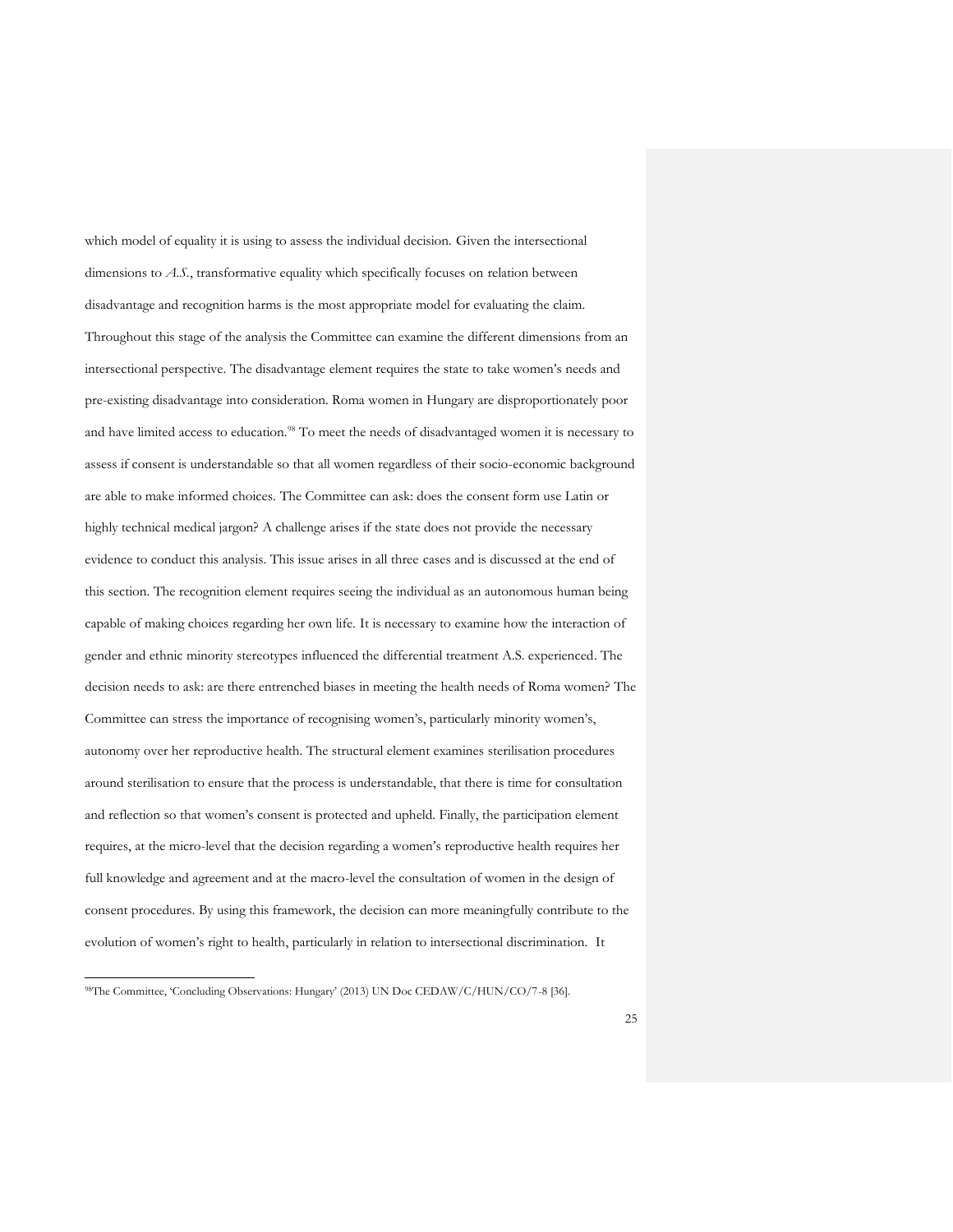which model of equality it is using to assess the individual decision. Given the intersectional dimensions to *A.S.*, transformative equality which specifically focuses on relation between disadvantage and recognition harms is the most appropriate model for evaluating the claim. Throughout this stage of the analysis the Committee can examine the different dimensions from an intersectional perspective. The disadvantage element requires the state to take women's needs and pre-existing disadvantage into consideration. Roma women in Hungary are disproportionately poor and have limited access to education.<sup>98</sup> To meet the needs of disadvantaged women it is necessary to assess if consent is understandable so that all women regardless of their socio-economic background are able to make informed choices. The Committee can ask: does the consent form use Latin or highly technical medical jargon? A challenge arises if the state does not provide the necessary evidence to conduct this analysis. This issue arises in all three cases and is discussed at the end of this section. The recognition element requires seeing the individual as an autonomous human being capable of making choices regarding her own life. It is necessary to examine how the interaction of gender and ethnic minority stereotypes influenced the differential treatment A.S. experienced. The decision needs to ask: are there entrenched biases in meeting the health needs of Roma women? The Committee can stress the importance of recognising women's, particularly minority women's, autonomy over her reproductive health. The structural element examines sterilisation procedures around sterilisation to ensure that the process is understandable, that there is time for consultation and reflection so that women's consent is protected and upheld. Finally, the participation element requires, at the micro-level that the decision regarding a women's reproductive health requires her full knowledge and agreement and at the macro-level the consultation of women in the design of consent procedures. By using this framework, the decision can more meaningfully contribute to the evolution of women's right to health, particularly in relation to intersectional discrimination. It

<sup>98</sup>The Committee, 'Concluding Observations: Hungary' (2013) UN Doc CEDAW/C/HUN/CO/7-8 [36].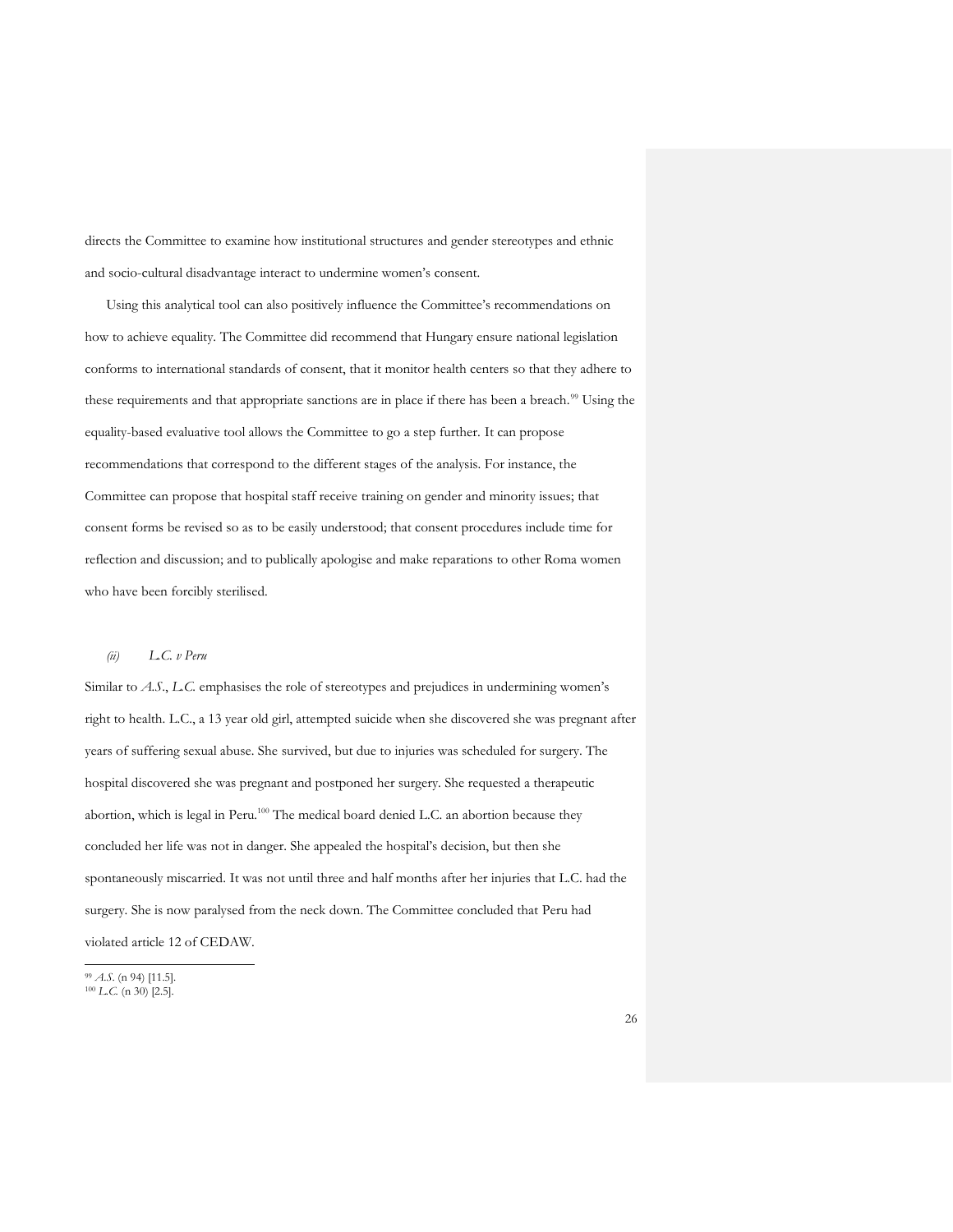directs the Committee to examine how institutional structures and gender stereotypes and ethnic and socio-cultural disadvantage interact to undermine women's consent.

Using this analytical tool can also positively influence the Committee's recommendations on how to achieve equality. The Committee did recommend that Hungary ensure national legislation conforms to international standards of consent, that it monitor health centers so that they adhere to these requirements and that appropriate sanctions are in place if there has been a breach.<sup>99</sup> Using the equality-based evaluative tool allows the Committee to go a step further. It can propose recommendations that correspond to the different stages of the analysis. For instance, the Committee can propose that hospital staff receive training on gender and minority issues; that consent forms be revised so as to be easily understood; that consent procedures include time for reflection and discussion; and to publically apologise and make reparations to other Roma women who have been forcibly sterilised.

#### *(ii) L.C. v Peru*

Similar to *A.S*., *L.C.* emphasises the role of stereotypes and prejudices in undermining women's right to health. L.C., a 13 year old girl, attempted suicide when she discovered she was pregnant after years of suffering sexual abuse. She survived, but due to injuries was scheduled for surgery. The hospital discovered she was pregnant and postponed her surgery. She requested a therapeutic abortion, which is legal in Peru.<sup>100</sup> The medical board denied L.C. an abortion because they concluded her life was not in danger. She appealed the hospital's decision, but then she spontaneously miscarried. It was not until three and half months after her injuries that L.C. had the surgery. She is now paralysed from the neck down. The Committee concluded that Peru had violated article 12 of CEDAW.

<sup>99</sup> *A.S*. (n 94) [11.5]. <sup>100</sup> *L.C.* (n 30) [2.5].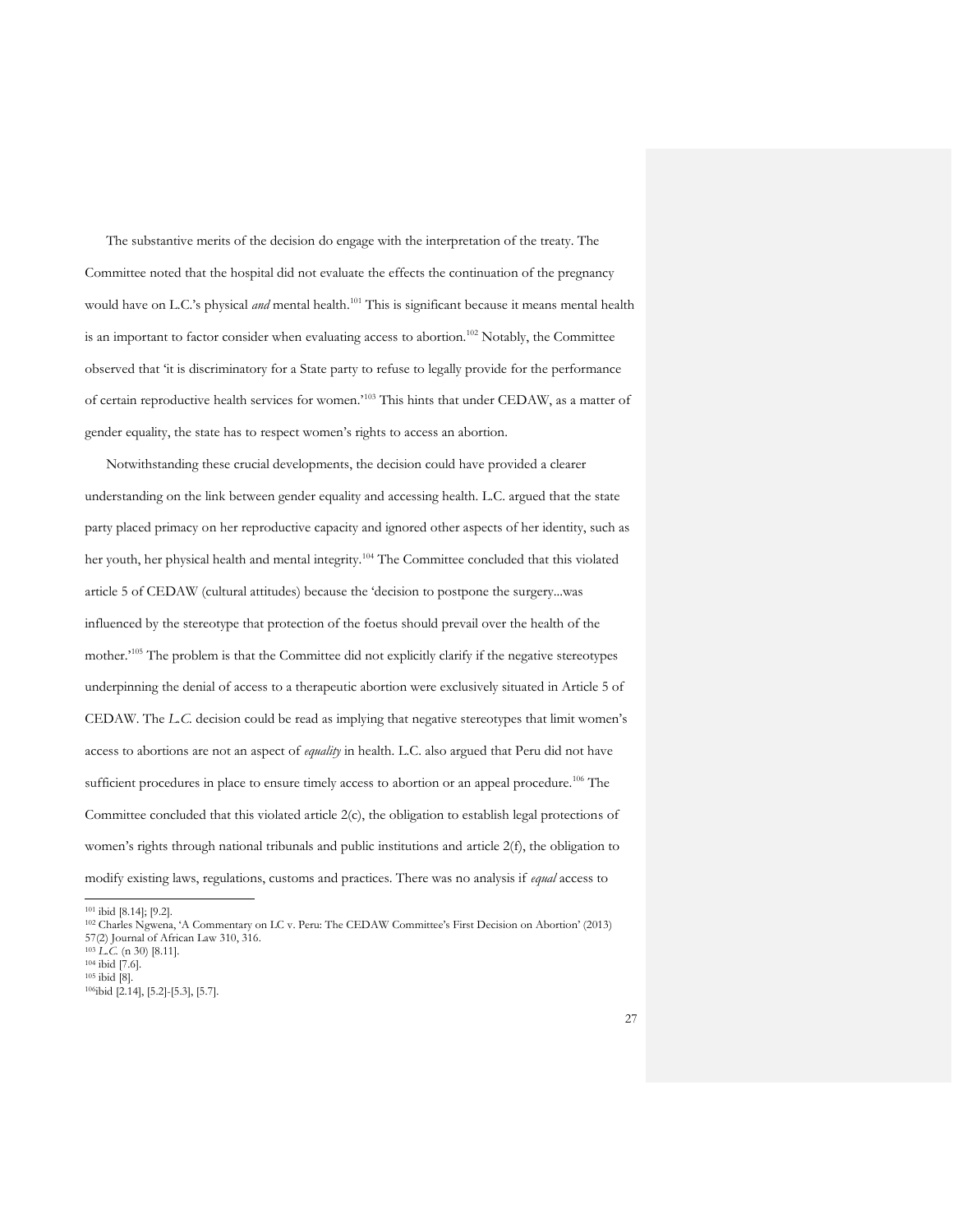The substantive merits of the decision do engage with the interpretation of the treaty. The Committee noted that the hospital did not evaluate the effects the continuation of the pregnancy would have on L.C.'s physical *and* mental health.<sup>101</sup> This is significant because it means mental health is an important to factor consider when evaluating access to abortion.<sup>102</sup> Notably, the Committee observed that 'it is discriminatory for a State party to refuse to legally provide for the performance of certain reproductive health services for women.'<sup>103</sup> This hints that under CEDAW, as a matter of gender equality, the state has to respect women's rights to access an abortion.

Notwithstanding these crucial developments, the decision could have provided a clearer understanding on the link between gender equality and accessing health. L.C. argued that the state party placed primacy on her reproductive capacity and ignored other aspects of her identity, such as her youth, her physical health and mental integrity.<sup>104</sup> The Committee concluded that this violated article 5 of CEDAW (cultural attitudes) because the 'decision to postpone the surgery...was influenced by the stereotype that protection of the foetus should prevail over the health of the mother.<sup>'105</sup> The problem is that the Committee did not explicitly clarify if the negative stereotypes underpinning the denial of access to a therapeutic abortion were exclusively situated in Article 5 of CEDAW. The *L.C.* decision could be read as implying that negative stereotypes that limit women's access to abortions are not an aspect of *equality* in health. L.C. also argued that Peru did not have sufficient procedures in place to ensure timely access to abortion or an appeal procedure.<sup>106</sup> The Committee concluded that this violated article 2(c), the obligation to establish legal protections of women's rights through national tribunals and public institutions and article 2(f), the obligation to modify existing laws, regulations, customs and practices. There was no analysis if *equal* access to

<sup>101</sup> ibid [8.14]; [9.2].

<sup>103</sup> *L.C.* (n 30) [8.11].

<sup>102</sup> Charles Ngwena, 'A Commentary on LC v. Peru: The CEDAW Committee's First Decision on Abortion' (2013) 57(2) Journal of African Law 310, 316.

 $104$  ibid [7.6].

 $105$  ibid [8].

<sup>106</sup>ibid [2.14], [5.2]-[5.3], [5.7].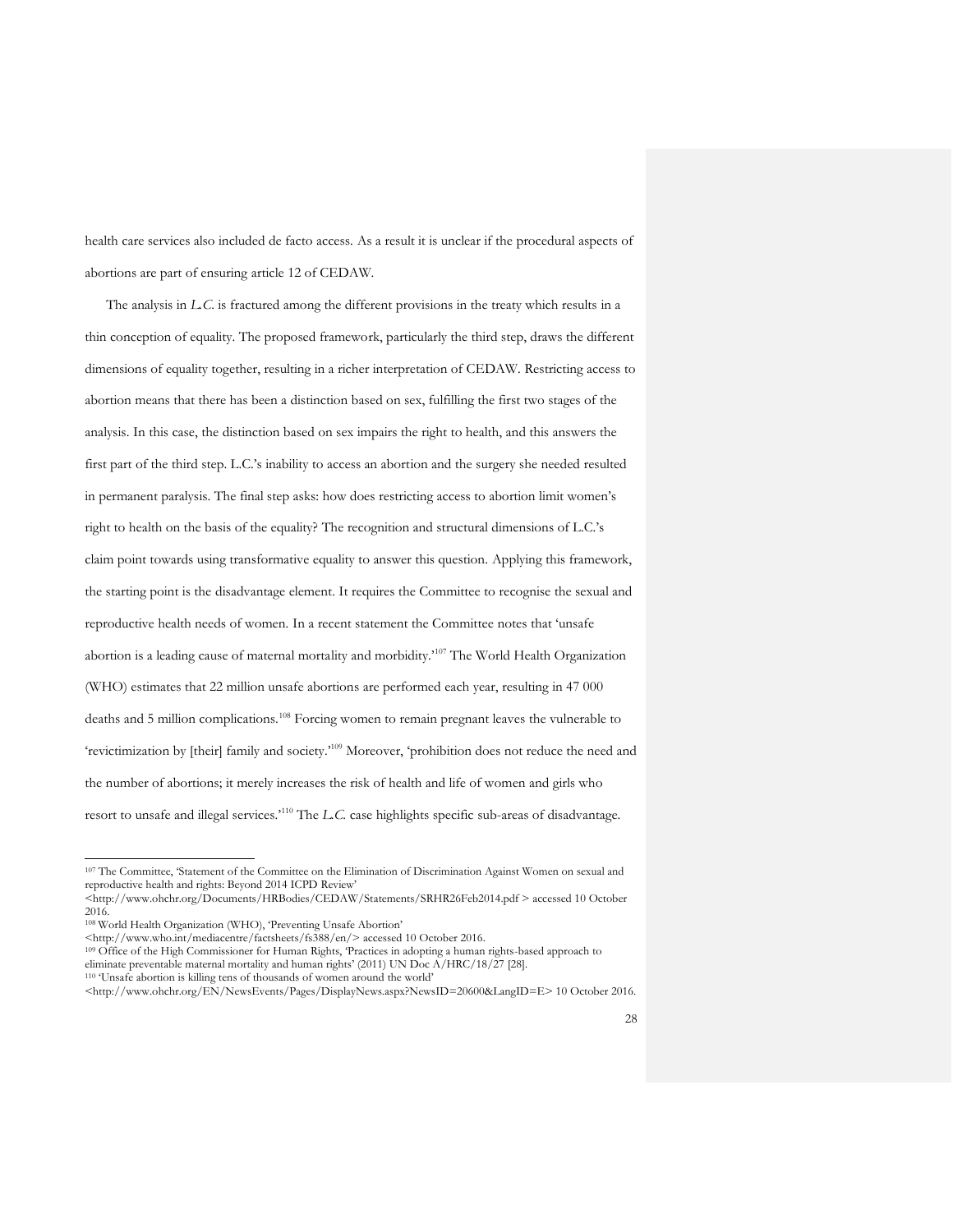health care services also included de facto access. As a result it is unclear if the procedural aspects of abortions are part of ensuring article 12 of CEDAW.

The analysis in *L.C*. is fractured among the different provisions in the treaty which results in a thin conception of equality. The proposed framework, particularly the third step, draws the different dimensions of equality together, resulting in a richer interpretation of CEDAW. Restricting access to abortion means that there has been a distinction based on sex, fulfilling the first two stages of the analysis. In this case, the distinction based on sex impairs the right to health, and this answers the first part of the third step. L.C.'s inability to access an abortion and the surgery she needed resulted in permanent paralysis. The final step asks: how does restricting access to abortion limit women's right to health on the basis of the equality? The recognition and structural dimensions of L.C.'s claim point towards using transformative equality to answer this question. Applying this framework, the starting point is the disadvantage element. It requires the Committee to recognise the sexual and reproductive health needs of women. In a recent statement the Committee notes that 'unsafe abortion is a leading cause of maternal mortality and morbidity.'<sup>107</sup> The World Health Organization (WHO) estimates that 22 million unsafe abortions are performed each year, resulting in 47 000 deaths and 5 million complications.<sup>108</sup> Forcing women to remain pregnant leaves the vulnerable to 'revictimization by [their] family and society.'<sup>109</sup> Moreover, 'prohibition does not reduce the need and the number of abortions; it merely increases the risk of health and life of women and girls who resort to unsafe and illegal services.'<sup>110</sup> The *L.C.* case highlights specific sub-areas of disadvantage.

<sup>107</sup> The Committee, 'Statement of the Committee on the Elimination of Discrimination Against Women on sexual and reproductive health and rights: Beyond 2014 ICPD Review'

<sup>&</sup>lt;http://www.ohchr.org/Documents/HRBodies/CEDAW/Statements/SRHR26Feb2014.pdf > accessed 10 October 2016.

<sup>108</sup> World Health Organization (WHO), 'Preventing Unsafe Abortion'

<sup>&</sup>lt;http://www.who.int/mediacentre/factsheets/fs388/en/> accessed 10 October 2016.

<sup>109</sup> Office of the High Commissioner for Human Rights, 'Practices in adopting a human rights-based approach to eliminate preventable maternal mortality and human rights' (2011) UN Doc A/HRC/18/27 [28].

<sup>110</sup> 'Unsafe abortion is killing tens of thousands of women around the world'

<sup>&</sup>lt;http://www.ohchr.org/EN/NewsEvents/Pages/DisplayNews.aspx?NewsID=20600&LangID=E> 10 October 2016.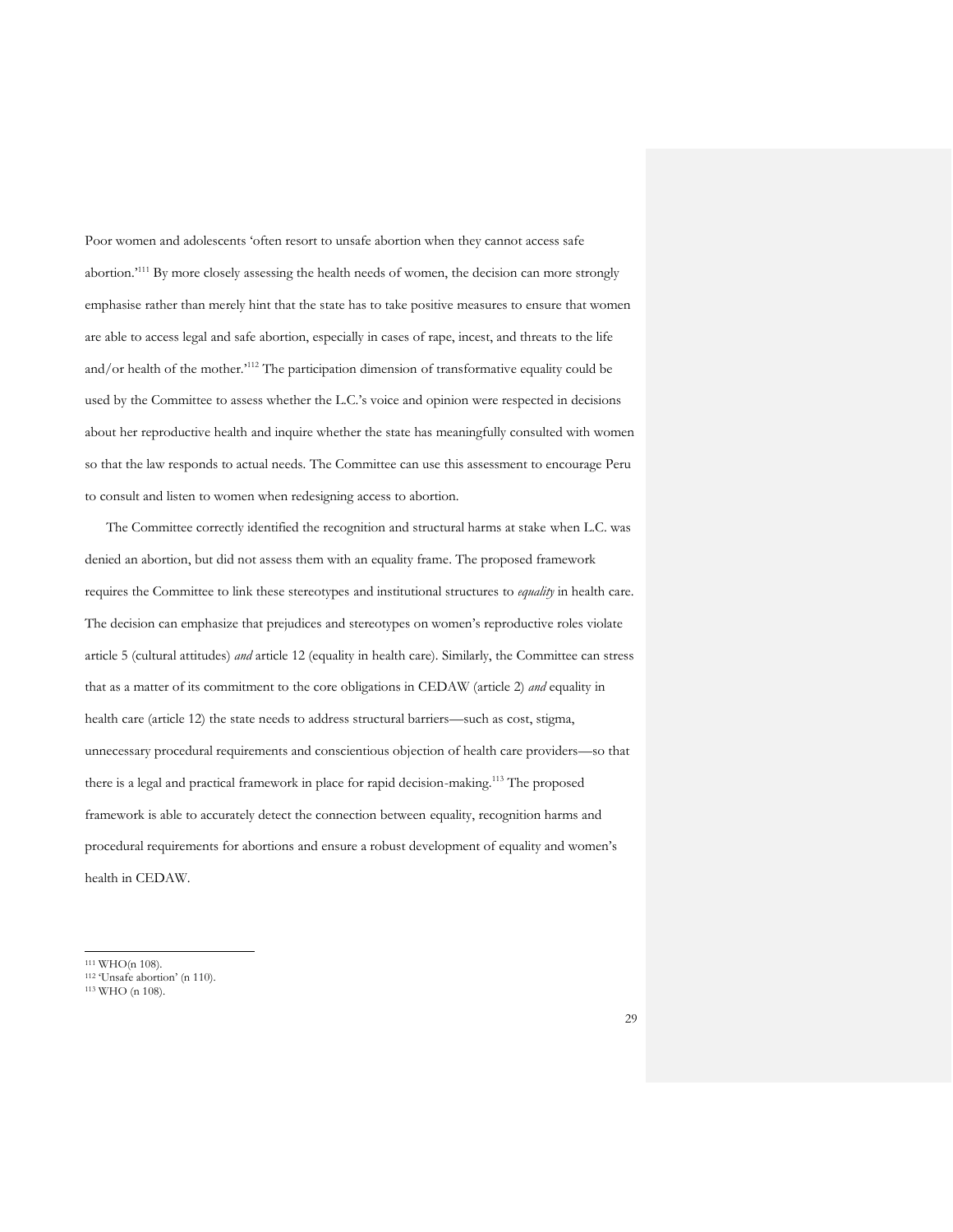Poor women and adolescents 'often resort to unsafe abortion when they cannot access safe abortion.<sup>111</sup> By more closely assessing the health needs of women, the decision can more strongly emphasise rather than merely hint that the state has to take positive measures to ensure that women are able to access legal and safe abortion, especially in cases of rape, incest, and threats to the life and/or health of the mother.'<sup>112</sup> The participation dimension of transformative equality could be used by the Committee to assess whether the L.C.'s voice and opinion were respected in decisions about her reproductive health and inquire whether the state has meaningfully consulted with women so that the law responds to actual needs. The Committee can use this assessment to encourage Peru to consult and listen to women when redesigning access to abortion.

The Committee correctly identified the recognition and structural harms at stake when L.C. was denied an abortion, but did not assess them with an equality frame. The proposed framework requires the Committee to link these stereotypes and institutional structures to *equality* in health care. The decision can emphasize that prejudices and stereotypes on women's reproductive roles violate article 5 (cultural attitudes) *and* article 12 (equality in health care). Similarly, the Committee can stress that as a matter of its commitment to the core obligations in CEDAW (article 2) *and* equality in health care (article 12) the state needs to address structural barriers—such as cost, stigma, unnecessary procedural requirements and conscientious objection of health care providers—so that there is a legal and practical framework in place for rapid decision-making.<sup>113</sup> The proposed framework is able to accurately detect the connection between equality, recognition harms and procedural requirements for abortions and ensure a robust development of equality and women's health in CEDAW.

<sup>111</sup> WHO(n 108).

<sup>112</sup> 'Unsafe abortion' (n 110).

<sup>113</sup> WHO (n 108).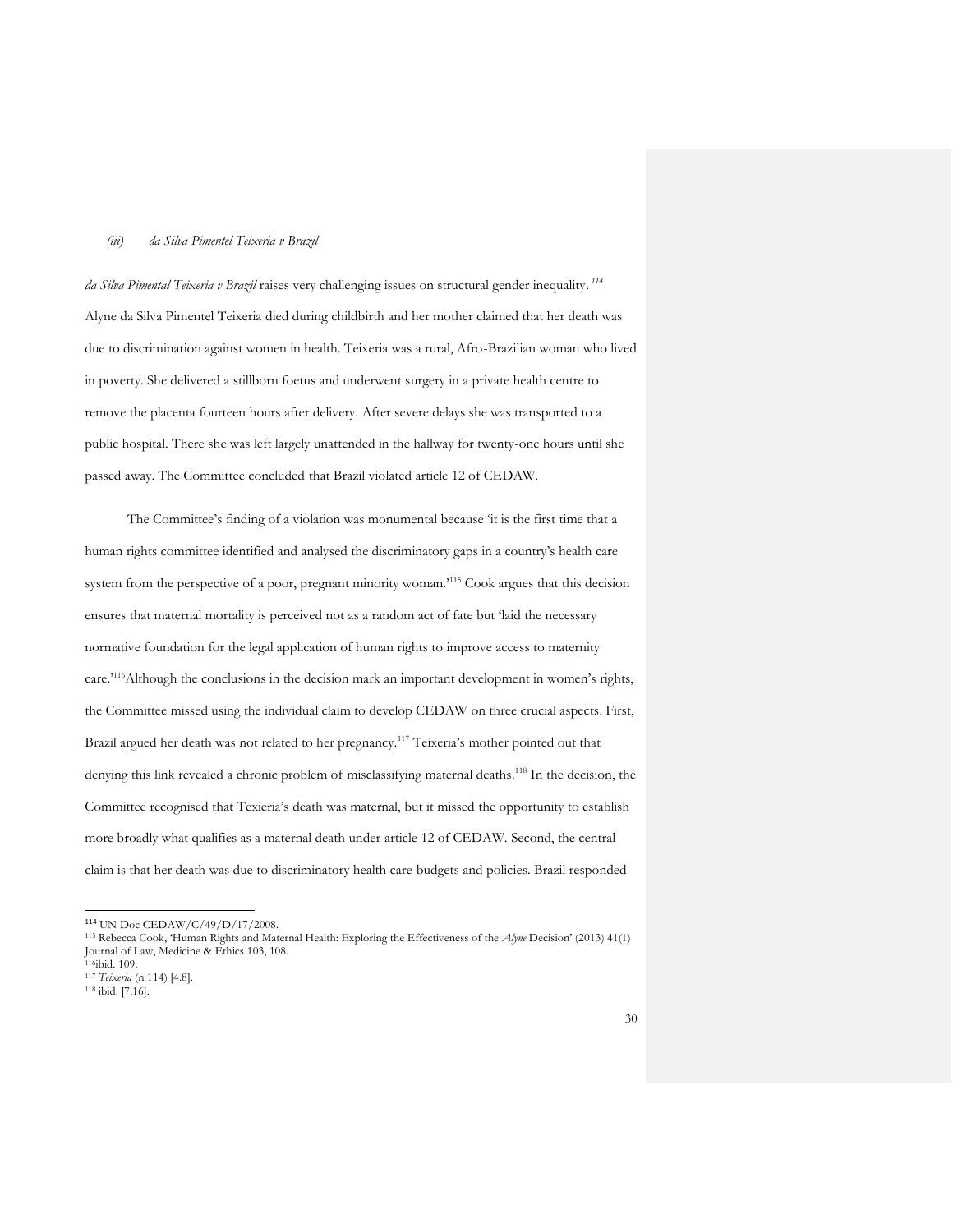#### *(iii) da Silva Pimentel Teixeria v Brazil*

*da Silva Pimental Teixeria v Brazil* raises very challenging issues on structural gender inequality. *114* Alyne da Silva Pimentel Teixeria died during childbirth and her mother claimed that her death was due to discrimination against women in health. Teixeria was a rural, Afro-Brazilian woman who lived in poverty. She delivered a stillborn foetus and underwent surgery in a private health centre to remove the placenta fourteen hours after delivery. After severe delays she was transported to a public hospital. There she was left largely unattended in the hallway for twenty-one hours until she passed away. The Committee concluded that Brazil violated article 12 of CEDAW.

The Committee's finding of a violation was monumental because 'it is the first time that a human rights committee identified and analysed the discriminatory gaps in a country's health care system from the perspective of a poor, pregnant minority woman.'<sup>115</sup> Cook argues that this decision ensures that maternal mortality is perceived not as a random act of fate but 'laid the necessary normative foundation for the legal application of human rights to improve access to maternity care.'<sup>116</sup>Although the conclusions in the decision mark an important development in women's rights, the Committee missed using the individual claim to develop CEDAW on three crucial aspects. First, Brazil argued her death was not related to her pregnancy.<sup>117</sup> Teixeria's mother pointed out that denying this link revealed a chronic problem of misclassifying maternal deaths.<sup>118</sup> In the decision, the Committee recognised that Texieria's death was maternal, but it missed the opportunity to establish more broadly what qualifies as a maternal death under article 12 of CEDAW. Second, the central claim is that her death was due to discriminatory health care budgets and policies. Brazil responded

<sup>114</sup> UN Doc CEDAW/C/49/D/17/2008.

<sup>115</sup> Rebecca Cook, 'Human Rights and Maternal Health: Exploring the Effectiveness of the *Alyne* Decision' (2013) 41(1) Journal of Law, Medicine & Ethics 103, 108.

<sup>116</sup>ibid. 109.

<sup>117</sup> *Teixeria* (n 114) [4.8].

<sup>118</sup> ibid. [7.16].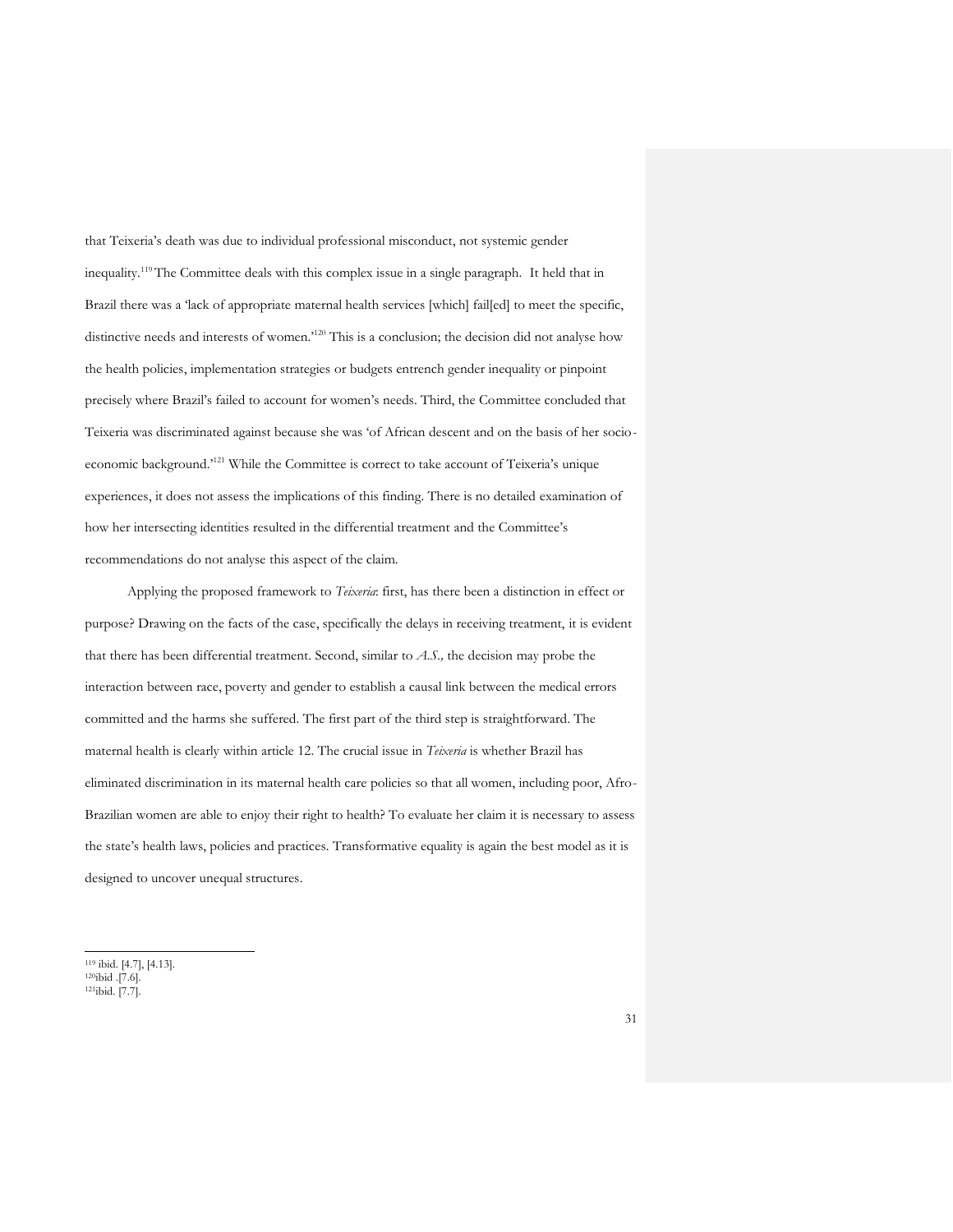that Teixeria's death was due to individual professional misconduct, not systemic gender inequality.<sup>119</sup> The Committee deals with this complex issue in a single paragraph. It held that in Brazil there was a 'lack of appropriate maternal health services [which] fail[ed] to meet the specific, distinctive needs and interests of women.'<sup>120</sup> This is a conclusion; the decision did not analyse how the health policies, implementation strategies or budgets entrench gender inequality or pinpoint precisely where Brazil's failed to account for women's needs. Third, the Committee concluded that Teixeria was discriminated against because she was 'of African descent and on the basis of her socioeconomic background.'<sup>121</sup> While the Committee is correct to take account of Teixeria's unique experiences, it does not assess the implications of this finding. There is no detailed examination of how her intersecting identities resulted in the differential treatment and the Committee's recommendations do not analyse this aspect of the claim.

Applying the proposed framework to *Teixeria*: first, has there been a distinction in effect or purpose? Drawing on the facts of the case, specifically the delays in receiving treatment, it is evident that there has been differential treatment. Second, similar to *A.S.,* the decision may probe the interaction between race, poverty and gender to establish a causal link between the medical errors committed and the harms she suffered. The first part of the third step is straightforward. The maternal health is clearly within article 12. The crucial issue in *Teixeria* is whether Brazil has eliminated discrimination in its maternal health care policies so that all women, including poor, Afro-Brazilian women are able to enjoy their right to health? To evaluate her claim it is necessary to assess the state's health laws, policies and practices. Transformative equality is again the best model as it is designed to uncover unequal structures.

<sup>119</sup> ibid. [4.7], [4.13].

 $120$ ibid .[7.6].

<sup>121</sup>ibid. [7.7].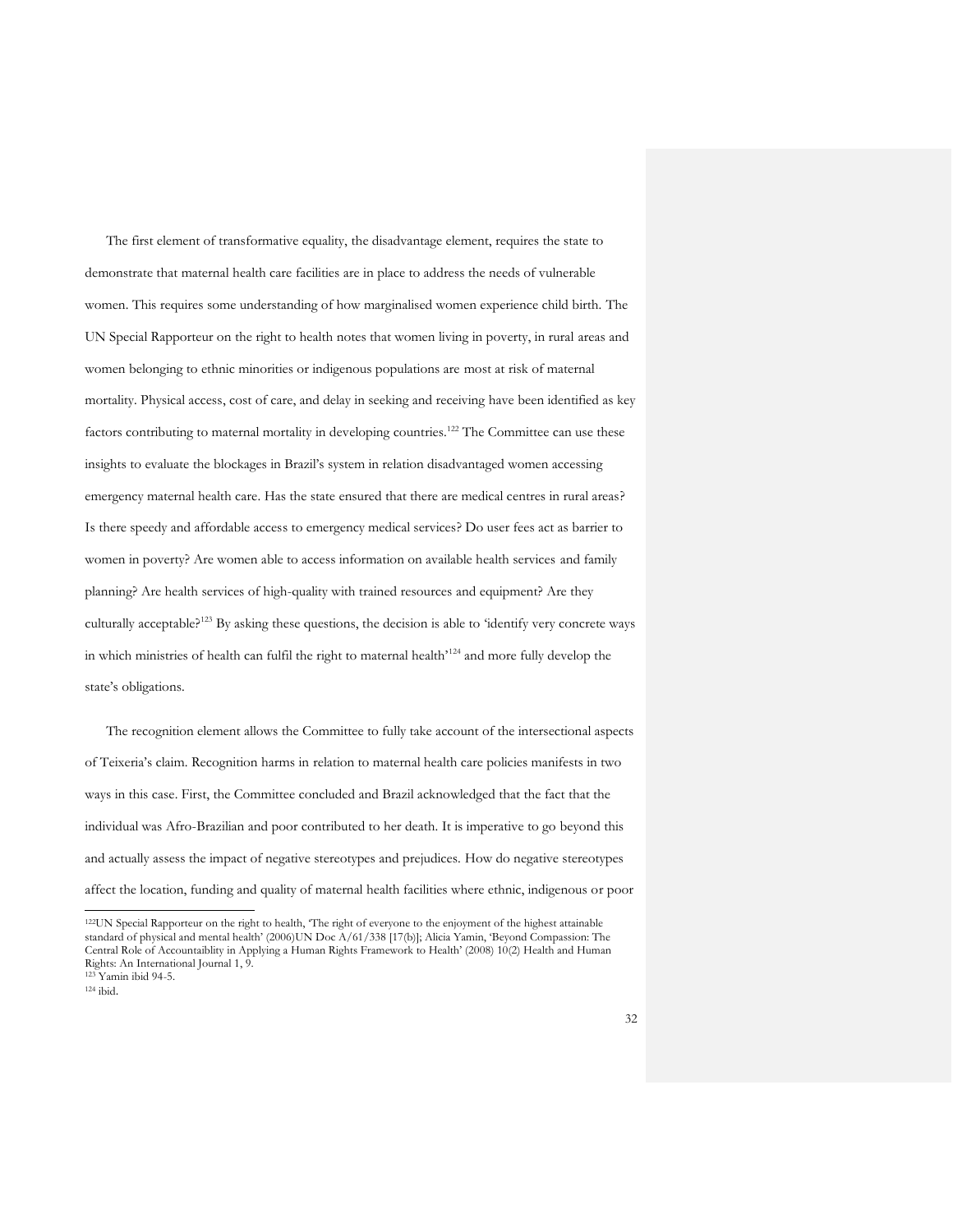The first element of transformative equality, the disadvantage element, requires the state to demonstrate that maternal health care facilities are in place to address the needs of vulnerable women. This requires some understanding of how marginalised women experience child birth. The UN Special Rapporteur on the right to health notes that women living in poverty, in rural areas and women belonging to ethnic minorities or indigenous populations are most at risk of maternal mortality. Physical access, cost of care, and delay in seeking and receiving have been identified as key factors contributing to maternal mortality in developing countries.<sup>122</sup> The Committee can use these insights to evaluate the blockages in Brazil's system in relation disadvantaged women accessing emergency maternal health care. Has the state ensured that there are medical centres in rural areas? Is there speedy and affordable access to emergency medical services? Do user fees act as barrier to women in poverty? Are women able to access information on available health services and family planning? Are health services of high-quality with trained resources and equipment? Are they culturally acceptable?<sup>123</sup> By asking these questions, the decision is able to 'identify very concrete ways in which ministries of health can fulfil the right to maternal health'<sup>124</sup> and more fully develop the state's obligations.

The recognition element allows the Committee to fully take account of the intersectional aspects of Teixeria's claim. Recognition harms in relation to maternal health care policies manifests in two ways in this case. First, the Committee concluded and Brazil acknowledged that the fact that the individual was Afro-Brazilian and poor contributed to her death. It is imperative to go beyond this and actually assess the impact of negative stereotypes and prejudices. How do negative stereotypes affect the location, funding and quality of maternal health facilities where ethnic, indigenous or poor

<sup>122</sup>UN Special Rapporteur on the right to health, 'The right of everyone to the enjoyment of the highest attainable standard of physical and mental health' (2006)UN Doc A/61/338 [17(b)]; Alicia Yamin, 'Beyond Compassion: The Central Role of Accountaiblity in Applying a Human Rights Framework to Health' (2008) 10(2) Health and Human Rights: An International Journal 1, 9. <sup>123</sup> Yamin ibid 94-5.

<sup>124</sup> ibid.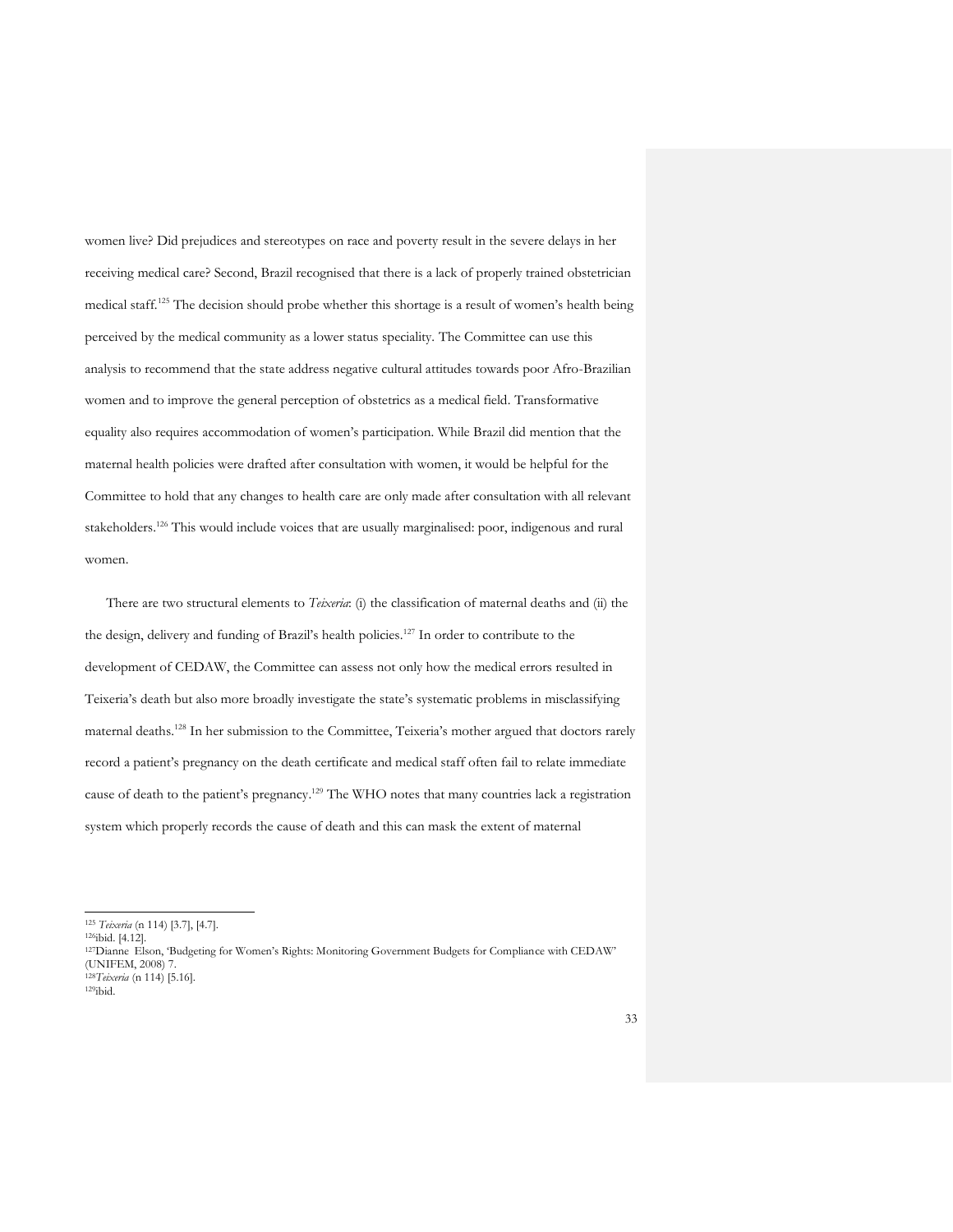women live? Did prejudices and stereotypes on race and poverty result in the severe delays in her receiving medical care? Second, Brazil recognised that there is a lack of properly trained obstetrician medical staff.<sup>125</sup> The decision should probe whether this shortage is a result of women's health being perceived by the medical community as a lower status speciality. The Committee can use this analysis to recommend that the state address negative cultural attitudes towards poor Afro-Brazilian women and to improve the general perception of obstetrics as a medical field. Transformative equality also requires accommodation of women's participation. While Brazil did mention that the maternal health policies were drafted after consultation with women, it would be helpful for the Committee to hold that any changes to health care are only made after consultation with all relevant stakeholders.<sup>126</sup> This would include voices that are usually marginalised: poor, indigenous and rural women.

There are two structural elements to *Teixeria*: (i) the classification of maternal deaths and (ii) the the design, delivery and funding of Brazil's health policies.<sup>127</sup> In order to contribute to the development of CEDAW, the Committee can assess not only how the medical errors resulted in Teixeria's death but also more broadly investigate the state's systematic problems in misclassifying maternal deaths.<sup>128</sup> In her submission to the Committee, Teixeria's mother argued that doctors rarely record a patient's pregnancy on the death certificate and medical staff often fail to relate immediate cause of death to the patient's pregnancy.<sup>129</sup> The WHO notes that many countries lack a registration system which properly records the cause of death and this can mask the extent of maternal

<sup>125</sup> *Teixeria* (n 114) [3.7], [4.7].

<sup>126</sup>ibid. [4.12].

<sup>127</sup>Dianne Elson, 'Budgeting for Women's Rights: Monitoring Government Budgets for Compliance with CEDAW' (UNIFEM, 2008) 7. <sup>128</sup>*Teixeria* (n 114) [5.16].

<sup>129</sup>ibid.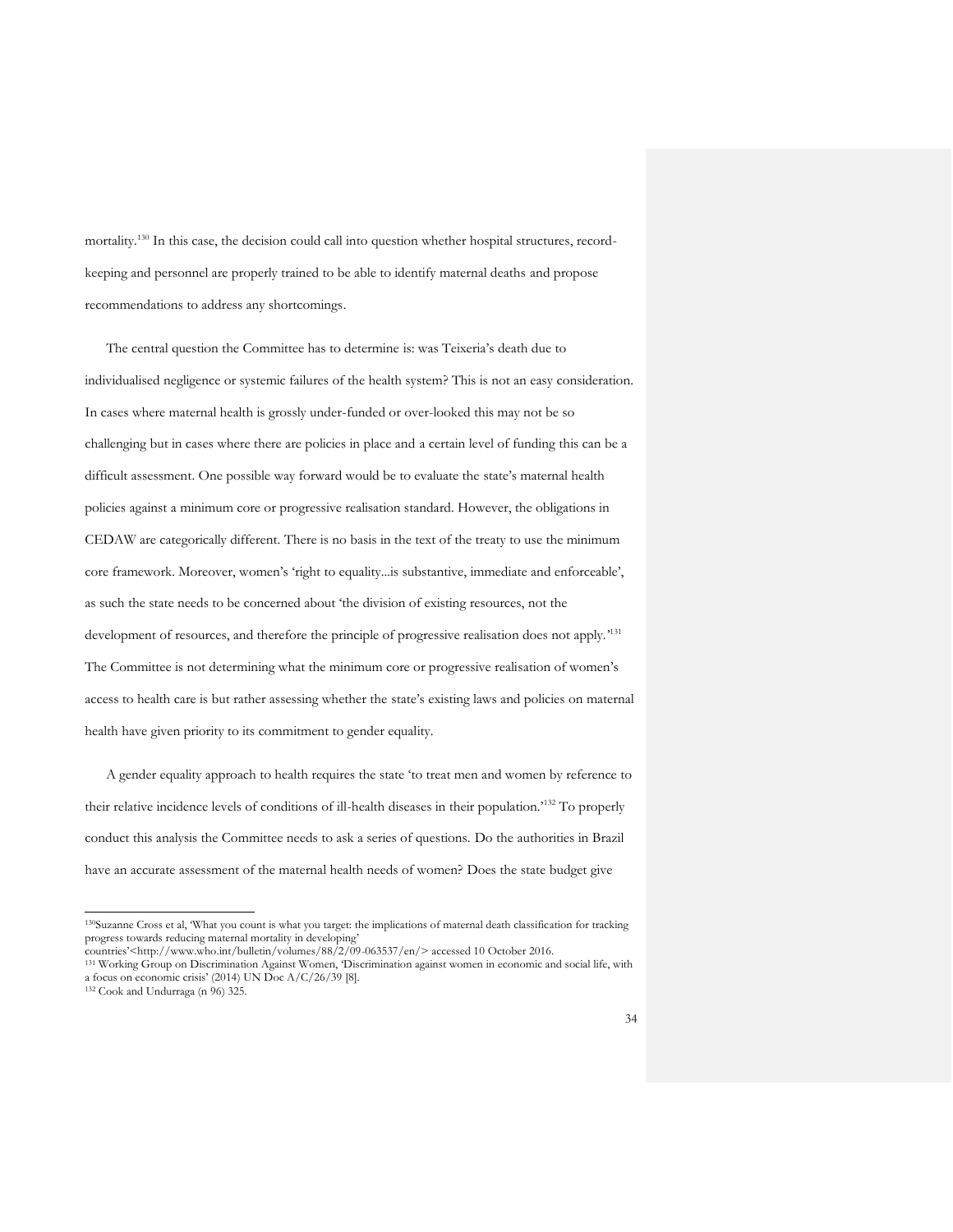mortality.<sup>130</sup> In this case, the decision could call into question whether hospital structures, recordkeeping and personnel are properly trained to be able to identify maternal deaths and propose recommendations to address any shortcomings.

The central question the Committee has to determine is: was Teixeria's death due to individualised negligence or systemic failures of the health system? This is not an easy consideration. In cases where maternal health is grossly under-funded or over-looked this may not be so challenging but in cases where there are policies in place and a certain level of funding this can be a difficult assessment. One possible way forward would be to evaluate the state's maternal health policies against a minimum core or progressive realisation standard. However, the obligations in CEDAW are categorically different. There is no basis in the text of the treaty to use the minimum core framework. Moreover, women's 'right to equality...is substantive, immediate and enforceable', as such the state needs to be concerned about 'the division of existing resources, not the development of resources, and therefore the principle of progressive realisation does not apply.<sup>131</sup> The Committee is not determining what the minimum core or progressive realisation of women's access to health care is but rather assessing whether the state's existing laws and policies on maternal health have given priority to its commitment to gender equality.

A gender equality approach to health requires the state 'to treat men and women by reference to their relative incidence levels of conditions of ill-health diseases in their population.'<sup>132</sup> To properly conduct this analysis the Committee needs to ask a series of questions. Do the authorities in Brazil have an accurate assessment of the maternal health needs of women? Does the state budget give

<sup>130</sup>Suzanne Cross et al, 'What you count is what you target: the implications of maternal death classification for tracking progress towards reducing maternal mortality in developing'

countries'<http://www.who.int/bulletin/volumes/88/2/09-063537/en/> accessed 10 October 2016.

<sup>131</sup> Working Group on Discrimination Against Women, 'Discrimination against women in economic and social life, with a focus on economic crisis' (2014) UN Doc  $A/C/26/39$  [8].

 $132$  Cook and Undurraga (n 96) 325.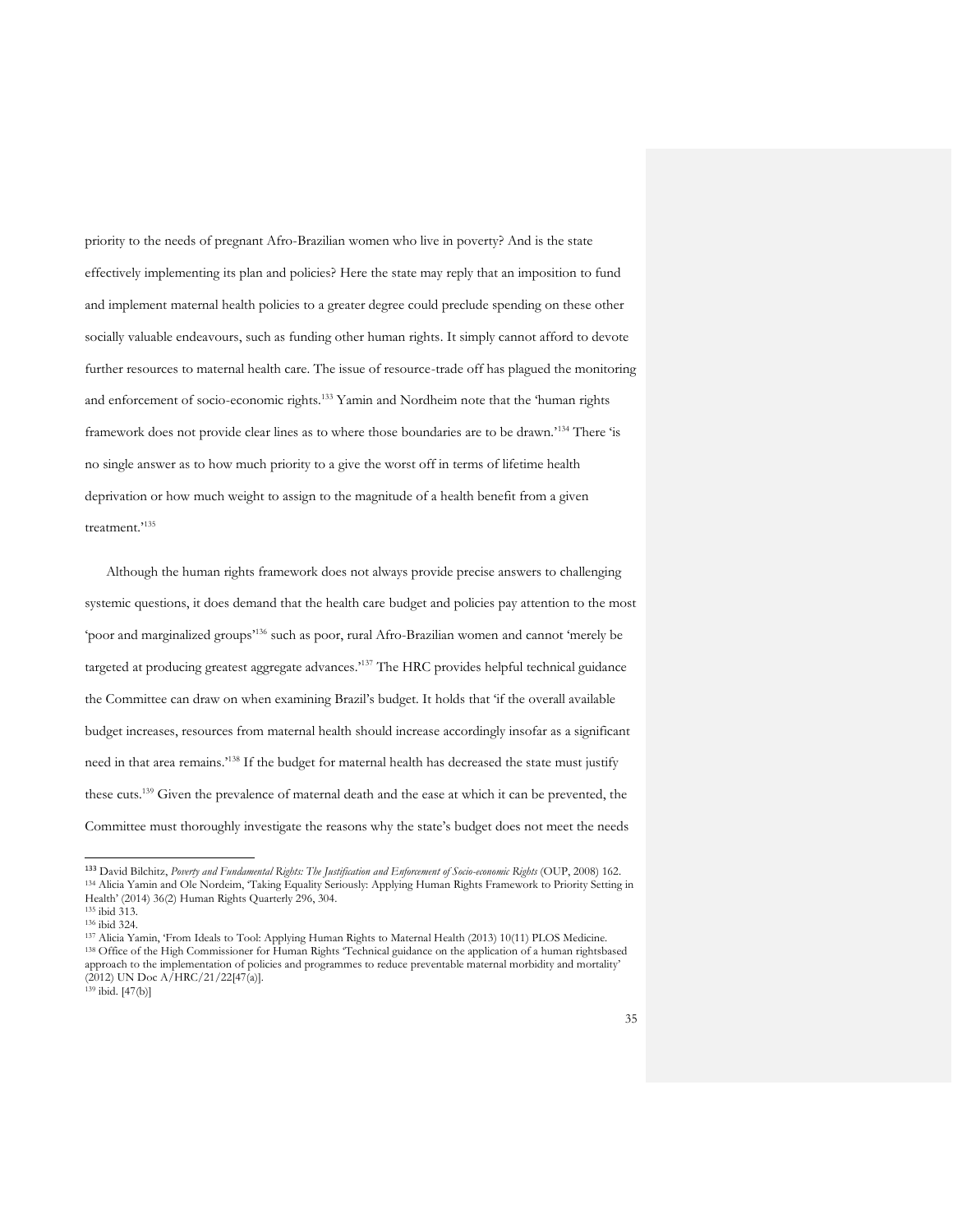priority to the needs of pregnant Afro-Brazilian women who live in poverty? And is the state effectively implementing its plan and policies? Here the state may reply that an imposition to fund and implement maternal health policies to a greater degree could preclude spending on these other socially valuable endeavours, such as funding other human rights. It simply cannot afford to devote further resources to maternal health care. The issue of resource-trade off has plagued the monitoring and enforcement of socio-economic rights.<sup>133</sup> Yamin and Nordheim note that the 'human rights framework does not provide clear lines as to where those boundaries are to be drawn.'<sup>134</sup> There 'is no single answer as to how much priority to a give the worst off in terms of lifetime health deprivation or how much weight to assign to the magnitude of a health benefit from a given treatment.'<sup>135</sup>

Although the human rights framework does not always provide precise answers to challenging systemic questions, it does demand that the health care budget and policies pay attention to the most 'poor and marginalized groups'<sup>136</sup> such as poor, rural Afro-Brazilian women and cannot 'merely be targeted at producing greatest aggregate advances.<sup>1137</sup> The HRC provides helpful technical guidance the Committee can draw on when examining Brazil's budget. It holds that 'if the overall available budget increases, resources from maternal health should increase accordingly insofar as a significant need in that area remains.'<sup>138</sup> If the budget for maternal health has decreased the state must justify these cuts.<sup>139</sup> Given the prevalence of maternal death and the ease at which it can be prevented, the Committee must thoroughly investigate the reasons why the state's budget does not meet the needs

<sup>133</sup> David Bilchitz, *Poverty and Fundamental Rights: The Justification and Enforcement of Socio-economic Rights* (OUP, 2008) 162. <sup>134</sup> Alicia Yamin and Ole Nordeim, 'Taking Equality Seriously: Applying Human Rights Framework to Priority Setting in Health' (2014) 36(2) Human Rights Quarterly 296, 304.

<sup>135</sup> ibid 313.

<sup>136</sup> ibid 324.

<sup>137</sup> Alicia Yamin, 'From Ideals to Tool: Applying Human Rights to Maternal Health (2013) 10(11) PLOS Medicine. <sup>138</sup> Office of the High Commissioner for Human Rights 'Technical guidance on the application of a human rightsbased approach to the implementation of policies and programmes to reduce preventable maternal morbidity and mortality'  $(2012)$  UN Doc A/HRC/21/22[47(a)].

 $139$  ibid. [47(b)]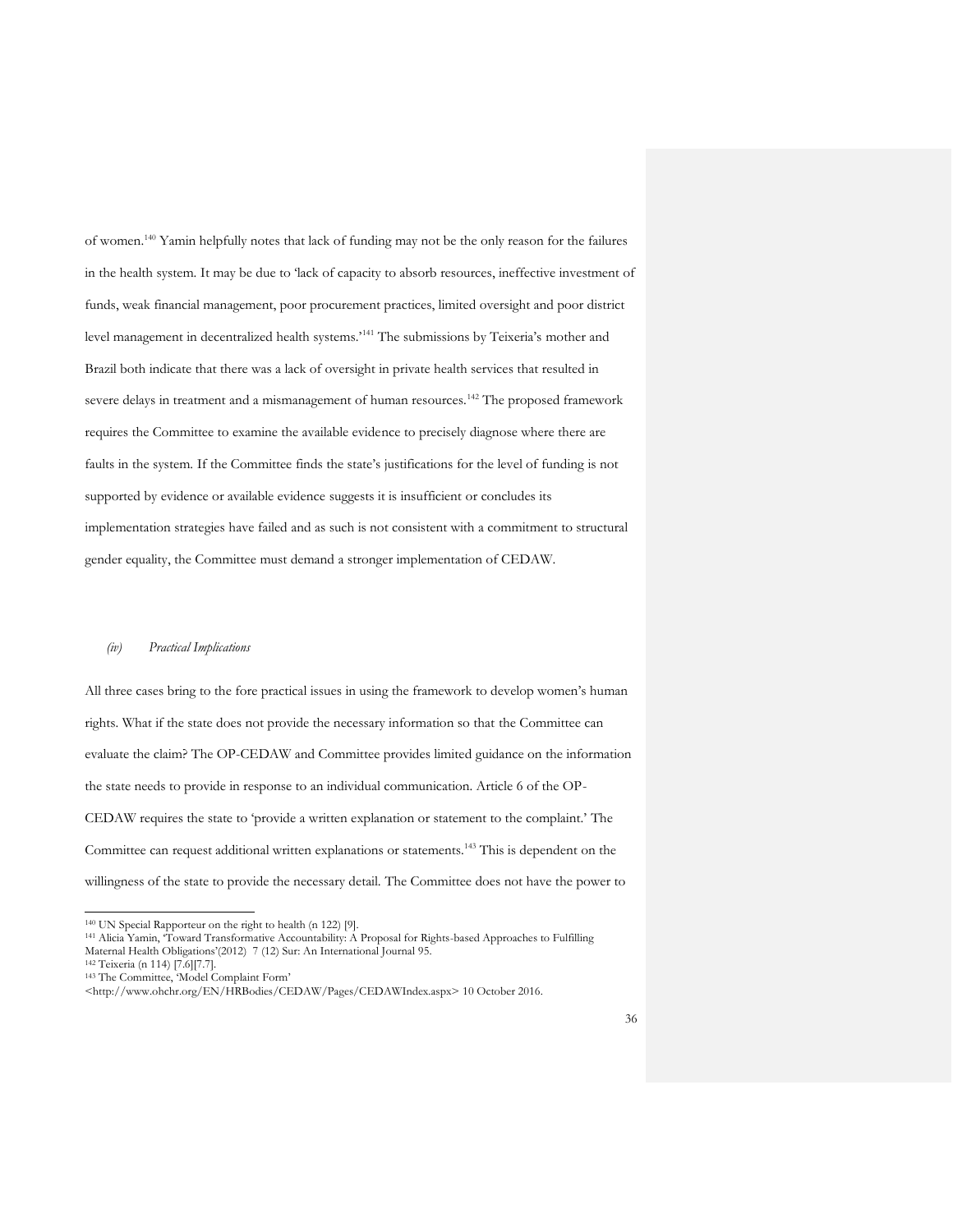of women. <sup>140</sup> Yamin helpfully notes that lack of funding may not be the only reason for the failures in the health system. It may be due to 'lack of capacity to absorb resources, ineffective investment of funds, weak financial management, poor procurement practices, limited oversight and poor district level management in decentralized health systems.'<sup>141</sup> The submissions by Teixeria's mother and Brazil both indicate that there was a lack of oversight in private health services that resulted in severe delays in treatment and a mismanagement of human resources.<sup>142</sup> The proposed framework requires the Committee to examine the available evidence to precisely diagnose where there are faults in the system. If the Committee finds the state's justifications for the level of funding is not supported by evidence or available evidence suggests it is insufficient or concludes its implementation strategies have failed and as such is not consistent with a commitment to structural gender equality, the Committee must demand a stronger implementation of CEDAW.

#### *(iv) Practical Implications*

All three cases bring to the fore practical issues in using the framework to develop women's human rights. What if the state does not provide the necessary information so that the Committee can evaluate the claim? The OP-CEDAW and Committee provides limited guidance on the information the state needs to provide in response to an individual communication. Article 6 of the OP-CEDAW requires the state to 'provide a written explanation or statement to the complaint.' The Committee can request additional written explanations or statements.<sup>143</sup> This is dependent on the willingness of the state to provide the necessary detail. The Committee does not have the power to

<sup>140</sup> UN Special Rapporteur on the right to health (n 122) [9].

<sup>141</sup> Alicia Yamin, 'Toward Transformative Accountability: A Proposal for Rights-based Approaches to Fulfilling Maternal Health Obligations'(2012) 7 (12) Sur: An International Journal 95.

<sup>142</sup> Teixeria (n 114) [7.6][7.7].

<sup>&</sup>lt;sup>143</sup> The Committee, 'Model Complaint Form'

<sup>&</sup>lt;http://www.ohchr.org/EN/HRBodies/CEDAW/Pages/CEDAWIndex.aspx> 10 October 2016.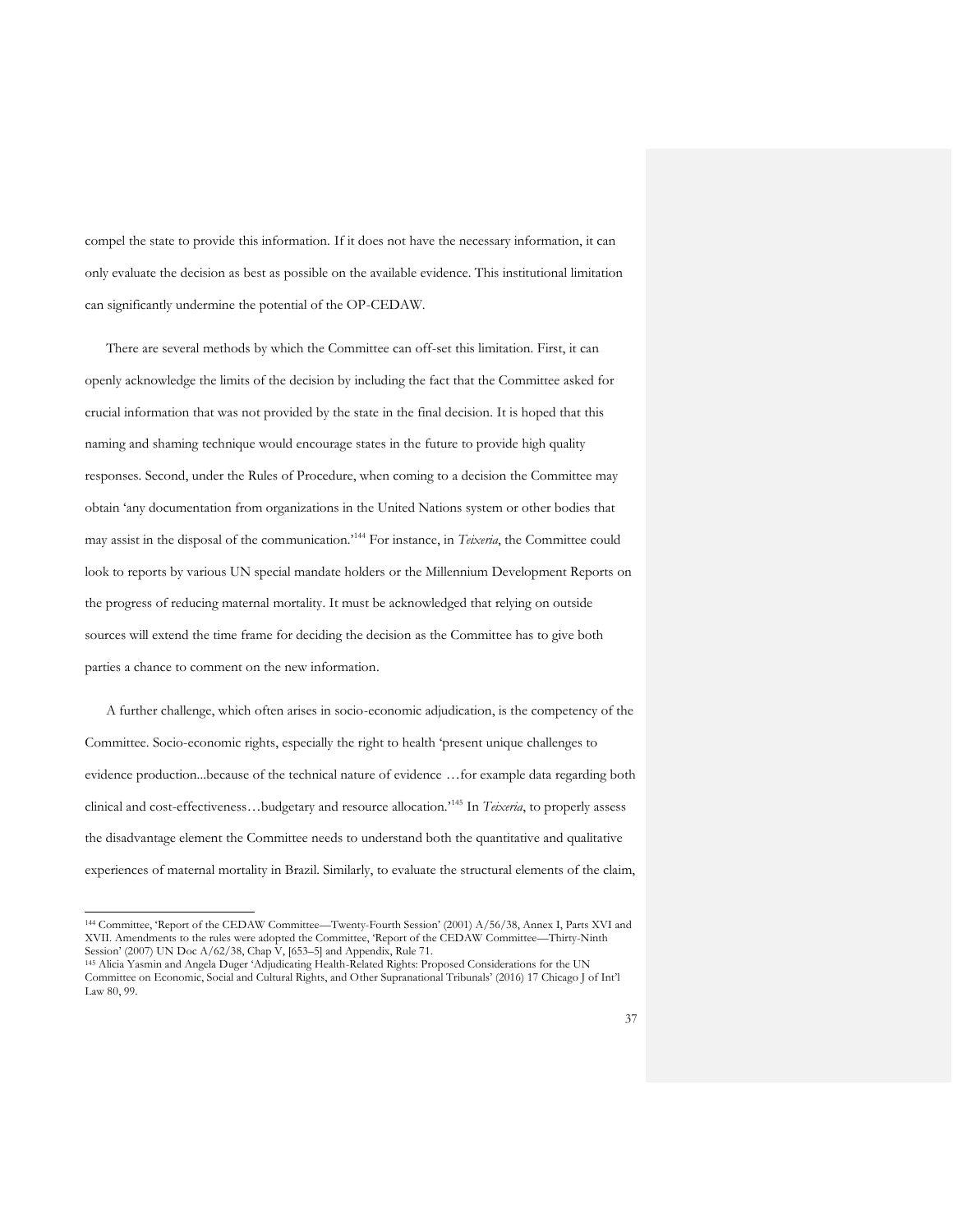compel the state to provide this information. If it does not have the necessary information, it can only evaluate the decision as best as possible on the available evidence. This institutional limitation can significantly undermine the potential of the OP-CEDAW.

There are several methods by which the Committee can off-set this limitation. First, it can openly acknowledge the limits of the decision by including the fact that the Committee asked for crucial information that was not provided by the state in the final decision. It is hoped that this naming and shaming technique would encourage states in the future to provide high quality responses. Second, under the Rules of Procedure, when coming to a decision the Committee may obtain 'any documentation from organizations in the United Nations system or other bodies that may assist in the disposal of the communication.'<sup>144</sup> For instance, in *Teixeria*, the Committee could look to reports by various UN special mandate holders or the Millennium Development Reports on the progress of reducing maternal mortality. It must be acknowledged that relying on outside sources will extend the time frame for deciding the decision as the Committee has to give both parties a chance to comment on the new information.

A further challenge, which often arises in socio-economic adjudication, is the competency of the Committee. Socio-economic rights, especially the right to health 'present unique challenges to evidence production...because of the technical nature of evidence …for example data regarding both clinical and cost-effectiveness…budgetary and resource allocation.'<sup>145</sup> In *Teixeria*, to properly assess the disadvantage element the Committee needs to understand both the quantitative and qualitative experiences of maternal mortality in Brazil. Similarly, to evaluate the structural elements of the claim,

<sup>144</sup> Committee, 'Report of the CEDAW Committee—Twenty-Fourth Session' (2001) A/56/38, Annex I, Parts XVI and XVII. Amendments to the rules were adopted the Committee, 'Report of the CEDAW Committee—Thirty-Ninth Session' (2007) UN Doc A/62/38, Chap V, [653–5] and Appendix, Rule 71.

<sup>145</sup> Alicia Yasmin and Angela Duger 'Adjudicating Health-Related Rights: Proposed Considerations for the UN Committee on Economic, Social and Cultural Rights, and Other Supranational Tribunals' (2016) 17 Chicago J of Int'l Law 80, 99.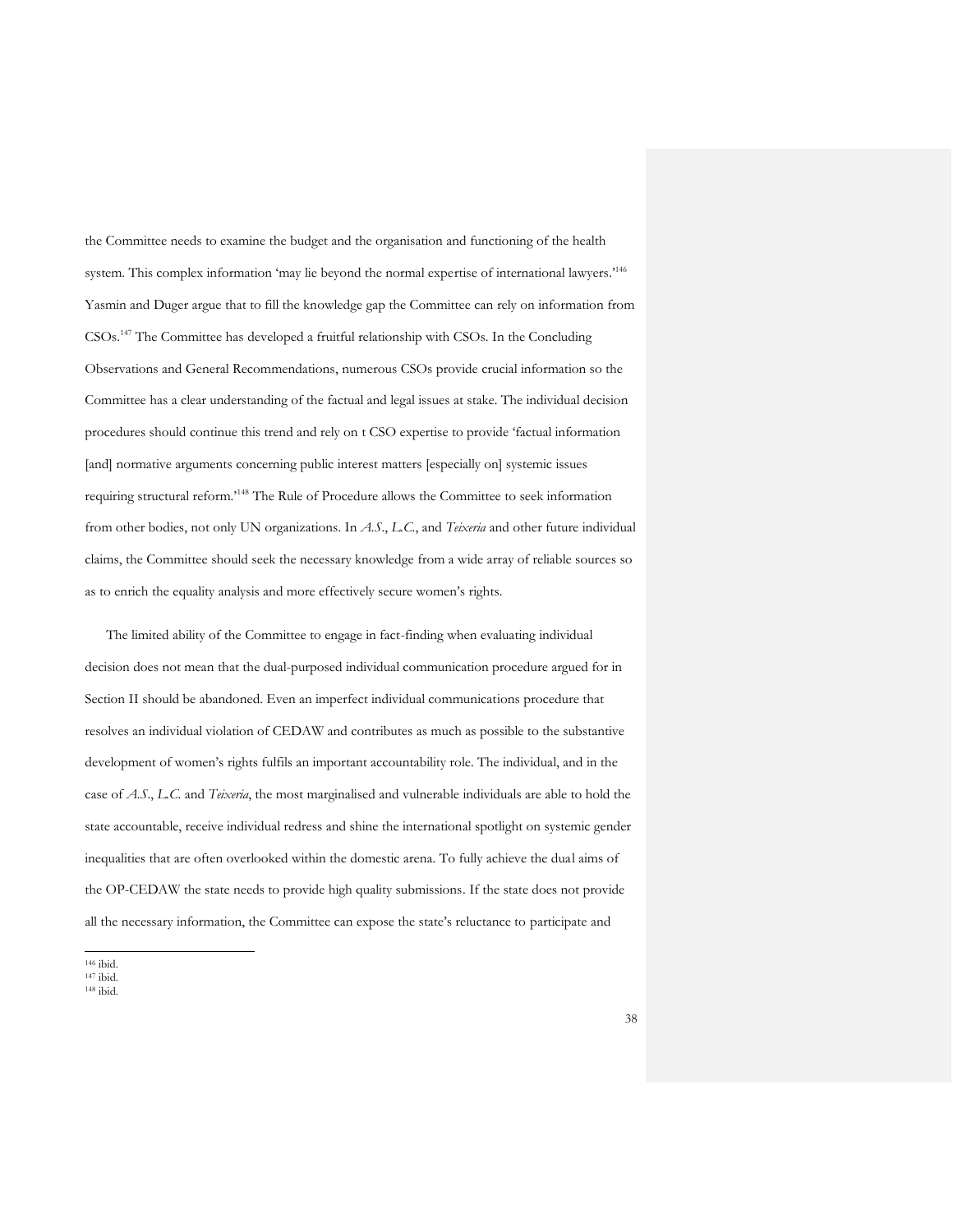the Committee needs to examine the budget and the organisation and functioning of the health system. This complex information 'may lie beyond the normal expertise of international lawyers.'<sup>146</sup> Yasmin and Duger argue that to fill the knowledge gap the Committee can rely on information from CSOs. <sup>147</sup> The Committee has developed a fruitful relationship with CSOs. In the Concluding Observations and General Recommendations, numerous CSOs provide crucial information so the Committee has a clear understanding of the factual and legal issues at stake. The individual decision procedures should continue this trend and rely on t CSO expertise to provide 'factual information [and] normative arguments concerning public interest matters [especially on] systemic issues requiring structural reform.'<sup>148</sup> The Rule of Procedure allows the Committee to seek information from other bodies, not only UN organizations. In *A.S*., *L.C.*, and *Teixeria* and other future individual claims, the Committee should seek the necessary knowledge from a wide array of reliable sources so as to enrich the equality analysis and more effectively secure women's rights.

The limited ability of the Committee to engage in fact-finding when evaluating individual decision does not mean that the dual-purposed individual communication procedure argued for in Section II should be abandoned. Even an imperfect individual communications procedure that resolves an individual violation of CEDAW and contributes as much as possible to the substantive development of women's rights fulfils an important accountability role. The individual, and in the case of *A.S*., *L.C.* and *Teixeria*, the most marginalised and vulnerable individuals are able to hold the state accountable, receive individual redress and shine the international spotlight on systemic gender inequalities that are often overlooked within the domestic arena. To fully achieve the dual aims of the OP-CEDAW the state needs to provide high quality submissions. If the state does not provide all the necessary information, the Committee can expose the state's reluctance to participate and

<sup>146</sup> ibid.

- <sup>147</sup> ibid.
- <sup>148</sup> ibid.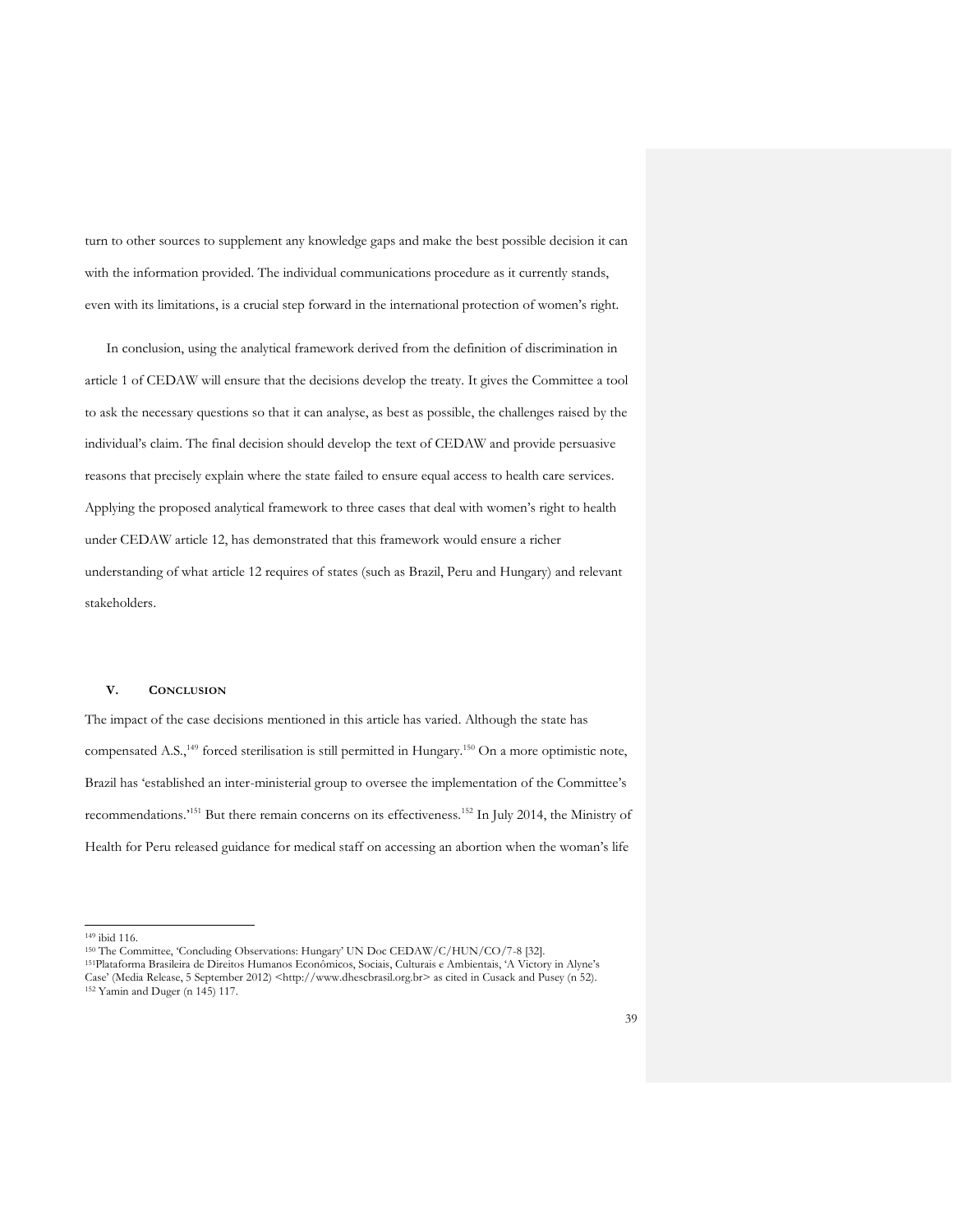turn to other sources to supplement any knowledge gaps and make the best possible decision it can with the information provided. The individual communications procedure as it currently stands, even with its limitations, is a crucial step forward in the international protection of women's right.

In conclusion, using the analytical framework derived from the definition of discrimination in article 1 of CEDAW will ensure that the decisions develop the treaty. It gives the Committee a tool to ask the necessary questions so that it can analyse, as best as possible, the challenges raised by the individual's claim. The final decision should develop the text of CEDAW and provide persuasive reasons that precisely explain where the state failed to ensure equal access to health care services. Applying the proposed analytical framework to three cases that deal with women's right to health under CEDAW article 12, has demonstrated that this framework would ensure a richer understanding of what article 12 requires of states (such as Brazil, Peru and Hungary) and relevant stakeholders.

#### **V. CONCLUSION**

The impact of the case decisions mentioned in this article has varied. Although the state has compensated A.S.,<sup>149</sup> forced sterilisation is still permitted in Hungary.<sup>150</sup> On a more optimistic note, Brazil has 'established an inter-ministerial group to oversee the implementation of the Committee's recommendations.<sup>2151</sup> But there remain concerns on its effectiveness.<sup>152</sup> In July 2014, the Ministry of Health for Peru released guidance for medical staff on accessing an abortion when the woman's life

<sup>149</sup> ibid 116.

<sup>150</sup> The Committee, 'Concluding Observations: Hungary' UN Doc CEDAW/C/HUN/CO/7-8 [32].

<sup>151</sup>Plataforma Brasileira de Direitos Humanos Econômicos, Sociais, Culturais e Ambientais, 'A Victory in Alyne's Case' (Media Release, 5 September 2012) <http://www.dhescbrasil.org.br> as cited in Cusack and Pusey (n 52).

<sup>152</sup> Yamin and Duger (n 145) 117.